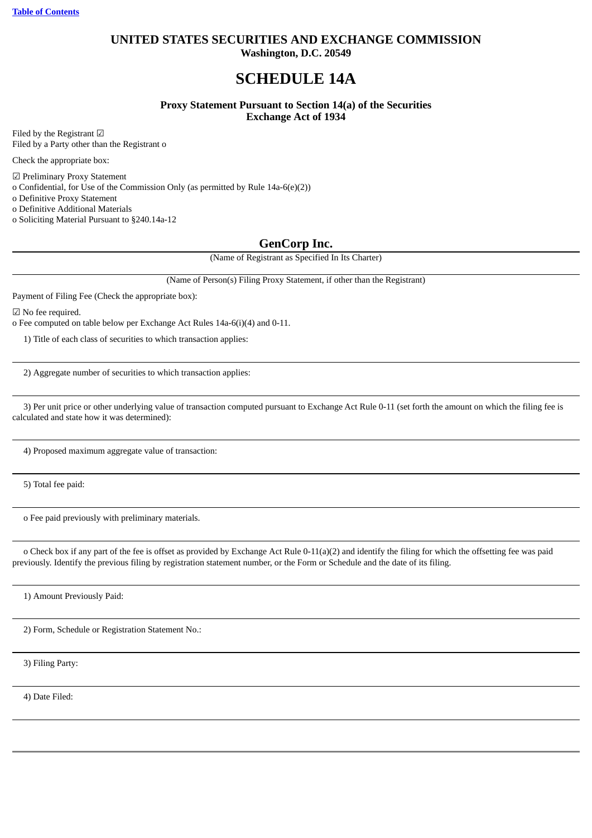# **UNITED STATES SECURITIES AND EXCHANGE COMMISSION Washington, D.C. 20549**

# **SCHEDULE 14A**

**Proxy Statement Pursuant to Section 14(a) of the Securities Exchange Act of 1934**

Filed by the Registrant ☑ Filed by a Party other than the Registrant o

Check the appropriate box:

☑ Preliminary Proxy Statement

o Confidential, for Use of the Commission Only (as permitted by Rule 14a-6(e)(2))

o Definitive Proxy Statement

o Definitive Additional Materials

o Soliciting Material Pursuant to §240.14a-12

# **GenCorp Inc.**

(Name of Registrant as Specified In Its Charter)

(Name of Person(s) Filing Proxy Statement, if other than the Registrant)

Payment of Filing Fee (Check the appropriate box):

☑ No fee required.

o Fee computed on table below per Exchange Act Rules 14a-6(i)(4) and 0-11.

1) Title of each class of securities to which transaction applies:

2) Aggregate number of securities to which transaction applies:

3) Per unit price or other underlying value of transaction computed pursuant to Exchange Act Rule 0-11 (set forth the amount on which the filing fee is calculated and state how it was determined):

4) Proposed maximum aggregate value of transaction:

5) Total fee paid:

o Fee paid previously with preliminary materials.

o Check box if any part of the fee is offset as provided by Exchange Act Rule 0-11(a)(2) and identify the filing for which the offsetting fee was paid previously. Identify the previous filing by registration statement number, or the Form or Schedule and the date of its filing.

1) Amount Previously Paid:

2) Form, Schedule or Registration Statement No.:

3) Filing Party:

4) Date Filed: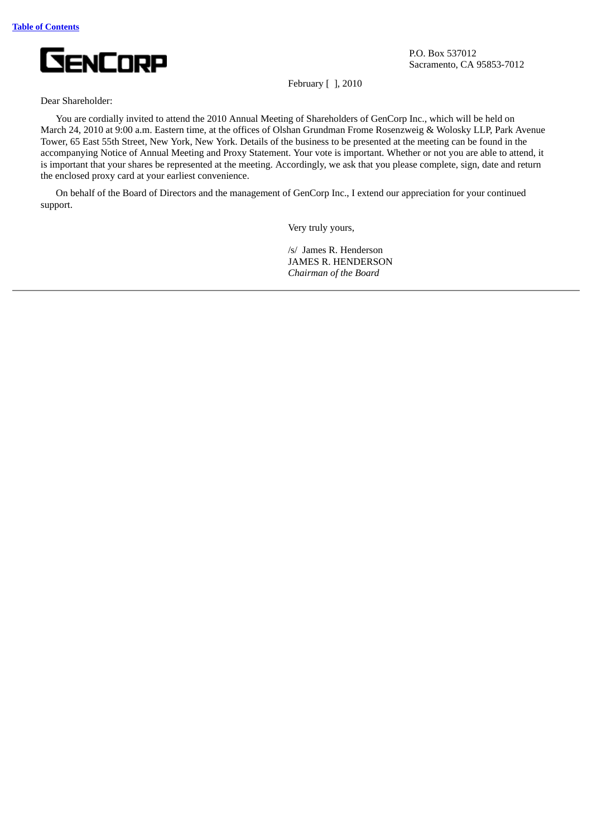

P.O. Box 537012 Sacramento, CA 95853-7012

February [ ], 2010

### Dear Shareholder:

You are cordially invited to attend the 2010 Annual Meeting of Shareholders of GenCorp Inc., which will be held on March 24, 2010 at 9:00 a.m. Eastern time, at the offices of Olshan Grundman Frome Rosenzweig & Wolosky LLP, Park Avenue Tower, 65 East 55th Street, New York, New York. Details of the business to be presented at the meeting can be found in the accompanying Notice of Annual Meeting and Proxy Statement. Your vote is important. Whether or not you are able to attend, it is important that your shares be represented at the meeting. Accordingly, we ask that you please complete, sign, date and return the enclosed proxy card at your earliest convenience.

<span id="page-2-0"></span>On behalf of the Board of Directors and the management of GenCorp Inc., I extend our appreciation for your continued support.

Very truly yours,

/s/ James R. Henderson JAMES R. HENDERSON *Chairman of the Board*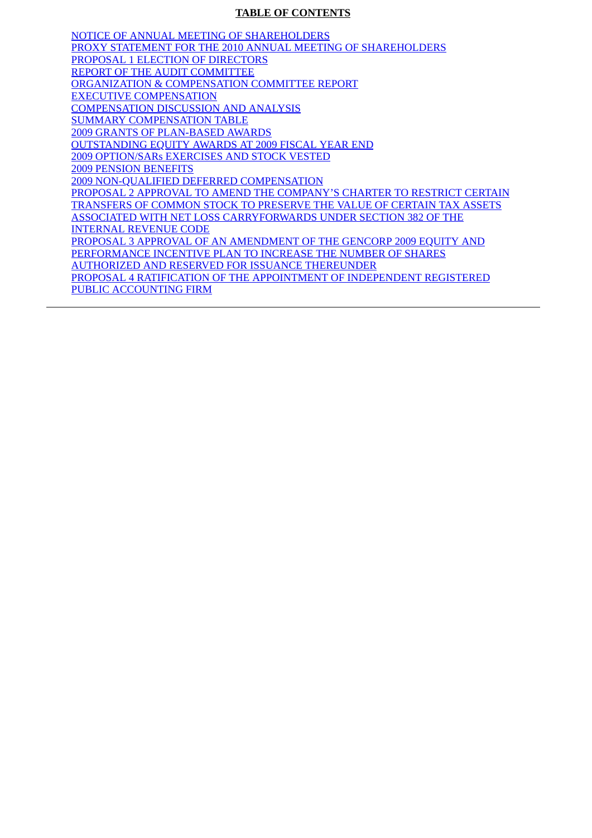# **TABLE OF CONTENTS**

[NOTICE OF ANNUAL MEETING OF SHAREHOLDERS](#page-4-0) [PROXY STATEMENT FOR THE 2010 ANNUAL MEETING OF SHAREHOLDERS](#page-6-0) [PROPOSAL 1 ELECTION OF DIRECTORS](#page-11-0) [REPORT OF THE AUDIT COMMITTEE](#page-26-0) [ORGANIZATION & COMPENSATION COMMITTEE REPORT](#page-27-0) [EXECUTIVE COMPENSATION](#page-27-1) [COMPENSATION DISCUSSION AND ANALYSIS](#page-28-0) [SUMMARY COMPENSATION TABLE](#page-37-0) [2009 GRANTS OF PLAN-BASED AWARDS](#page-39-0) [OUTSTANDING EQUITY AWARDS AT 2009 FISCAL YEAR END](#page-40-0) [2009 OPTION/SARs EXERCISES AND STOCK VESTED](#page-41-0) [2009 PENSION BENEFITS](#page-41-1) [2009 NON-QUALIFIED DEFERRED COMPENSATION](#page-44-0) [PROPOSAL 2 APPROVAL TO AMEND THE COMPANY'S CHARTER TO RESTRICT CERTAIN](#page-51-0) TRANSFERS OF COMMON STOCK TO PRESERVE THE VALUE OF CERTAIN TAX ASSETS ASSOCIATED WITH NET LOSS CARRYFORWARDS UNDER SECTION 382 OF THE INTERNAL REVENUE CODE [PROPOSAL 3 APPROVAL OF AN AMENDMENT OF THE GENCORP 2009 EQUITY AND](#page-55-0) PERFORMANCE INCENTIVE PLAN TO INCREASE THE NUMBER OF SHARES AUTHORIZED AND RESERVED FOR ISSUANCE THEREUNDER [PROPOSAL 4 RATIFICATION OF THE APPOINTMENT OF INDEPENDENT REGISTERED](#page-61-0) PUBLIC ACCOUNTING FIRM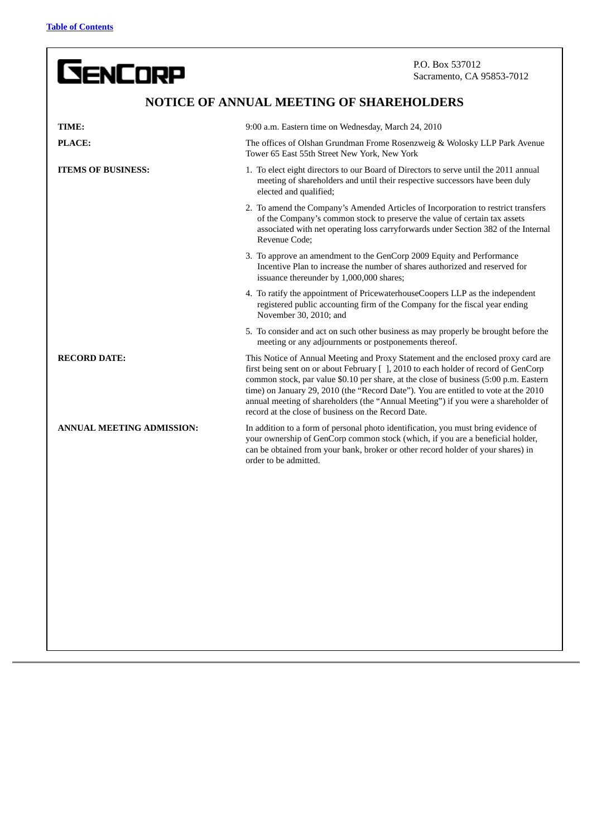**GENCORP** 

P.O. Box 537012 Sacramento, CA 95853-7012

# **NOTICE OF ANNUAL MEETING OF SHAREHOLDERS**

<span id="page-4-0"></span>

| TIME:                            | 9:00 a.m. Eastern time on Wednesday, March 24, 2010                                                                                                                                                                                                                                                                                                                                                                                                                                                  |
|----------------------------------|------------------------------------------------------------------------------------------------------------------------------------------------------------------------------------------------------------------------------------------------------------------------------------------------------------------------------------------------------------------------------------------------------------------------------------------------------------------------------------------------------|
| PLACE:                           | The offices of Olshan Grundman Frome Rosenzweig & Wolosky LLP Park Avenue<br>Tower 65 East 55th Street New York, New York                                                                                                                                                                                                                                                                                                                                                                            |
| <b>ITEMS OF BUSINESS:</b>        | 1. To elect eight directors to our Board of Directors to serve until the 2011 annual<br>meeting of shareholders and until their respective successors have been duly<br>elected and qualified;                                                                                                                                                                                                                                                                                                       |
|                                  | 2. To amend the Company's Amended Articles of Incorporation to restrict transfers<br>of the Company's common stock to preserve the value of certain tax assets<br>associated with net operating loss carryforwards under Section 382 of the Internal<br>Revenue Code:                                                                                                                                                                                                                                |
|                                  | 3. To approve an amendment to the GenCorp 2009 Equity and Performance<br>Incentive Plan to increase the number of shares authorized and reserved for<br>issuance thereunder by 1,000,000 shares;                                                                                                                                                                                                                                                                                                     |
|                                  | 4. To ratify the appointment of PricewaterhouseCoopers LLP as the independent<br>registered public accounting firm of the Company for the fiscal year ending<br>November 30, 2010; and                                                                                                                                                                                                                                                                                                               |
|                                  | 5. To consider and act on such other business as may properly be brought before the<br>meeting or any adjournments or postponements thereof.                                                                                                                                                                                                                                                                                                                                                         |
| <b>RECORD DATE:</b>              | This Notice of Annual Meeting and Proxy Statement and the enclosed proxy card are<br>first being sent on or about February [], 2010 to each holder of record of GenCorp<br>common stock, par value \$0.10 per share, at the close of business (5:00 p.m. Eastern<br>time) on January 29, 2010 (the "Record Date"). You are entitled to vote at the 2010<br>annual meeting of shareholders (the "Annual Meeting") if you were a shareholder of<br>record at the close of business on the Record Date. |
| <b>ANNUAL MEETING ADMISSION:</b> | In addition to a form of personal photo identification, you must bring evidence of<br>your ownership of GenCorp common stock (which, if you are a beneficial holder,<br>can be obtained from your bank, broker or other record holder of your shares) in<br>order to be admitted.                                                                                                                                                                                                                    |
|                                  |                                                                                                                                                                                                                                                                                                                                                                                                                                                                                                      |
|                                  |                                                                                                                                                                                                                                                                                                                                                                                                                                                                                                      |
|                                  |                                                                                                                                                                                                                                                                                                                                                                                                                                                                                                      |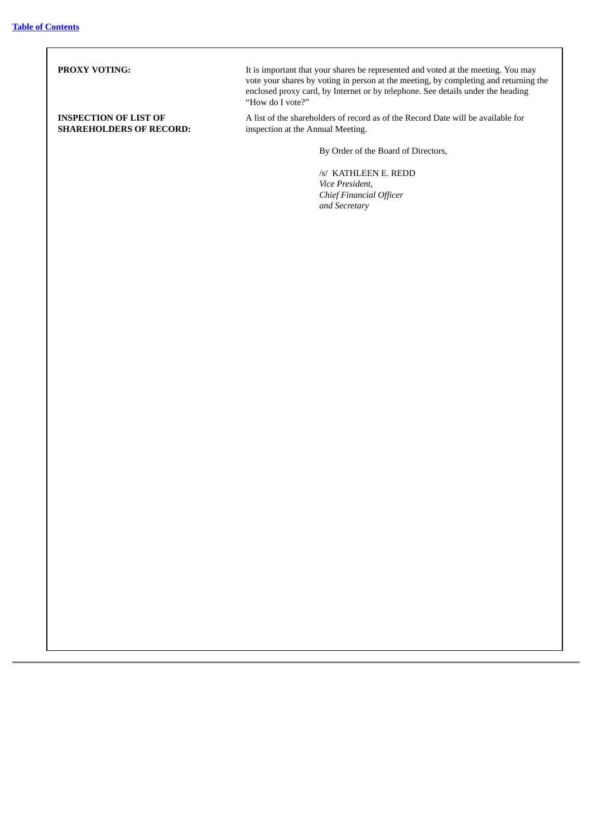**PROXY VOTING:** It is important that your shares be represented and voted at the meeting. You may vote your shares by voting in person at the meeting, by completing and returning the enclosed proxy card, by Internet or by telephone. See details under the heading "How do I vote?" **INSPECTION OF LIST OF SHAREHOLDERS OF RECORD:** A list of the shareholders of record as of the Record Date will be available for inspection at the Annual Meeting. By Order of the Board of Directors, /s/ KATHLEEN E. REDD *Vice President, Chief Financial Officer and Secretary*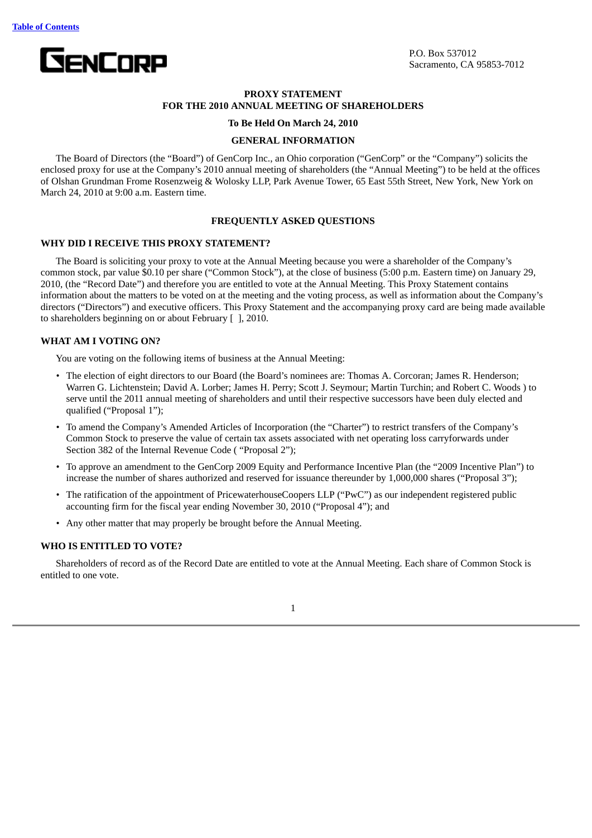<span id="page-6-0"></span>

# **PROXY STATEMENT FOR THE 2010 ANNUAL MEETING OF SHAREHOLDERS**

### **To Be Held On March 24, 2010**

### **GENERAL INFORMATION**

The Board of Directors (the "Board") of GenCorp Inc., an Ohio corporation ("GenCorp" or the "Company") solicits the enclosed proxy for use at the Company's 2010 annual meeting of shareholders (the "Annual Meeting") to be held at the offices of Olshan Grundman Frome Rosenzweig & Wolosky LLP, Park Avenue Tower, 65 East 55th Street, New York, New York on March 24, 2010 at 9:00 a.m. Eastern time.

### **FREQUENTLY ASKED QUESTIONS**

# **WHY DID I RECEIVE THIS PROXY STATEMENT?**

The Board is soliciting your proxy to vote at the Annual Meeting because you were a shareholder of the Company's common stock, par value \$0.10 per share ("Common Stock"), at the close of business (5:00 p.m. Eastern time) on January 29, 2010, (the "Record Date") and therefore you are entitled to vote at the Annual Meeting. This Proxy Statement contains information about the matters to be voted on at the meeting and the voting process, as well as information about the Company's directors ("Directors") and executive officers. This Proxy Statement and the accompanying proxy card are being made available to shareholders beginning on or about February [ ], 2010.

# **WHAT AM I VOTING ON?**

You are voting on the following items of business at the Annual Meeting:

- The election of eight directors to our Board (the Board's nominees are: Thomas A. Corcoran; James R. Henderson; Warren G. Lichtenstein; David A. Lorber; James H. Perry; Scott J. Seymour; Martin Turchin; and Robert C. Woods ) to serve until the 2011 annual meeting of shareholders and until their respective successors have been duly elected and qualified ("Proposal 1");
- To amend the Company's Amended Articles of Incorporation (the "Charter") to restrict transfers of the Company's Common Stock to preserve the value of certain tax assets associated with net operating loss carryforwards under Section 382 of the Internal Revenue Code ( "Proposal 2");
- To approve an amendment to the GenCorp 2009 Equity and Performance Incentive Plan (the "2009 Incentive Plan") to increase the number of shares authorized and reserved for issuance thereunder by 1,000,000 shares ("Proposal 3");
- The ratification of the appointment of PricewaterhouseCoopers LLP ("PwC") as our independent registered public accounting firm for the fiscal year ending November 30, 2010 ("Proposal 4"); and
- Any other matter that may properly be brought before the Annual Meeting.

### **WHO IS ENTITLED TO VOTE?**

Shareholders of record as of the Record Date are entitled to vote at the Annual Meeting. Each share of Common Stock is entitled to one vote.

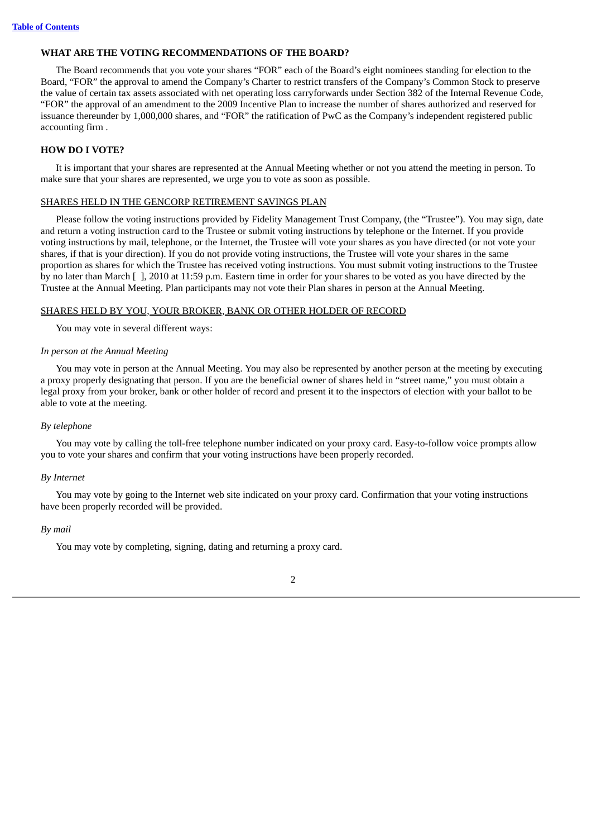### **WHAT ARE THE VOTING RECOMMENDATIONS OF THE BOARD?**

The Board recommends that you vote your shares "FOR" each of the Board's eight nominees standing for election to the Board, "FOR" the approval to amend the Company's Charter to restrict transfers of the Company's Common Stock to preserve the value of certain tax assets associated with net operating loss carryforwards under Section 382 of the Internal Revenue Code, "FOR" the approval of an amendment to the 2009 Incentive Plan to increase the number of shares authorized and reserved for issuance thereunder by 1,000,000 shares, and "FOR" the ratification of PwC as the Company's independent registered public accounting firm .

# **HOW DO I VOTE?**

It is important that your shares are represented at the Annual Meeting whether or not you attend the meeting in person. To make sure that your shares are represented, we urge you to vote as soon as possible.

### SHARES HELD IN THE GENCORP RETIREMENT SAVINGS PLAN

Please follow the voting instructions provided by Fidelity Management Trust Company, (the "Trustee"). You may sign, date and return a voting instruction card to the Trustee or submit voting instructions by telephone or the Internet. If you provide voting instructions by mail, telephone, or the Internet, the Trustee will vote your shares as you have directed (or not vote your shares, if that is your direction). If you do not provide voting instructions, the Trustee will vote your shares in the same proportion as shares for which the Trustee has received voting instructions. You must submit voting instructions to the Trustee by no later than March [ ], 2010 at 11:59 p.m. Eastern time in order for your shares to be voted as you have directed by the Trustee at the Annual Meeting. Plan participants may not vote their Plan shares in person at the Annual Meeting.

### SHARES HELD BY YOU, YOUR BROKER, BANK OR OTHER HOLDER OF RECORD

You may vote in several different ways:

#### *In person at the Annual Meeting*

You may vote in person at the Annual Meeting. You may also be represented by another person at the meeting by executing a proxy properly designating that person. If you are the beneficial owner of shares held in "street name," you must obtain a legal proxy from your broker, bank or other holder of record and present it to the inspectors of election with your ballot to be able to vote at the meeting.

#### *By telephone*

You may vote by calling the toll-free telephone number indicated on your proxy card. Easy-to-follow voice prompts allow you to vote your shares and confirm that your voting instructions have been properly recorded.

### *By Internet*

You may vote by going to the Internet web site indicated on your proxy card. Confirmation that your voting instructions have been properly recorded will be provided.

### *By mail*

You may vote by completing, signing, dating and returning a proxy card.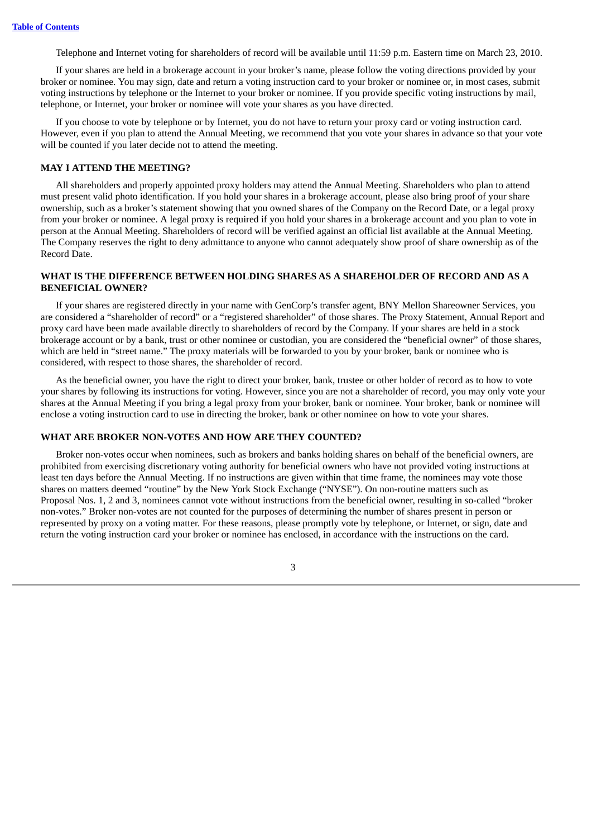Telephone and Internet voting for shareholders of record will be available until 11:59 p.m. Eastern time on March 23, 2010.

If your shares are held in a brokerage account in your broker's name, please follow the voting directions provided by your broker or nominee. You may sign, date and return a voting instruction card to your broker or nominee or, in most cases, submit voting instructions by telephone or the Internet to your broker or nominee. If you provide specific voting instructions by mail, telephone, or Internet, your broker or nominee will vote your shares as you have directed.

If you choose to vote by telephone or by Internet, you do not have to return your proxy card or voting instruction card. However, even if you plan to attend the Annual Meeting, we recommend that you vote your shares in advance so that your vote will be counted if you later decide not to attend the meeting.

# **MAY I ATTEND THE MEETING?**

All shareholders and properly appointed proxy holders may attend the Annual Meeting. Shareholders who plan to attend must present valid photo identification. If you hold your shares in a brokerage account, please also bring proof of your share ownership, such as a broker's statement showing that you owned shares of the Company on the Record Date, or a legal proxy from your broker or nominee. A legal proxy is required if you hold your shares in a brokerage account and you plan to vote in person at the Annual Meeting. Shareholders of record will be verified against an official list available at the Annual Meeting. The Company reserves the right to deny admittance to anyone who cannot adequately show proof of share ownership as of the Record Date.

# **WHAT IS THE DIFFERENCE BETWEEN HOLDING SHARES AS A SHAREHOLDER OF RECORD AND AS A BENEFICIAL OWNER?**

If your shares are registered directly in your name with GenCorp's transfer agent, BNY Mellon Shareowner Services, you are considered a "shareholder of record" or a "registered shareholder" of those shares. The Proxy Statement, Annual Report and proxy card have been made available directly to shareholders of record by the Company. If your shares are held in a stock brokerage account or by a bank, trust or other nominee or custodian, you are considered the "beneficial owner" of those shares, which are held in "street name." The proxy materials will be forwarded to you by your broker, bank or nominee who is considered, with respect to those shares, the shareholder of record.

As the beneficial owner, you have the right to direct your broker, bank, trustee or other holder of record as to how to vote your shares by following its instructions for voting. However, since you are not a shareholder of record, you may only vote your shares at the Annual Meeting if you bring a legal proxy from your broker, bank or nominee. Your broker, bank or nominee will enclose a voting instruction card to use in directing the broker, bank or other nominee on how to vote your shares.

# **WHAT ARE BROKER NON-VOTES AND HOW ARE THEY COUNTED?**

Broker non-votes occur when nominees, such as brokers and banks holding shares on behalf of the beneficial owners, are prohibited from exercising discretionary voting authority for beneficial owners who have not provided voting instructions at least ten days before the Annual Meeting. If no instructions are given within that time frame, the nominees may vote those shares on matters deemed "routine" by the New York Stock Exchange ("NYSE"). On non-routine matters such as Proposal Nos. 1, 2 and 3, nominees cannot vote without instructions from the beneficial owner, resulting in so-called "broker non-votes." Broker non-votes are not counted for the purposes of determining the number of shares present in person or represented by proxy on a voting matter. For these reasons, please promptly vote by telephone, or Internet, or sign, date and return the voting instruction card your broker or nominee has enclosed, in accordance with the instructions on the card.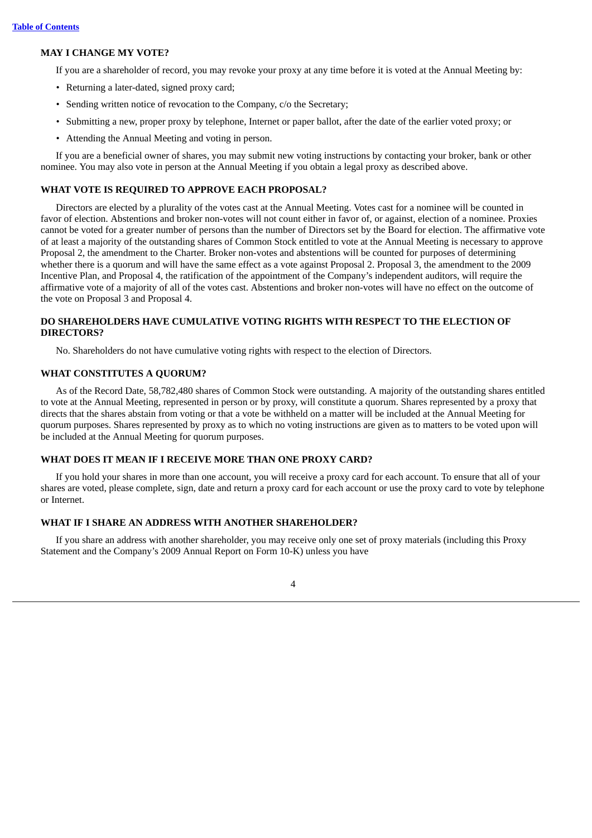### **MAY I CHANGE MY VOTE?**

If you are a shareholder of record, you may revoke your proxy at any time before it is voted at the Annual Meeting by:

- Returning a later-dated, signed proxy card;
- Sending written notice of revocation to the Company, c/o the Secretary;
- Submitting a new, proper proxy by telephone, Internet or paper ballot, after the date of the earlier voted proxy; or
- Attending the Annual Meeting and voting in person.

If you are a beneficial owner of shares, you may submit new voting instructions by contacting your broker, bank or other nominee. You may also vote in person at the Annual Meeting if you obtain a legal proxy as described above.

### **WHAT VOTE IS REQUIRED TO APPROVE EACH PROPOSAL?**

Directors are elected by a plurality of the votes cast at the Annual Meeting. Votes cast for a nominee will be counted in favor of election. Abstentions and broker non-votes will not count either in favor of, or against, election of a nominee. Proxies cannot be voted for a greater number of persons than the number of Directors set by the Board for election. The affirmative vote of at least a majority of the outstanding shares of Common Stock entitled to vote at the Annual Meeting is necessary to approve Proposal 2, the amendment to the Charter. Broker non-votes and abstentions will be counted for purposes of determining whether there is a quorum and will have the same effect as a vote against Proposal 2. Proposal 3, the amendment to the 2009 Incentive Plan, and Proposal 4, the ratification of the appointment of the Company's independent auditors, will require the affirmative vote of a majority of all of the votes cast. Abstentions and broker non-votes will have no effect on the outcome of the vote on Proposal 3 and Proposal 4.

# **DO SHAREHOLDERS HAVE CUMULATIVE VOTING RIGHTS WITH RESPECT TO THE ELECTION OF DIRECTORS?**

No. Shareholders do not have cumulative voting rights with respect to the election of Directors.

### **WHAT CONSTITUTES A QUORUM?**

As of the Record Date, 58,782,480 shares of Common Stock were outstanding. A majority of the outstanding shares entitled to vote at the Annual Meeting, represented in person or by proxy, will constitute a quorum. Shares represented by a proxy that directs that the shares abstain from voting or that a vote be withheld on a matter will be included at the Annual Meeting for quorum purposes. Shares represented by proxy as to which no voting instructions are given as to matters to be voted upon will be included at the Annual Meeting for quorum purposes.

### **WHAT DOES IT MEAN IF I RECEIVE MORE THAN ONE PROXY CARD?**

If you hold your shares in more than one account, you will receive a proxy card for each account. To ensure that all of your shares are voted, please complete, sign, date and return a proxy card for each account or use the proxy card to vote by telephone or Internet.

# **WHAT IF I SHARE AN ADDRESS WITH ANOTHER SHAREHOLDER?**

If you share an address with another shareholder, you may receive only one set of proxy materials (including this Proxy Statement and the Company's 2009 Annual Report on Form 10-K) unless you have

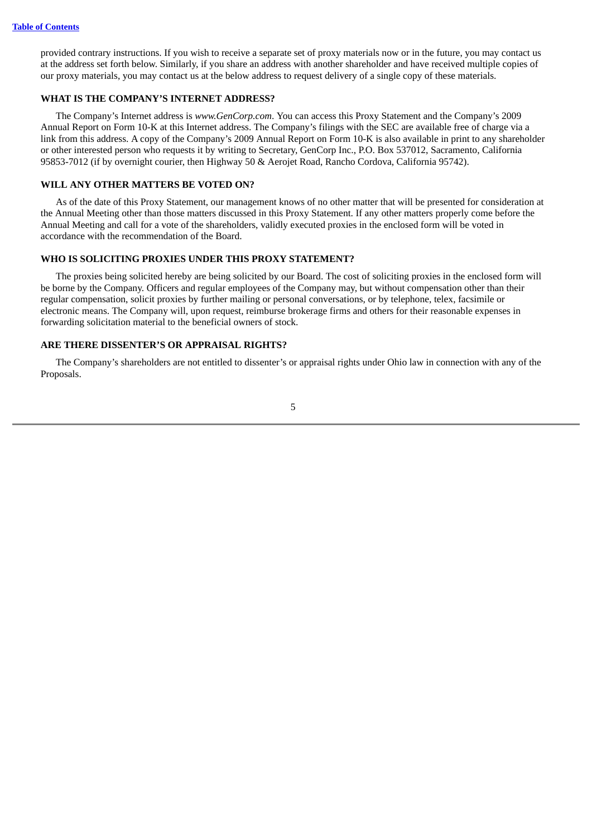provided contrary instructions. If you wish to receive a separate set of proxy materials now or in the future, you may contact us at the address set forth below. Similarly, if you share an address with another shareholder and have received multiple copies of our proxy materials, you may contact us at the below address to request delivery of a single copy of these materials.

# **WHAT IS THE COMPANY'S INTERNET ADDRESS?**

The Company's Internet address is *www.GenCorp.com*. You can access this Proxy Statement and the Company's 2009 Annual Report on Form 10-K at this Internet address. The Company's filings with the SEC are available free of charge via a link from this address. A copy of the Company's 2009 Annual Report on Form 10-K is also available in print to any shareholder or other interested person who requests it by writing to Secretary, GenCorp Inc., P.O. Box 537012, Sacramento, California 95853-7012 (if by overnight courier, then Highway 50 & Aerojet Road, Rancho Cordova, California 95742).

### **WILL ANY OTHER MATTERS BE VOTED ON?**

As of the date of this Proxy Statement, our management knows of no other matter that will be presented for consideration at the Annual Meeting other than those matters discussed in this Proxy Statement. If any other matters properly come before the Annual Meeting and call for a vote of the shareholders, validly executed proxies in the enclosed form will be voted in accordance with the recommendation of the Board.

# **WHO IS SOLICITING PROXIES UNDER THIS PROXY STATEMENT?**

The proxies being solicited hereby are being solicited by our Board. The cost of soliciting proxies in the enclosed form will be borne by the Company. Officers and regular employees of the Company may, but without compensation other than their regular compensation, solicit proxies by further mailing or personal conversations, or by telephone, telex, facsimile or electronic means. The Company will, upon request, reimburse brokerage firms and others for their reasonable expenses in forwarding solicitation material to the beneficial owners of stock.

# **ARE THERE DISSENTER'S OR APPRAISAL RIGHTS?**

The Company's shareholders are not entitled to dissenter's or appraisal rights under Ohio law in connection with any of the Proposals.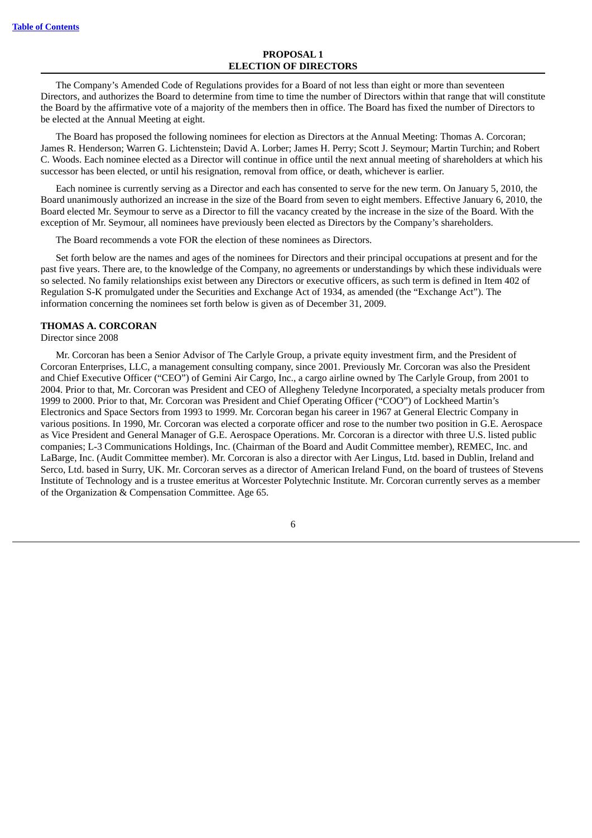### **PROPOSAL 1 ELECTION OF DIRECTORS**

<span id="page-11-0"></span>The Company's Amended Code of Regulations provides for a Board of not less than eight or more than seventeen Directors, and authorizes the Board to determine from time to time the number of Directors within that range that will constitute the Board by the affirmative vote of a majority of the members then in office. The Board has fixed the number of Directors to be elected at the Annual Meeting at eight.

The Board has proposed the following nominees for election as Directors at the Annual Meeting: Thomas A. Corcoran; James R. Henderson; Warren G. Lichtenstein; David A. Lorber; James H. Perry; Scott J. Seymour; Martin Turchin; and Robert C. Woods. Each nominee elected as a Director will continue in office until the next annual meeting of shareholders at which his successor has been elected, or until his resignation, removal from office, or death, whichever is earlier.

Each nominee is currently serving as a Director and each has consented to serve for the new term. On January 5, 2010, the Board unanimously authorized an increase in the size of the Board from seven to eight members. Effective January 6, 2010, the Board elected Mr. Seymour to serve as a Director to fill the vacancy created by the increase in the size of the Board. With the exception of Mr. Seymour, all nominees have previously been elected as Directors by the Company's shareholders.

The Board recommends a vote FOR the election of these nominees as Directors.

Set forth below are the names and ages of the nominees for Directors and their principal occupations at present and for the past five years. There are, to the knowledge of the Company, no agreements or understandings by which these individuals were so selected. No family relationships exist between any Directors or executive officers, as such term is defined in Item 402 of Regulation S-K promulgated under the Securities and Exchange Act of 1934, as amended (the "Exchange Act"). The information concerning the nominees set forth below is given as of December 31, 2009.

### **THOMAS A. CORCORAN**

Director since 2008

Mr. Corcoran has been a Senior Advisor of The Carlyle Group, a private equity investment firm, and the President of Corcoran Enterprises, LLC, a management consulting company, since 2001. Previously Mr. Corcoran was also the President and Chief Executive Officer ("CEO") of Gemini Air Cargo, Inc., a cargo airline owned by The Carlyle Group, from 2001 to 2004. Prior to that, Mr. Corcoran was President and CEO of Allegheny Teledyne Incorporated, a specialty metals producer from 1999 to 2000. Prior to that, Mr. Corcoran was President and Chief Operating Officer ("COO") of Lockheed Martin's Electronics and Space Sectors from 1993 to 1999. Mr. Corcoran began his career in 1967 at General Electric Company in various positions. In 1990, Mr. Corcoran was elected a corporate officer and rose to the number two position in G.E. Aerospace as Vice President and General Manager of G.E. Aerospace Operations. Mr. Corcoran is a director with three U.S. listed public companies; L-3 Communications Holdings, Inc. (Chairman of the Board and Audit Committee member), REMEC, Inc. and LaBarge, Inc. (Audit Committee member). Mr. Corcoran is also a director with Aer Lingus, Ltd. based in Dublin, Ireland and Serco, Ltd. based in Surry, UK. Mr. Corcoran serves as a director of American Ireland Fund, on the board of trustees of Stevens Institute of Technology and is a trustee emeritus at Worcester Polytechnic Institute. Mr. Corcoran currently serves as a member of the Organization & Compensation Committee. Age 65.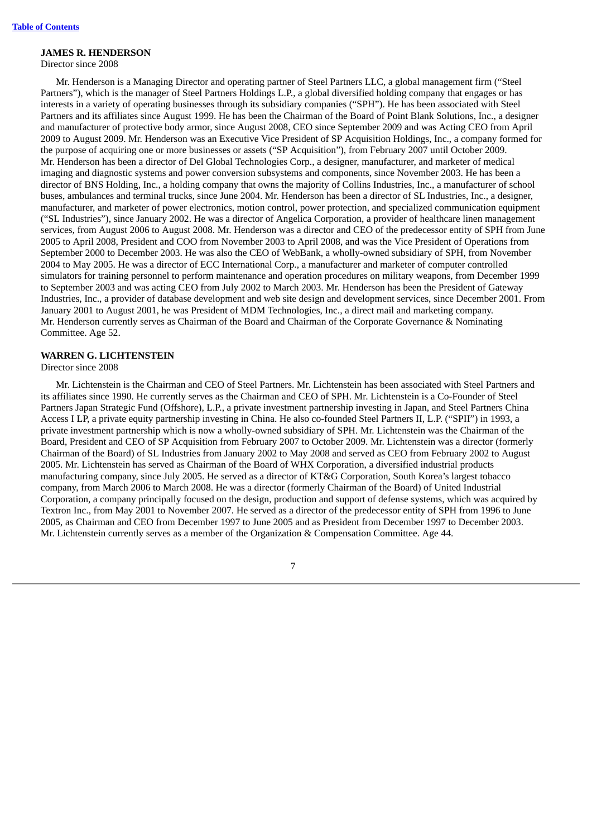### **JAMES R. HENDERSON**

Director since 2008

Mr. Henderson is a Managing Director and operating partner of Steel Partners LLC, a global management firm ("Steel Partners"), which is the manager of Steel Partners Holdings L.P., a global diversified holding company that engages or has interests in a variety of operating businesses through its subsidiary companies ("SPH"). He has been associated with Steel Partners and its affiliates since August 1999. He has been the Chairman of the Board of Point Blank Solutions, Inc., a designer and manufacturer of protective body armor, since August 2008, CEO since September 2009 and was Acting CEO from April 2009 to August 2009. Mr. Henderson was an Executive Vice President of SP Acquisition Holdings, Inc., a company formed for the purpose of acquiring one or more businesses or assets ("SP Acquisition"), from February 2007 until October 2009. Mr. Henderson has been a director of Del Global Technologies Corp., a designer, manufacturer, and marketer of medical imaging and diagnostic systems and power conversion subsystems and components, since November 2003. He has been a director of BNS Holding, Inc., a holding company that owns the majority of Collins Industries, Inc., a manufacturer of school buses, ambulances and terminal trucks, since June 2004. Mr. Henderson has been a director of SL Industries, Inc., a designer, manufacturer, and marketer of power electronics, motion control, power protection, and specialized communication equipment ("SL Industries"), since January 2002. He was a director of Angelica Corporation, a provider of healthcare linen management services, from August 2006 to August 2008. Mr. Henderson was a director and CEO of the predecessor entity of SPH from June 2005 to April 2008, President and COO from November 2003 to April 2008, and was the Vice President of Operations from September 2000 to December 2003. He was also the CEO of WebBank, a wholly-owned subsidiary of SPH, from November 2004 to May 2005. He was a director of ECC International Corp., a manufacturer and marketer of computer controlled simulators for training personnel to perform maintenance and operation procedures on military weapons, from December 1999 to September 2003 and was acting CEO from July 2002 to March 2003. Mr. Henderson has been the President of Gateway Industries, Inc., a provider of database development and web site design and development services, since December 2001. From January 2001 to August 2001, he was President of MDM Technologies, Inc., a direct mail and marketing company. Mr. Henderson currently serves as Chairman of the Board and Chairman of the Corporate Governance & Nominating Committee. Age 52.

# **WARREN G. LICHTENSTEIN**

Director since 2008

Mr. Lichtenstein is the Chairman and CEO of Steel Partners. Mr. Lichtenstein has been associated with Steel Partners and its affiliates since 1990. He currently serves as the Chairman and CEO of SPH. Mr. Lichtenstein is a Co-Founder of Steel Partners Japan Strategic Fund (Offshore), L.P., a private investment partnership investing in Japan, and Steel Partners China Access I LP, a private equity partnership investing in China. He also co-founded Steel Partners II, L.P. ("SPII") in 1993, a private investment partnership which is now a wholly-owned subsidiary of SPH. Mr. Lichtenstein was the Chairman of the Board, President and CEO of SP Acquisition from February 2007 to October 2009. Mr. Lichtenstein was a director (formerly Chairman of the Board) of SL Industries from January 2002 to May 2008 and served as CEO from February 2002 to August 2005. Mr. Lichtenstein has served as Chairman of the Board of WHX Corporation, a diversified industrial products manufacturing company, since July 2005. He served as a director of KT&G Corporation, South Korea's largest tobacco company, from March 2006 to March 2008. He was a director (formerly Chairman of the Board) of United Industrial Corporation, a company principally focused on the design, production and support of defense systems, which was acquired by Textron Inc., from May 2001 to November 2007. He served as a director of the predecessor entity of SPH from 1996 to June 2005, as Chairman and CEO from December 1997 to June 2005 and as President from December 1997 to December 2003. Mr. Lichtenstein currently serves as a member of the Organization & Compensation Committee. Age 44.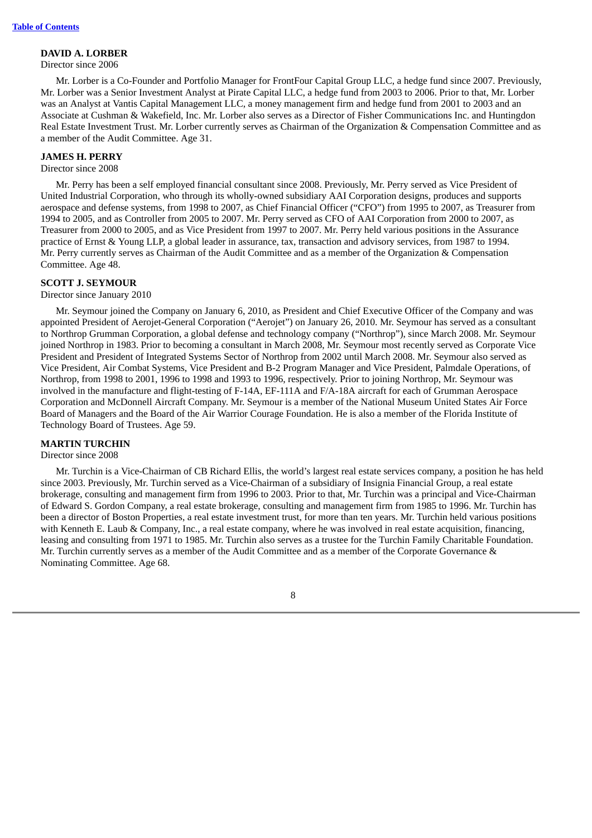# **DAVID A. LORBER**

# Director since 2006

Mr. Lorber is a Co-Founder and Portfolio Manager for FrontFour Capital Group LLC, a hedge fund since 2007. Previously, Mr. Lorber was a Senior Investment Analyst at Pirate Capital LLC, a hedge fund from 2003 to 2006. Prior to that, Mr. Lorber was an Analyst at Vantis Capital Management LLC, a money management firm and hedge fund from 2001 to 2003 and an Associate at Cushman & Wakefield, Inc. Mr. Lorber also serves as a Director of Fisher Communications Inc. and Huntingdon Real Estate Investment Trust. Mr. Lorber currently serves as Chairman of the Organization & Compensation Committee and as a member of the Audit Committee. Age 31.

# **JAMES H. PERRY**

### Director since 2008

Mr. Perry has been a self employed financial consultant since 2008. Previously, Mr. Perry served as Vice President of United Industrial Corporation, who through its wholly-owned subsidiary AAI Corporation designs, produces and supports aerospace and defense systems, from 1998 to 2007, as Chief Financial Officer ("CFO") from 1995 to 2007, as Treasurer from 1994 to 2005, and as Controller from 2005 to 2007. Mr. Perry served as CFO of AAI Corporation from 2000 to 2007, as Treasurer from 2000 to 2005, and as Vice President from 1997 to 2007. Mr. Perry held various positions in the Assurance practice of Ernst & Young LLP, a global leader in assurance, tax, transaction and advisory services, from 1987 to 1994. Mr. Perry currently serves as Chairman of the Audit Committee and as a member of the Organization & Compensation Committee. Age 48.

# **SCOTT J. SEYMOUR**

### Director since January 2010

Mr. Seymour joined the Company on January 6, 2010, as President and Chief Executive Officer of the Company and was appointed President of Aerojet-General Corporation ("Aerojet") on January 26, 2010. Mr. Seymour has served as a consultant to Northrop Grumman Corporation, a global defense and technology company ("Northrop"), since March 2008. Mr. Seymour joined Northrop in 1983. Prior to becoming a consultant in March 2008, Mr. Seymour most recently served as Corporate Vice President and President of Integrated Systems Sector of Northrop from 2002 until March 2008. Mr. Seymour also served as Vice President, Air Combat Systems, Vice President and B-2 Program Manager and Vice President, Palmdale Operations, of Northrop, from 1998 to 2001, 1996 to 1998 and 1993 to 1996, respectively. Prior to joining Northrop, Mr. Seymour was involved in the manufacture and flight-testing of F-14A, EF-111A and F/A-18A aircraft for each of Grumman Aerospace Corporation and McDonnell Aircraft Company. Mr. Seymour is a member of the National Museum United States Air Force Board of Managers and the Board of the Air Warrior Courage Foundation. He is also a member of the Florida Institute of Technology Board of Trustees. Age 59.

# **MARTIN TURCHIN**

# Director since 2008

Mr. Turchin is a Vice-Chairman of CB Richard Ellis, the world's largest real estate services company, a position he has held since 2003. Previously, Mr. Turchin served as a Vice-Chairman of a subsidiary of Insignia Financial Group, a real estate brokerage, consulting and management firm from 1996 to 2003. Prior to that, Mr. Turchin was a principal and Vice-Chairman of Edward S. Gordon Company, a real estate brokerage, consulting and management firm from 1985 to 1996. Mr. Turchin has been a director of Boston Properties, a real estate investment trust, for more than ten years. Mr. Turchin held various positions with Kenneth E. Laub & Company, Inc., a real estate company, where he was involved in real estate acquisition, financing, leasing and consulting from 1971 to 1985. Mr. Turchin also serves as a trustee for the Turchin Family Charitable Foundation. Mr. Turchin currently serves as a member of the Audit Committee and as a member of the Corporate Governance & Nominating Committee. Age 68.

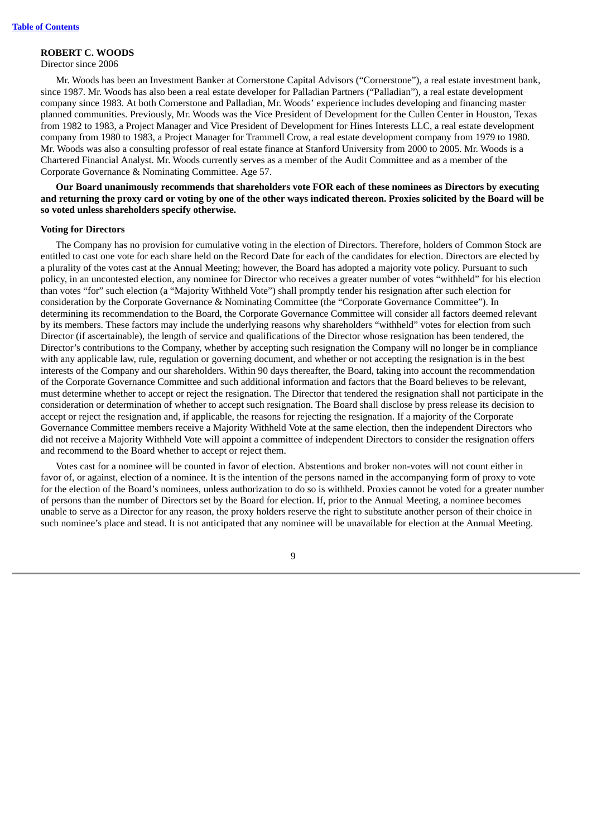# **ROBERT C. WOODS**

Director since 2006

Mr. Woods has been an Investment Banker at Cornerstone Capital Advisors ("Cornerstone"), a real estate investment bank, since 1987. Mr. Woods has also been a real estate developer for Palladian Partners ("Palladian"), a real estate development company since 1983. At both Cornerstone and Palladian, Mr. Woods' experience includes developing and financing master planned communities. Previously, Mr. Woods was the Vice President of Development for the Cullen Center in Houston, Texas from 1982 to 1983, a Project Manager and Vice President of Development for Hines Interests LLC, a real estate development company from 1980 to 1983, a Project Manager for Trammell Crow, a real estate development company from 1979 to 1980. Mr. Woods was also a consulting professor of real estate finance at Stanford University from 2000 to 2005. Mr. Woods is a Chartered Financial Analyst. Mr. Woods currently serves as a member of the Audit Committee and as a member of the Corporate Governance & Nominating Committee. Age 57.

**Our Board unanimously recommends that shareholders vote FOR each of these nominees as Directors by executing** and returning the proxy card or voting by one of the other ways indicated thereon. Proxies solicited by the Board will be **so voted unless shareholders specify otherwise.**

### **Voting for Directors**

The Company has no provision for cumulative voting in the election of Directors. Therefore, holders of Common Stock are entitled to cast one vote for each share held on the Record Date for each of the candidates for election. Directors are elected by a plurality of the votes cast at the Annual Meeting; however, the Board has adopted a majority vote policy. Pursuant to such policy, in an uncontested election, any nominee for Director who receives a greater number of votes "withheld" for his election than votes "for" such election (a "Majority Withheld Vote") shall promptly tender his resignation after such election for consideration by the Corporate Governance & Nominating Committee (the "Corporate Governance Committee"). In determining its recommendation to the Board, the Corporate Governance Committee will consider all factors deemed relevant by its members. These factors may include the underlying reasons why shareholders "withheld" votes for election from such Director (if ascertainable), the length of service and qualifications of the Director whose resignation has been tendered, the Director's contributions to the Company, whether by accepting such resignation the Company will no longer be in compliance with any applicable law, rule, regulation or governing document, and whether or not accepting the resignation is in the best interests of the Company and our shareholders. Within 90 days thereafter, the Board, taking into account the recommendation of the Corporate Governance Committee and such additional information and factors that the Board believes to be relevant, must determine whether to accept or reject the resignation. The Director that tendered the resignation shall not participate in the consideration or determination of whether to accept such resignation. The Board shall disclose by press release its decision to accept or reject the resignation and, if applicable, the reasons for rejecting the resignation. If a majority of the Corporate Governance Committee members receive a Majority Withheld Vote at the same election, then the independent Directors who did not receive a Majority Withheld Vote will appoint a committee of independent Directors to consider the resignation offers and recommend to the Board whether to accept or reject them.

Votes cast for a nominee will be counted in favor of election. Abstentions and broker non-votes will not count either in favor of, or against, election of a nominee. It is the intention of the persons named in the accompanying form of proxy to vote for the election of the Board's nominees, unless authorization to do so is withheld. Proxies cannot be voted for a greater number of persons than the number of Directors set by the Board for election. If, prior to the Annual Meeting, a nominee becomes unable to serve as a Director for any reason, the proxy holders reserve the right to substitute another person of their choice in such nominee's place and stead. It is not anticipated that any nominee will be unavailable for election at the Annual Meeting.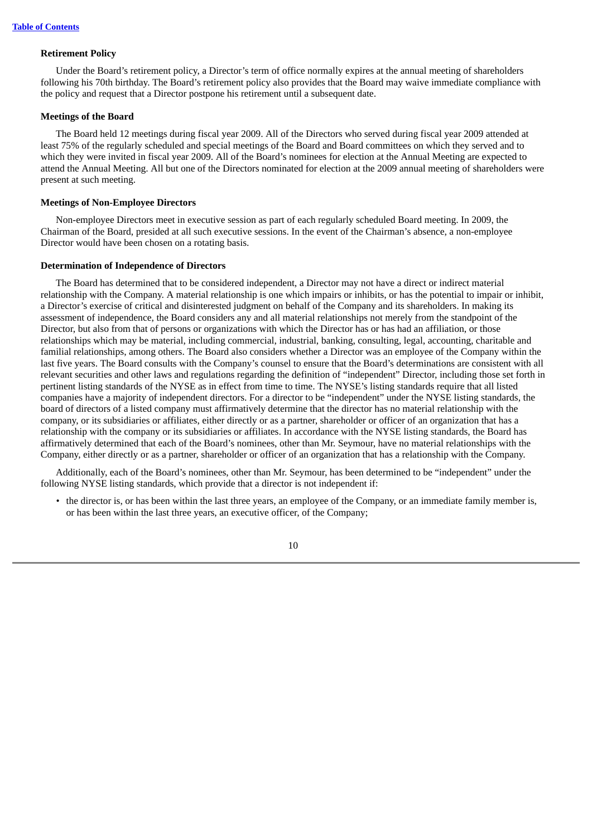### **Retirement Policy**

Under the Board's retirement policy, a Director's term of office normally expires at the annual meeting of shareholders following his 70th birthday. The Board's retirement policy also provides that the Board may waive immediate compliance with the policy and request that a Director postpone his retirement until a subsequent date.

### **Meetings of the Board**

The Board held 12 meetings during fiscal year 2009. All of the Directors who served during fiscal year 2009 attended at least 75% of the regularly scheduled and special meetings of the Board and Board committees on which they served and to which they were invited in fiscal year 2009. All of the Board's nominees for election at the Annual Meeting are expected to attend the Annual Meeting. All but one of the Directors nominated for election at the 2009 annual meeting of shareholders were present at such meeting.

### **Meetings of Non-Employee Directors**

Non-employee Directors meet in executive session as part of each regularly scheduled Board meeting. In 2009, the Chairman of the Board, presided at all such executive sessions. In the event of the Chairman's absence, a non-employee Director would have been chosen on a rotating basis.

# **Determination of Independence of Directors**

The Board has determined that to be considered independent, a Director may not have a direct or indirect material relationship with the Company. A material relationship is one which impairs or inhibits, or has the potential to impair or inhibit, a Director's exercise of critical and disinterested judgment on behalf of the Company and its shareholders. In making its assessment of independence, the Board considers any and all material relationships not merely from the standpoint of the Director, but also from that of persons or organizations with which the Director has or has had an affiliation, or those relationships which may be material, including commercial, industrial, banking, consulting, legal, accounting, charitable and familial relationships, among others. The Board also considers whether a Director was an employee of the Company within the last five years. The Board consults with the Company's counsel to ensure that the Board's determinations are consistent with all relevant securities and other laws and regulations regarding the definition of "independent" Director, including those set forth in pertinent listing standards of the NYSE as in effect from time to time. The NYSE's listing standards require that all listed companies have a majority of independent directors. For a director to be "independent" under the NYSE listing standards, the board of directors of a listed company must affirmatively determine that the director has no material relationship with the company, or its subsidiaries or affiliates, either directly or as a partner, shareholder or officer of an organization that has a relationship with the company or its subsidiaries or affiliates. In accordance with the NYSE listing standards, the Board has affirmatively determined that each of the Board's nominees, other than Mr. Seymour, have no material relationships with the Company, either directly or as a partner, shareholder or officer of an organization that has a relationship with the Company.

Additionally, each of the Board's nominees, other than Mr. Seymour, has been determined to be "independent" under the following NYSE listing standards, which provide that a director is not independent if:

• the director is, or has been within the last three years, an employee of the Company, or an immediate family member is, or has been within the last three years, an executive officer, of the Company;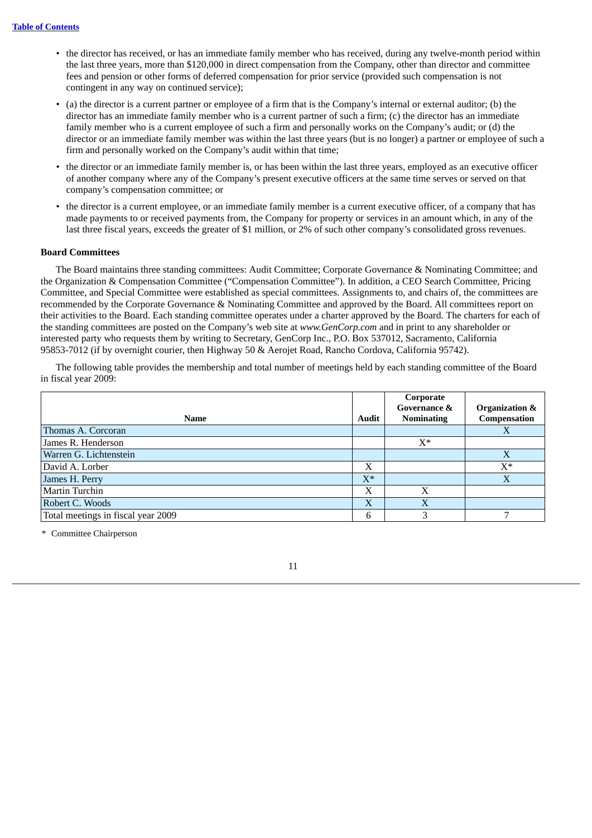- the director has received, or has an immediate family member who has received, during any twelve-month period within the last three years, more than \$120,000 in direct compensation from the Company, other than director and committee fees and pension or other forms of deferred compensation for prior service (provided such compensation is not contingent in any way on continued service);
- (a) the director is a current partner or employee of a firm that is the Company's internal or external auditor; (b) the director has an immediate family member who is a current partner of such a firm; (c) the director has an immediate family member who is a current employee of such a firm and personally works on the Company's audit; or (d) the director or an immediate family member was within the last three years (but is no longer) a partner or employee of such a firm and personally worked on the Company's audit within that time;
- the director or an immediate family member is, or has been within the last three years, employed as an executive officer of another company where any of the Company's present executive officers at the same time serves or served on that company's compensation committee; or
- the director is a current employee, or an immediate family member is a current executive officer, of a company that has made payments to or received payments from, the Company for property or services in an amount which, in any of the last three fiscal years, exceeds the greater of \$1 million, or 2% of such other company's consolidated gross revenues.

# **Board Committees**

The Board maintains three standing committees: Audit Committee; Corporate Governance & Nominating Committee; and the Organization & Compensation Committee ("Compensation Committee"). In addition, a CEO Search Committee, Pricing Committee, and Special Committee were established as special committees. Assignments to, and chairs of, the committees are recommended by the Corporate Governance & Nominating Committee and approved by the Board. All committees report on their activities to the Board. Each standing committee operates under a charter approved by the Board. The charters for each of the standing committees are posted on the Company's web site at *www.GenCorp.com* and in print to any shareholder or interested party who requests them by writing to Secretary, GenCorp Inc., P.O. Box 537012, Sacramento, California 95853-7012 (if by overnight courier, then Highway 50 & Aerojet Road, Rancho Cordova, California 95742).

The following table provides the membership and total number of meetings held by each standing committee of the Board in fiscal year 2009:

|                                    |       | Corporate               |                           |
|------------------------------------|-------|-------------------------|---------------------------|
|                                    |       | <b>Governance &amp;</b> | <b>Organization &amp;</b> |
| Name                               | Audit | <b>Nominating</b>       | Compensation              |
| Thomas A. Corcoran                 |       |                         | $\lambda$                 |
| James R. Henderson                 |       | $X^*$                   |                           |
| Warren G. Lichtenstein             |       |                         | $\mathbf v$<br>Λ          |
| David A. Lorber                    | Х     |                         | $X^*$                     |
| James H. Perry                     | $X^*$ |                         |                           |
| Martin Turchin                     | Х     | X                       |                           |
| Robert C. Woods                    | X     | $\mathbf{X}$            |                           |
| Total meetings in fiscal year 2009 | 6     |                         |                           |

\* Committee Chairperson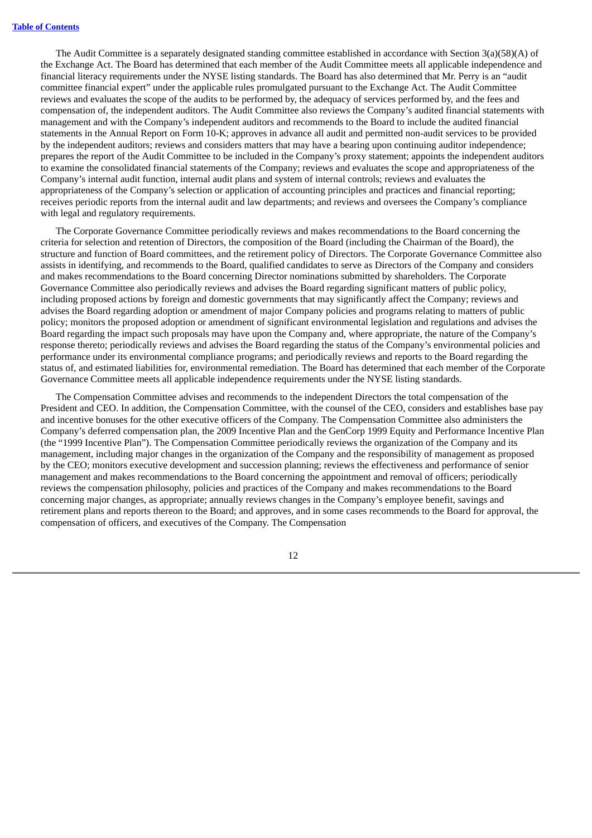The Audit Committee is a separately designated standing committee established in accordance with Section 3(a)(58)(A) of the Exchange Act. The Board has determined that each member of the Audit Committee meets all applicable independence and financial literacy requirements under the NYSE listing standards. The Board has also determined that Mr. Perry is an "audit committee financial expert" under the applicable rules promulgated pursuant to the Exchange Act. The Audit Committee reviews and evaluates the scope of the audits to be performed by, the adequacy of services performed by, and the fees and compensation of, the independent auditors. The Audit Committee also reviews the Company's audited financial statements with management and with the Company's independent auditors and recommends to the Board to include the audited financial statements in the Annual Report on Form 10-K; approves in advance all audit and permitted non-audit services to be provided by the independent auditors; reviews and considers matters that may have a bearing upon continuing auditor independence; prepares the report of the Audit Committee to be included in the Company's proxy statement; appoints the independent auditors to examine the consolidated financial statements of the Company; reviews and evaluates the scope and appropriateness of the Company's internal audit function, internal audit plans and system of internal controls; reviews and evaluates the appropriateness of the Company's selection or application of accounting principles and practices and financial reporting; receives periodic reports from the internal audit and law departments; and reviews and oversees the Company's compliance with legal and regulatory requirements.

The Corporate Governance Committee periodically reviews and makes recommendations to the Board concerning the criteria for selection and retention of Directors, the composition of the Board (including the Chairman of the Board), the structure and function of Board committees, and the retirement policy of Directors. The Corporate Governance Committee also assists in identifying, and recommends to the Board, qualified candidates to serve as Directors of the Company and considers and makes recommendations to the Board concerning Director nominations submitted by shareholders. The Corporate Governance Committee also periodically reviews and advises the Board regarding significant matters of public policy, including proposed actions by foreign and domestic governments that may significantly affect the Company; reviews and advises the Board regarding adoption or amendment of major Company policies and programs relating to matters of public policy; monitors the proposed adoption or amendment of significant environmental legislation and regulations and advises the Board regarding the impact such proposals may have upon the Company and, where appropriate, the nature of the Company's response thereto; periodically reviews and advises the Board regarding the status of the Company's environmental policies and performance under its environmental compliance programs; and periodically reviews and reports to the Board regarding the status of, and estimated liabilities for, environmental remediation. The Board has determined that each member of the Corporate Governance Committee meets all applicable independence requirements under the NYSE listing standards.

The Compensation Committee advises and recommends to the independent Directors the total compensation of the President and CEO. In addition, the Compensation Committee, with the counsel of the CEO, considers and establishes base pay and incentive bonuses for the other executive officers of the Company. The Compensation Committee also administers the Company's deferred compensation plan, the 2009 Incentive Plan and the GenCorp 1999 Equity and Performance Incentive Plan (the "1999 Incentive Plan"). The Compensation Committee periodically reviews the organization of the Company and its management, including major changes in the organization of the Company and the responsibility of management as proposed by the CEO; monitors executive development and succession planning; reviews the effectiveness and performance of senior management and makes recommendations to the Board concerning the appointment and removal of officers; periodically reviews the compensation philosophy, policies and practices of the Company and makes recommendations to the Board concerning major changes, as appropriate; annually reviews changes in the Company's employee benefit, savings and retirement plans and reports thereon to the Board; and approves, and in some cases recommends to the Board for approval, the compensation of officers, and executives of the Company. The Compensation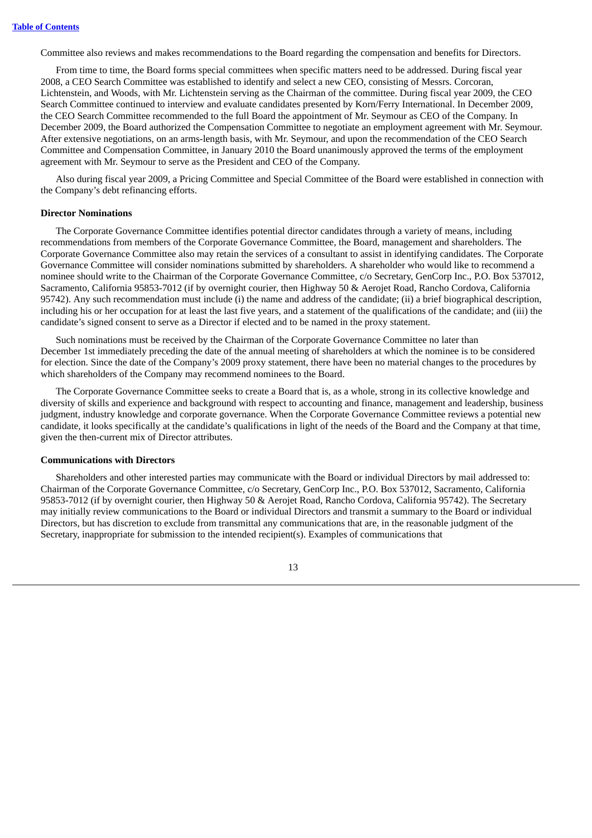Committee also reviews and makes recommendations to the Board regarding the compensation and benefits for Directors.

From time to time, the Board forms special committees when specific matters need to be addressed. During fiscal year 2008, a CEO Search Committee was established to identify and select a new CEO, consisting of Messrs. Corcoran, Lichtenstein, and Woods, with Mr. Lichtenstein serving as the Chairman of the committee. During fiscal year 2009, the CEO Search Committee continued to interview and evaluate candidates presented by Korn/Ferry International. In December 2009, the CEO Search Committee recommended to the full Board the appointment of Mr. Seymour as CEO of the Company. In December 2009, the Board authorized the Compensation Committee to negotiate an employment agreement with Mr. Seymour. After extensive negotiations, on an arms-length basis, with Mr. Seymour, and upon the recommendation of the CEO Search Committee and Compensation Committee, in January 2010 the Board unanimously approved the terms of the employment agreement with Mr. Seymour to serve as the President and CEO of the Company.

Also during fiscal year 2009, a Pricing Committee and Special Committee of the Board were established in connection with the Company's debt refinancing efforts.

### **Director Nominations**

The Corporate Governance Committee identifies potential director candidates through a variety of means, including recommendations from members of the Corporate Governance Committee, the Board, management and shareholders. The Corporate Governance Committee also may retain the services of a consultant to assist in identifying candidates. The Corporate Governance Committee will consider nominations submitted by shareholders. A shareholder who would like to recommend a nominee should write to the Chairman of the Corporate Governance Committee, c/o Secretary, GenCorp Inc., P.O. Box 537012, Sacramento, California 95853-7012 (if by overnight courier, then Highway 50 & Aerojet Road, Rancho Cordova, California 95742). Any such recommendation must include (i) the name and address of the candidate; (ii) a brief biographical description, including his or her occupation for at least the last five years, and a statement of the qualifications of the candidate; and (iii) the candidate's signed consent to serve as a Director if elected and to be named in the proxy statement.

Such nominations must be received by the Chairman of the Corporate Governance Committee no later than December 1st immediately preceding the date of the annual meeting of shareholders at which the nominee is to be considered for election. Since the date of the Company's 2009 proxy statement, there have been no material changes to the procedures by which shareholders of the Company may recommend nominees to the Board.

The Corporate Governance Committee seeks to create a Board that is, as a whole, strong in its collective knowledge and diversity of skills and experience and background with respect to accounting and finance, management and leadership, business judgment, industry knowledge and corporate governance. When the Corporate Governance Committee reviews a potential new candidate, it looks specifically at the candidate's qualifications in light of the needs of the Board and the Company at that time, given the then-current mix of Director attributes.

### **Communications with Directors**

Shareholders and other interested parties may communicate with the Board or individual Directors by mail addressed to: Chairman of the Corporate Governance Committee, c/o Secretary, GenCorp Inc., P.O. Box 537012, Sacramento, California 95853-7012 (if by overnight courier, then Highway 50 & Aerojet Road, Rancho Cordova, California 95742). The Secretary may initially review communications to the Board or individual Directors and transmit a summary to the Board or individual Directors, but has discretion to exclude from transmittal any communications that are, in the reasonable judgment of the Secretary, inappropriate for submission to the intended recipient(s). Examples of communications that

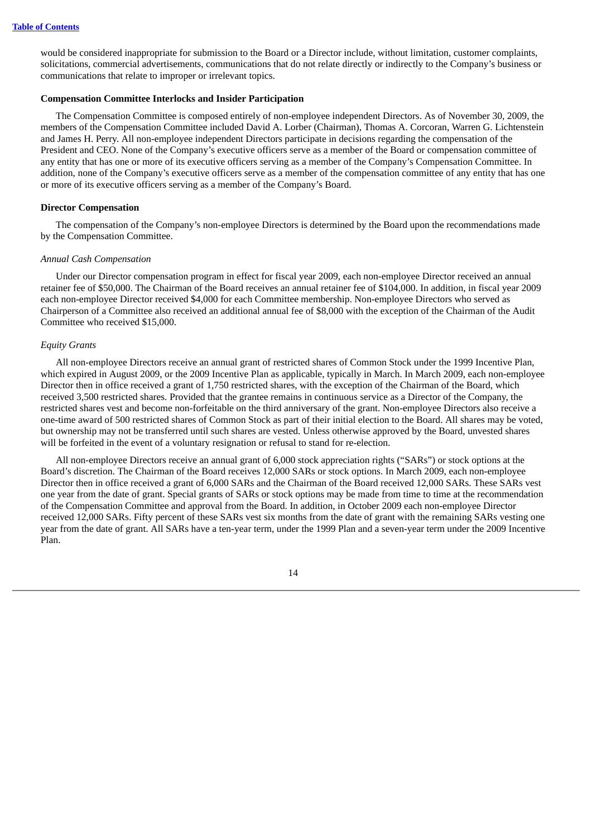would be considered inappropriate for submission to the Board or a Director include, without limitation, customer complaints, solicitations, commercial advertisements, communications that do not relate directly or indirectly to the Company's business or communications that relate to improper or irrelevant topics.

### **Compensation Committee Interlocks and Insider Participation**

The Compensation Committee is composed entirely of non-employee independent Directors. As of November 30, 2009, the members of the Compensation Committee included David A. Lorber (Chairman), Thomas A. Corcoran, Warren G. Lichtenstein and James H. Perry. All non-employee independent Directors participate in decisions regarding the compensation of the President and CEO. None of the Company's executive officers serve as a member of the Board or compensation committee of any entity that has one or more of its executive officers serving as a member of the Company's Compensation Committee. In addition, none of the Company's executive officers serve as a member of the compensation committee of any entity that has one or more of its executive officers serving as a member of the Company's Board.

### **Director Compensation**

The compensation of the Company's non-employee Directors is determined by the Board upon the recommendations made by the Compensation Committee.

### *Annual Cash Compensation*

Under our Director compensation program in effect for fiscal year 2009, each non-employee Director received an annual retainer fee of \$50,000. The Chairman of the Board receives an annual retainer fee of \$104,000. In addition, in fiscal year 2009 each non-employee Director received \$4,000 for each Committee membership. Non-employee Directors who served as Chairperson of a Committee also received an additional annual fee of \$8,000 with the exception of the Chairman of the Audit Committee who received \$15,000.

### *Equity Grants*

All non-employee Directors receive an annual grant of restricted shares of Common Stock under the 1999 Incentive Plan, which expired in August 2009, or the 2009 Incentive Plan as applicable, typically in March. In March 2009, each non-employee Director then in office received a grant of 1,750 restricted shares, with the exception of the Chairman of the Board, which received 3,500 restricted shares. Provided that the grantee remains in continuous service as a Director of the Company, the restricted shares vest and become non-forfeitable on the third anniversary of the grant. Non-employee Directors also receive a one-time award of 500 restricted shares of Common Stock as part of their initial election to the Board. All shares may be voted, but ownership may not be transferred until such shares are vested. Unless otherwise approved by the Board, unvested shares will be forfeited in the event of a voluntary resignation or refusal to stand for re-election.

All non-employee Directors receive an annual grant of 6,000 stock appreciation rights ("SARs") or stock options at the Board's discretion. The Chairman of the Board receives 12,000 SARs or stock options. In March 2009, each non-employee Director then in office received a grant of 6,000 SARs and the Chairman of the Board received 12,000 SARs. These SARs vest one year from the date of grant. Special grants of SARs or stock options may be made from time to time at the recommendation of the Compensation Committee and approval from the Board. In addition, in October 2009 each non-employee Director received 12,000 SARs. Fifty percent of these SARs vest six months from the date of grant with the remaining SARs vesting one year from the date of grant. All SARs have a ten-year term, under the 1999 Plan and a seven-year term under the 2009 Incentive Plan.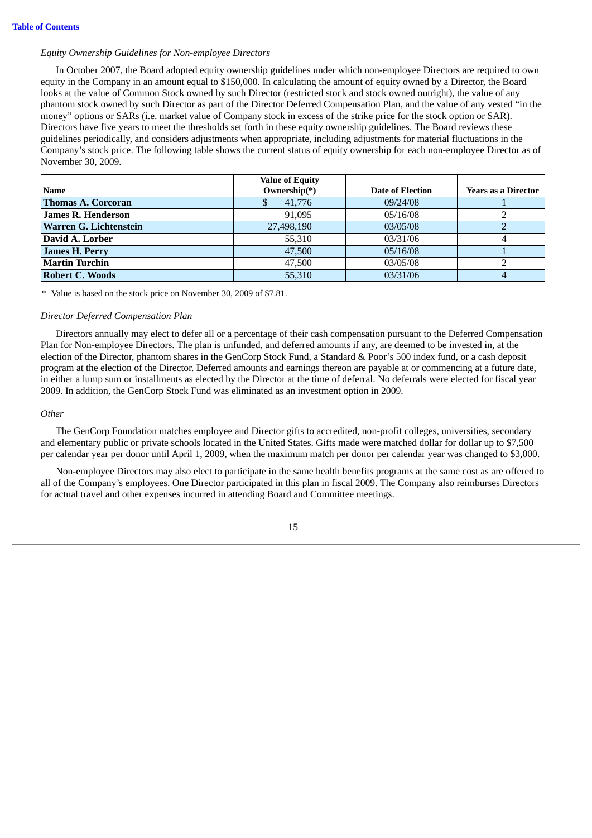### *Equity Ownership Guidelines for Non-employee Directors*

In October 2007, the Board adopted equity ownership guidelines under which non-employee Directors are required to own equity in the Company in an amount equal to \$150,000. In calculating the amount of equity owned by a Director, the Board looks at the value of Common Stock owned by such Director (restricted stock and stock owned outright), the value of any phantom stock owned by such Director as part of the Director Deferred Compensation Plan, and the value of any vested "in the money" options or SARs (i.e. market value of Company stock in excess of the strike price for the stock option or SAR). Directors have five years to meet the thresholds set forth in these equity ownership guidelines. The Board reviews these guidelines periodically, and considers adjustments when appropriate, including adjustments for material fluctuations in the Company's stock price. The following table shows the current status of equity ownership for each non-employee Director as of November 30, 2009.

|                           | <b>Value of Equity</b> |                         |                            |
|---------------------------|------------------------|-------------------------|----------------------------|
| <b>Name</b>               | Ownership(*)           | <b>Date of Election</b> | <b>Years as a Director</b> |
| <b>Thomas A. Corcoran</b> | 41,776                 | 09/24/08                |                            |
| <b>James R. Henderson</b> | 91.095                 | 05/16/08                |                            |
| Warren G. Lichtenstein    | 27,498,190             | 03/05/08                |                            |
| David A. Lorber           | 55,310                 | 03/31/06                |                            |
| <b>James H. Perry</b>     | 47,500                 | 05/16/08                |                            |
| Martin Turchin            | 47,500                 | 03/05/08                |                            |
| Robert C. Woods           | 55,310                 | 03/31/06                |                            |

\* Value is based on the stock price on November 30, 2009 of \$7.81.

### *Director Deferred Compensation Plan*

Directors annually may elect to defer all or a percentage of their cash compensation pursuant to the Deferred Compensation Plan for Non-employee Directors. The plan is unfunded, and deferred amounts if any, are deemed to be invested in, at the election of the Director, phantom shares in the GenCorp Stock Fund, a Standard & Poor's 500 index fund, or a cash deposit program at the election of the Director. Deferred amounts and earnings thereon are payable at or commencing at a future date, in either a lump sum or installments as elected by the Director at the time of deferral. No deferrals were elected for fiscal year 2009. In addition, the GenCorp Stock Fund was eliminated as an investment option in 2009.

#### *Other*

The GenCorp Foundation matches employee and Director gifts to accredited, non-profit colleges, universities, secondary and elementary public or private schools located in the United States. Gifts made were matched dollar for dollar up to \$7,500 per calendar year per donor until April 1, 2009, when the maximum match per donor per calendar year was changed to \$3,000.

Non-employee Directors may also elect to participate in the same health benefits programs at the same cost as are offered to all of the Company's employees. One Director participated in this plan in fiscal 2009. The Company also reimburses Directors for actual travel and other expenses incurred in attending Board and Committee meetings.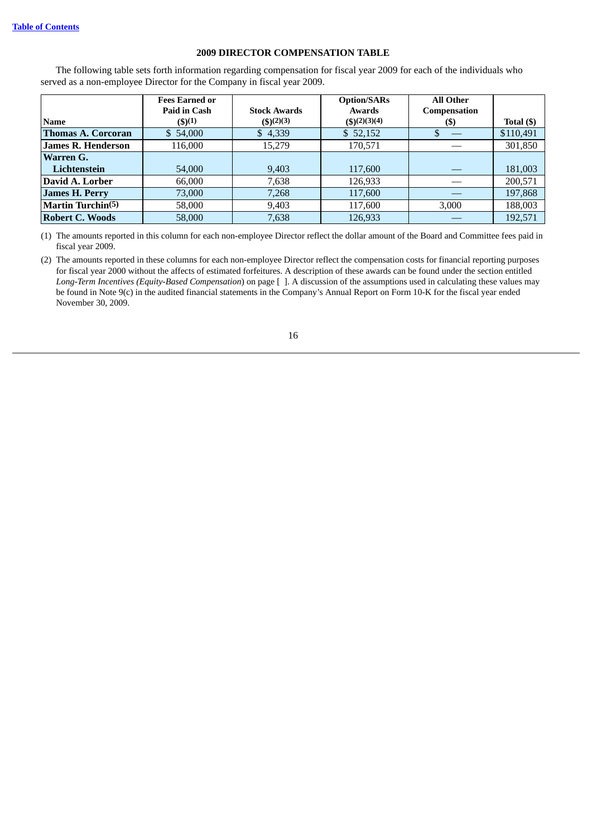# **2009 DIRECTOR COMPENSATION TABLE**

The following table sets forth information regarding compensation for fiscal year 2009 for each of the individuals who served as a non-employee Director for the Company in fiscal year 2009.

|                           | <b>Fees Earned or</b>                |                                      | <b>Option/SARs</b>                | <b>All Other</b>    |            |
|---------------------------|--------------------------------------|--------------------------------------|-----------------------------------|---------------------|------------|
| <b>Name</b>               | <b>Paid in Cash</b><br>$($ \$) $(1)$ | <b>Stock Awards</b><br>$($ \$)(2)(3) | <b>Awards</b><br>$($ \$)(2)(3)(4) | Compensation<br>(S) | Total (\$) |
| <b>Thomas A. Corcoran</b> | \$54,000                             | \$4,339                              | \$52,152                          |                     | \$110,491  |
| <b>James R. Henderson</b> | 116,000                              | 15,279                               | 170,571                           |                     | 301,850    |
| Warren G.                 |                                      |                                      |                                   |                     |            |
| Lichtenstein              | 54,000                               | 9,403                                | 117,600                           |                     | 181,003    |
| David A. Lorber           | 66,000                               | 7,638                                | 126,933                           |                     | 200,571    |
| <b>James H. Perry</b>     | 73,000                               | 7,268                                | 117,600                           |                     | 197,868    |
| <b>Martin Turchin(5)</b>  | 58,000                               | 9,403                                | 117,600                           | 3,000               | 188,003    |
| <b>Robert C. Woods</b>    | 58,000                               | 7,638                                | 126,933                           |                     | 192,571    |

(1) The amounts reported in this column for each non-employee Director reflect the dollar amount of the Board and Committee fees paid in fiscal year 2009.

(2) The amounts reported in these columns for each non-employee Director reflect the compensation costs for financial reporting purposes for fiscal year 2000 without the affects of estimated forfeitures. A description of these awards can be found under the section entitled *Long-Term Incentives (Equity-Based Compensation*) on page [ ]. A discussion of the assumptions used in calculating these values may be found in Note 9(c) in the audited financial statements in the Company's Annual Report on Form 10-K for the fiscal year ended November 30, 2009.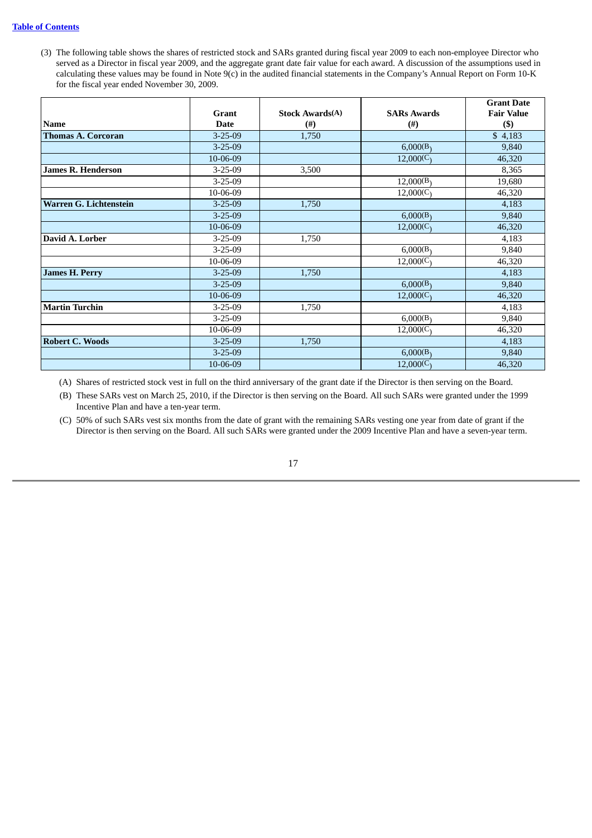(3) The following table shows the shares of restricted stock and SARs granted during fiscal year 2009 to each non-employee Director who served as a Director in fiscal year 2009, and the aggregate grant date fair value for each award. A discussion of the assumptions used in calculating these values may be found in Note 9(c) in the audited financial statements in the Company's Annual Report on Form 10-K for the fiscal year ended November 30, 2009.

|                           |               |                        |                    | <b>Grant Date</b> |
|---------------------------|---------------|------------------------|--------------------|-------------------|
|                           | Grant         | <b>Stock Awards(A)</b> | <b>SARs Awards</b> | <b>Fair Value</b> |
| <b>Name</b>               | <b>Date</b>   | $^{(#)}$               | $^{(#)}$           | $($ \$)           |
| <b>Thomas A. Corcoran</b> | $3 - 25 - 09$ | 1,750                  |                    | \$4,183           |
|                           | $3 - 25 - 09$ |                        | 6,000(B)           | 9,840             |
|                           | 10-06-09      |                        | 12,000(C)          | 46,320            |
| <b>James R. Henderson</b> | $3 - 25 - 09$ | 3,500                  |                    | 8,365             |
|                           | $3 - 25 - 09$ |                        | 12,000(B)          | 19,680            |
|                           | 10-06-09      |                        | 12,000(C)          | 46,320            |
| Warren G. Lichtenstein    | $3 - 25 - 09$ | 1,750                  |                    | 4,183             |
|                           | $3 - 25 - 09$ |                        | 6,000(B)           | 9,840             |
|                           | 10-06-09      |                        | 12,000(C)          | 46,320            |
| David A. Lorber           | $3 - 25 - 09$ | 1,750                  |                    | 4,183             |
|                           | $3 - 25 - 09$ |                        | 6,000(B)           | 9,840             |
|                           | 10-06-09      |                        | 12,000(C)          | 46,320            |
| <b>James H. Perry</b>     | $3 - 25 - 09$ | 1,750                  |                    | 4,183             |
|                           | $3 - 25 - 09$ |                        | 6,000(B)           | 9,840             |
|                           | 10-06-09      |                        | 12,000(C)          | 46,320            |
| <b>Martin Turchin</b>     | $3 - 25 - 09$ | 1,750                  |                    | 4,183             |
|                           | $3 - 25 - 09$ |                        | 6,000(B)           | 9,840             |
|                           | 10-06-09      |                        | 12,000(C)          | 46,320            |
| <b>Robert C. Woods</b>    | $3 - 25 - 09$ | 1,750                  |                    | 4,183             |
|                           | $3 - 25 - 09$ |                        | 6,000(B)           | 9,840             |
|                           | 10-06-09      |                        | 12,000(C)          | 46,320            |

(A) Shares of restricted stock vest in full on the third anniversary of the grant date if the Director is then serving on the Board.

(B) These SARs vest on March 25, 2010, if the Director is then serving on the Board. All such SARs were granted under the 1999 Incentive Plan and have a ten-year term.

(C) 50% of such SARs vest six months from the date of grant with the remaining SARs vesting one year from date of grant if the Director is then serving on the Board. All such SARs were granted under the 2009 Incentive Plan and have a seven-year term.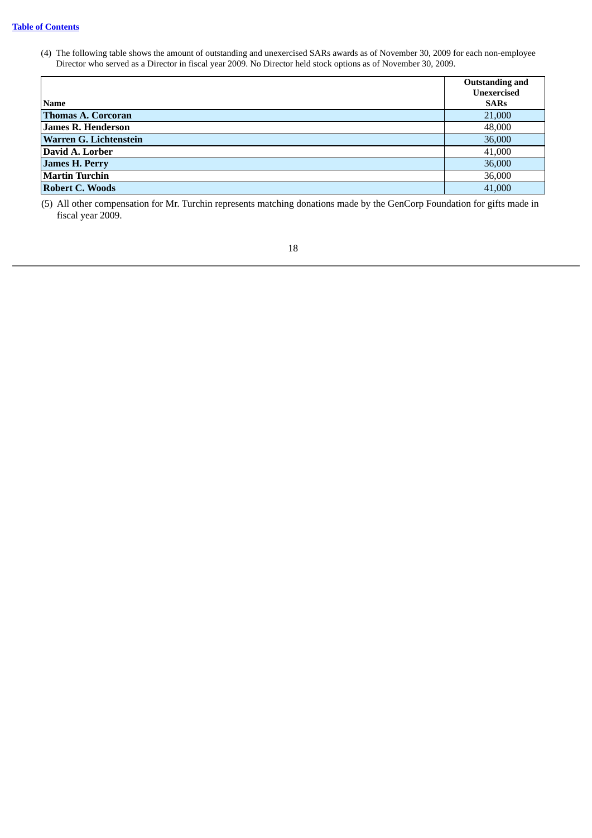(4) The following table shows the amount of outstanding and unexercised SARs awards as of November 30, 2009 for each non-employee Director who served as a Director in fiscal year 2009. No Director held stock options as of November 30, 2009.

|                           | <b>Outstanding and</b> |
|---------------------------|------------------------|
|                           | <b>Unexercised</b>     |
| <b>Name</b>               | <b>SARs</b>            |
| <b>Thomas A. Corcoran</b> | 21,000                 |
| <b>James R. Henderson</b> | 48,000                 |
| Warren G. Lichtenstein    | 36,000                 |
| David A. Lorber           | 41,000                 |
| <b>James H. Perry</b>     | 36,000                 |
| <b>Martin Turchin</b>     | 36,000                 |
| <b>Robert C. Woods</b>    | 41,000                 |

(5) All other compensation for Mr. Turchin represents matching donations made by the GenCorp Foundation for gifts made in fiscal year 2009.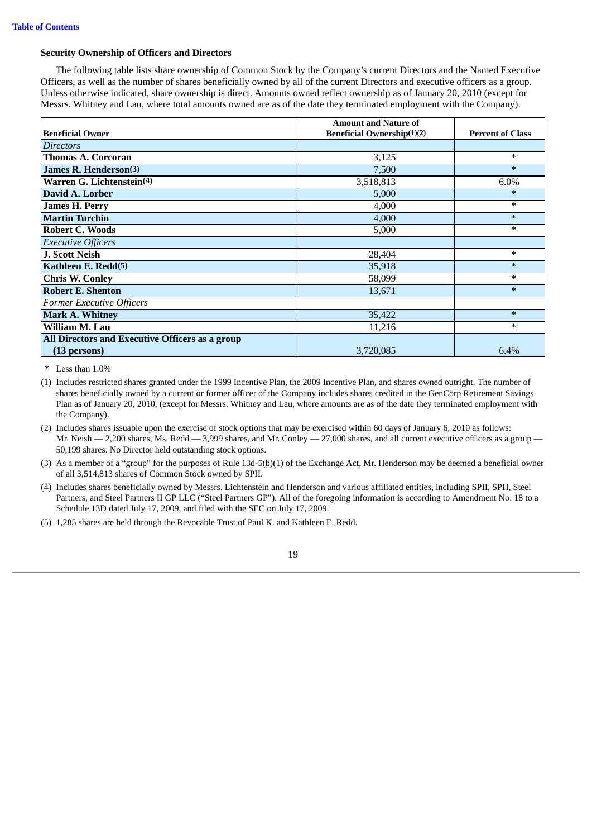### **Security Ownership of Officers and Directors**

The following table lists share ownership of Common Stock by the Company's current Directors and the Named Executive Officers, as well as the number of shares beneficially owned by all of the current Directors and executive officers as a group. Unless otherwise indicated, share ownership is direct. Amounts owned reflect ownership as of January 20, 2010 (except for Messrs. Whitney and Lau, where total amounts owned are as of the date they terminated employment with the Company).

|                                                 | <b>Amount and Nature of</b>       |                         |
|-------------------------------------------------|-----------------------------------|-------------------------|
| <b>Beneficial Owner</b>                         | <b>Beneficial Ownership(1)(2)</b> | <b>Percent of Class</b> |
| <i>Directors</i>                                |                                   |                         |
| <b>Thomas A. Corcoran</b>                       | 3,125                             | $*$                     |
| James R. Henderson <sup>(3)</sup>               | 7,500                             | $\ast$                  |
| Warren G. Lichtenstein(4)                       | 3,518,813                         | 6.0%                    |
| David A. Lorber                                 | 5,000                             | $\ast$                  |
| <b>James H. Perry</b>                           | 4,000                             | $*$                     |
| <b>Martin Turchin</b>                           | 4,000                             | $\ast$                  |
| <b>Robert C. Woods</b>                          | 5,000                             | $\ast$                  |
| <b>Executive Officers</b>                       |                                   |                         |
| J. Scott Neish                                  | 28,404                            | $\ast$                  |
| Kathleen E. Redd <sup>(5)</sup>                 | 35,918                            | $\ast$                  |
| <b>Chris W. Conley</b>                          | 58,099                            | $\ast$                  |
| <b>Robert E. Shenton</b>                        | 13,671                            | $\ast$                  |
| <b>Former Executive Officers</b>                |                                   |                         |
| <b>Mark A. Whitney</b>                          | 35,422                            | $\ast$                  |
| William M. Lau                                  | 11,216                            | $\ast$                  |
| All Directors and Executive Officers as a group |                                   |                         |
| (13 persons)                                    | 3,720,085                         | 6.4%                    |

\* Less than 1.0%

(1) Includes restricted shares granted under the 1999 Incentive Plan, the 2009 Incentive Plan, and shares owned outright. The number of shares beneficially owned by a current or former officer of the Company includes shares credited in the GenCorp Retirement Savings Plan as of January 20, 2010, (except for Messrs. Whitney and Lau, where amounts are as of the date they terminated employment with the Company).

(2) Includes shares issuable upon the exercise of stock options that may be exercised within 60 days of January 6, 2010 as follows: Mr. Neish — 2,200 shares, Ms. Redd — 3,999 shares, and Mr. Conley — 27,000 shares, and all current executive officers as a group — 50,199 shares. No Director held outstanding stock options.

(3) As a member of a "group" for the purposes of Rule 13d-5(b)(1) of the Exchange Act, Mr. Henderson may be deemed a beneficial owner of all 3,514,813 shares of Common Stock owned by SPII.

(4) Includes shares beneficially owned by Messrs. Lichtenstein and Henderson and various affiliated entities, including SPII, SPH, Steel Partners, and Steel Partners II GP LLC ("Steel Partners GP"). All of the foregoing information is according to Amendment No. 18 to a Schedule 13D dated July 17, 2009, and filed with the SEC on July 17, 2009.

(5) 1,285 shares are held through the Revocable Trust of Paul K. and Kathleen E. Redd.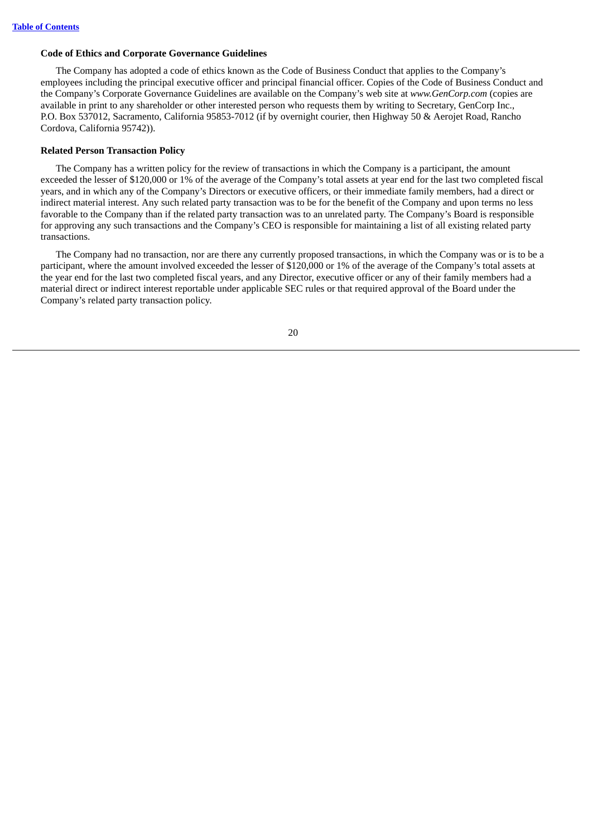# **Code of Ethics and Corporate Governance Guidelines**

The Company has adopted a code of ethics known as the Code of Business Conduct that applies to the Company's employees including the principal executive officer and principal financial officer. Copies of the Code of Business Conduct and the Company's Corporate Governance Guidelines are available on the Company's web site at *www.GenCorp.com* (copies are available in print to any shareholder or other interested person who requests them by writing to Secretary, GenCorp Inc., P.O. Box 537012, Sacramento, California 95853-7012 (if by overnight courier, then Highway 50 & Aerojet Road, Rancho Cordova, California 95742)).

# **Related Person Transaction Policy**

The Company has a written policy for the review of transactions in which the Company is a participant, the amount exceeded the lesser of \$120,000 or 1% of the average of the Company's total assets at year end for the last two completed fiscal years, and in which any of the Company's Directors or executive officers, or their immediate family members, had a direct or indirect material interest. Any such related party transaction was to be for the benefit of the Company and upon terms no less favorable to the Company than if the related party transaction was to an unrelated party. The Company's Board is responsible for approving any such transactions and the Company's CEO is responsible for maintaining a list of all existing related party transactions.

The Company had no transaction, nor are there any currently proposed transactions, in which the Company was or is to be a participant, where the amount involved exceeded the lesser of \$120,000 or 1% of the average of the Company's total assets at the year end for the last two completed fiscal years, and any Director, executive officer or any of their family members had a material direct or indirect interest reportable under applicable SEC rules or that required approval of the Board under the Company's related party transaction policy.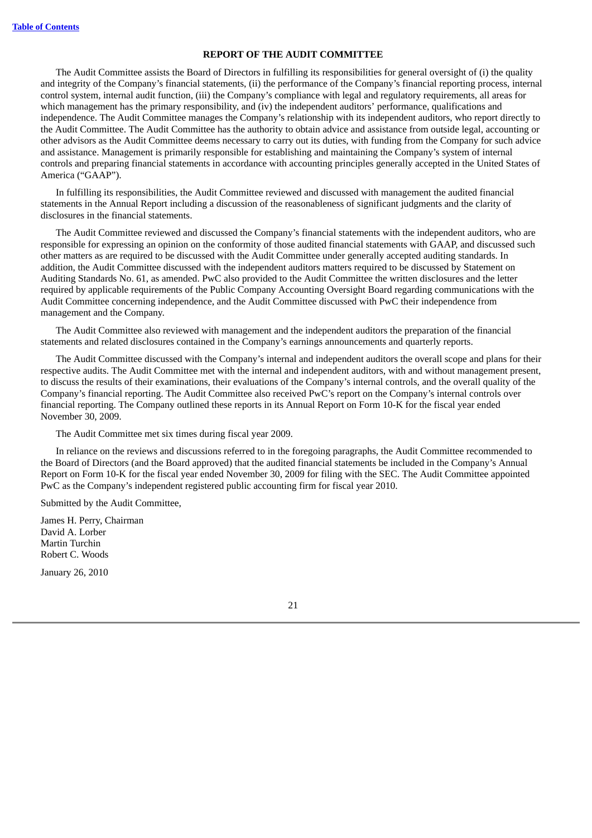# **REPORT OF THE AUDIT COMMITTEE**

<span id="page-26-0"></span>The Audit Committee assists the Board of Directors in fulfilling its responsibilities for general oversight of (i) the quality and integrity of the Company's financial statements, (ii) the performance of the Company's financial reporting process, internal control system, internal audit function, (iii) the Company's compliance with legal and regulatory requirements, all areas for which management has the primary responsibility, and (iv) the independent auditors' performance, qualifications and independence. The Audit Committee manages the Company's relationship with its independent auditors, who report directly to the Audit Committee. The Audit Committee has the authority to obtain advice and assistance from outside legal, accounting or other advisors as the Audit Committee deems necessary to carry out its duties, with funding from the Company for such advice and assistance. Management is primarily responsible for establishing and maintaining the Company's system of internal controls and preparing financial statements in accordance with accounting principles generally accepted in the United States of America ("GAAP").

In fulfilling its responsibilities, the Audit Committee reviewed and discussed with management the audited financial statements in the Annual Report including a discussion of the reasonableness of significant judgments and the clarity of disclosures in the financial statements.

The Audit Committee reviewed and discussed the Company's financial statements with the independent auditors, who are responsible for expressing an opinion on the conformity of those audited financial statements with GAAP, and discussed such other matters as are required to be discussed with the Audit Committee under generally accepted auditing standards. In addition, the Audit Committee discussed with the independent auditors matters required to be discussed by Statement on Auditing Standards No. 61, as amended. PwC also provided to the Audit Committee the written disclosures and the letter required by applicable requirements of the Public Company Accounting Oversight Board regarding communications with the Audit Committee concerning independence, and the Audit Committee discussed with PwC their independence from management and the Company.

The Audit Committee also reviewed with management and the independent auditors the preparation of the financial statements and related disclosures contained in the Company's earnings announcements and quarterly reports.

The Audit Committee discussed with the Company's internal and independent auditors the overall scope and plans for their respective audits. The Audit Committee met with the internal and independent auditors, with and without management present, to discuss the results of their examinations, their evaluations of the Company's internal controls, and the overall quality of the Company's financial reporting. The Audit Committee also received PwC's report on the Company's internal controls over financial reporting. The Company outlined these reports in its Annual Report on Form 10-K for the fiscal year ended November 30, 2009.

The Audit Committee met six times during fiscal year 2009.

In reliance on the reviews and discussions referred to in the foregoing paragraphs, the Audit Committee recommended to the Board of Directors (and the Board approved) that the audited financial statements be included in the Company's Annual Report on Form 10-K for the fiscal year ended November 30, 2009 for filing with the SEC. The Audit Committee appointed PwC as the Company's independent registered public accounting firm for fiscal year 2010.

Submitted by the Audit Committee,

James H. Perry, Chairman David A. Lorber Martin Turchin Robert C. Woods

January 26, 2010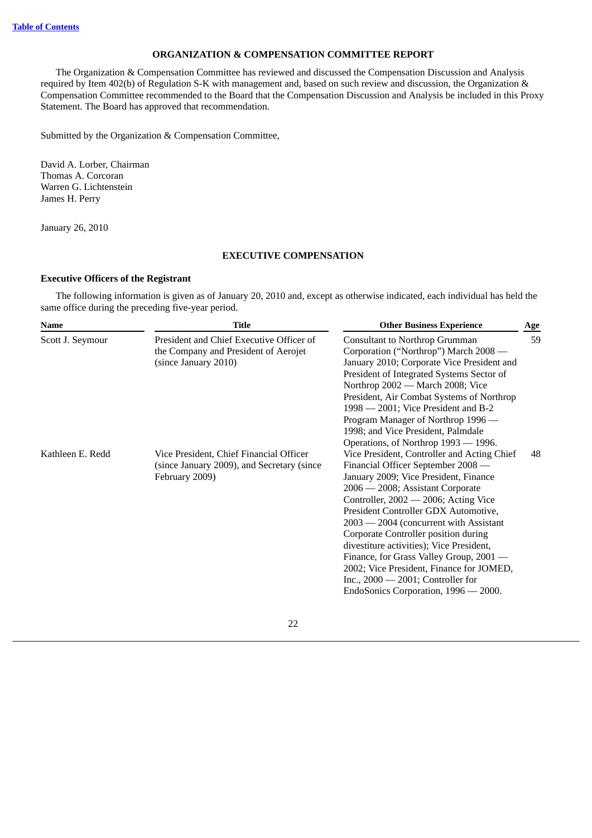# **ORGANIZATION & COMPENSATION COMMITTEE REPORT**

<span id="page-27-0"></span>The Organization & Compensation Committee has reviewed and discussed the Compensation Discussion and Analysis required by Item 402(b) of Regulation S-K with management and, based on such review and discussion, the Organization & Compensation Committee recommended to the Board that the Compensation Discussion and Analysis be included in this Proxy Statement. The Board has approved that recommendation.

Submitted by the Organization & Compensation Committee,

David A. Lorber, Chairman Thomas A. Corcoran Warren G. Lichtenstein James H. Perry

<span id="page-27-1"></span>January 26, 2010

# **EXECUTIVE COMPENSATION**

# **Executive Officers of the Registrant**

The following information is given as of January 20, 2010 and, except as otherwise indicated, each individual has held the same office during the preceding five-year period.

| Name             | <b>Title</b>                                                                                             | <b>Other Business Experience</b>                                                                                                                                                                                                                                                                                                                                                                                                                                                                                                                      | Age |
|------------------|----------------------------------------------------------------------------------------------------------|-------------------------------------------------------------------------------------------------------------------------------------------------------------------------------------------------------------------------------------------------------------------------------------------------------------------------------------------------------------------------------------------------------------------------------------------------------------------------------------------------------------------------------------------------------|-----|
| Scott J. Seymour | President and Chief Executive Officer of<br>the Company and President of Aerojet<br>(since January 2010) | <b>Consultant to Northrop Grumman</b><br>Corporation ("Northrop") March 2008 -<br>January 2010; Corporate Vice President and<br>President of Integrated Systems Sector of<br>Northrop 2002 — March 2008; Vice<br>President, Air Combat Systems of Northrop<br>1998 — 2001; Vice President and B-2<br>Program Manager of Northrop 1996 —<br>1998; and Vice President, Palmdale<br>Operations, of Northrop 1993 — 1996.                                                                                                                                 |     |
| Kathleen E. Redd | Vice President, Chief Financial Officer<br>(since January 2009), and Secretary (since<br>February 2009)  | Vice President, Controller and Acting Chief<br>Financial Officer September 2008 —<br>January 2009; Vice President, Finance<br>2006 — 2008; Assistant Corporate<br>Controller, 2002 — 2006; Acting Vice<br>President Controller GDX Automotive,<br>$2003 - 2004$ (concurrent with Assistant<br>Corporate Controller position during<br>divestiture activities); Vice President,<br>Finance, for Grass Valley Group, 2001 -<br>2002; Vice President, Finance for JOMED,<br>Inc., $2000 - 2001$ ; Controller for<br>EndoSonics Corporation, 1996 - 2000. |     |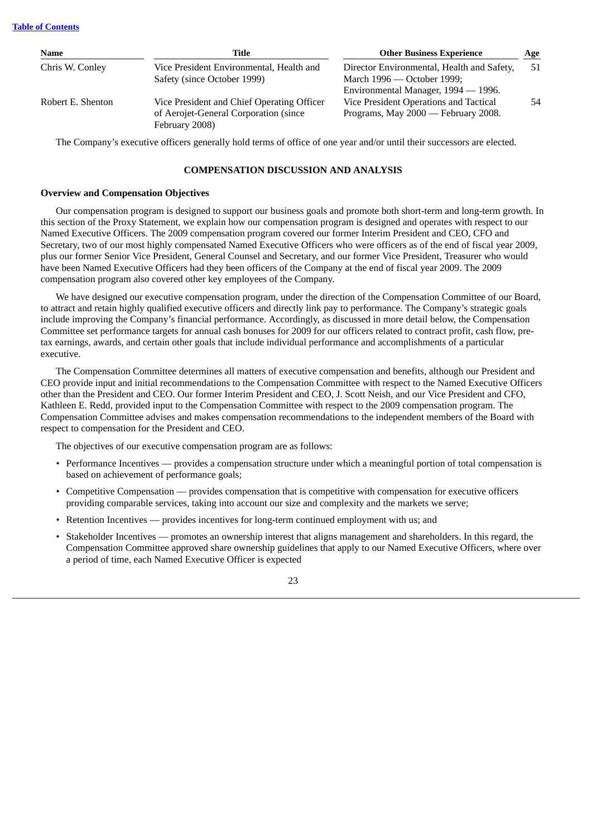| Name              | Title                                      | <b>Other Business Experience</b>           | Age |
|-------------------|--------------------------------------------|--------------------------------------------|-----|
| Chris W. Conley   | Vice President Environmental, Health and   | Director Environmental, Health and Safety, | 51  |
|                   | Safety (since October 1999)                | March 1996 — October 1999;                 |     |
|                   |                                            | Environmental Manager, 1994 — 1996.        |     |
| Robert E. Shenton | Vice President and Chief Operating Officer | Vice President Operations and Tactical     | 54  |
|                   | of Aerojet-General Corporation (since      | Programs, May 2000 — February 2008.        |     |
|                   | February 2008)                             |                                            |     |

<span id="page-28-0"></span>The Company's executive officers generally hold terms of office of one year and/or until their successors are elected.

# **COMPENSATION DISCUSSION AND ANALYSIS**

# **Overview and Compensation Objectives**

Our compensation program is designed to support our business goals and promote both short-term and long-term growth. In this section of the Proxy Statement, we explain how our compensation program is designed and operates with respect to our Named Executive Officers. The 2009 compensation program covered our former Interim President and CEO, CFO and Secretary, two of our most highly compensated Named Executive Officers who were officers as of the end of fiscal year 2009, plus our former Senior Vice President, General Counsel and Secretary, and our former Vice President, Treasurer who would have been Named Executive Officers had they been officers of the Company at the end of fiscal year 2009. The 2009 compensation program also covered other key employees of the Company.

We have designed our executive compensation program, under the direction of the Compensation Committee of our Board, to attract and retain highly qualified executive officers and directly link pay to performance. The Company's strategic goals include improving the Company's financial performance. Accordingly, as discussed in more detail below, the Compensation Committee set performance targets for annual cash bonuses for 2009 for our officers related to contract profit, cash flow, pretax earnings, awards, and certain other goals that include individual performance and accomplishments of a particular executive.

The Compensation Committee determines all matters of executive compensation and benefits, although our President and CEO provide input and initial recommendations to the Compensation Committee with respect to the Named Executive Officers other than the President and CEO. Our former Interim President and CEO, J. Scott Neish, and our Vice President and CFO, Kathleen E. Redd, provided input to the Compensation Committee with respect to the 2009 compensation program. The Compensation Committee advises and makes compensation recommendations to the independent members of the Board with respect to compensation for the President and CEO.

The objectives of our executive compensation program are as follows:

- Performance Incentives provides a compensation structure under which a meaningful portion of total compensation is based on achievement of performance goals;
- Competitive Compensation provides compensation that is competitive with compensation for executive officers providing comparable services, taking into account our size and complexity and the markets we serve;
- Retention Incentives provides incentives for long-term continued employment with us; and
- Stakeholder Incentives promotes an ownership interest that aligns management and shareholders. In this regard, the Compensation Committee approved share ownership guidelines that apply to our Named Executive Officers, where over a period of time, each Named Executive Officer is expected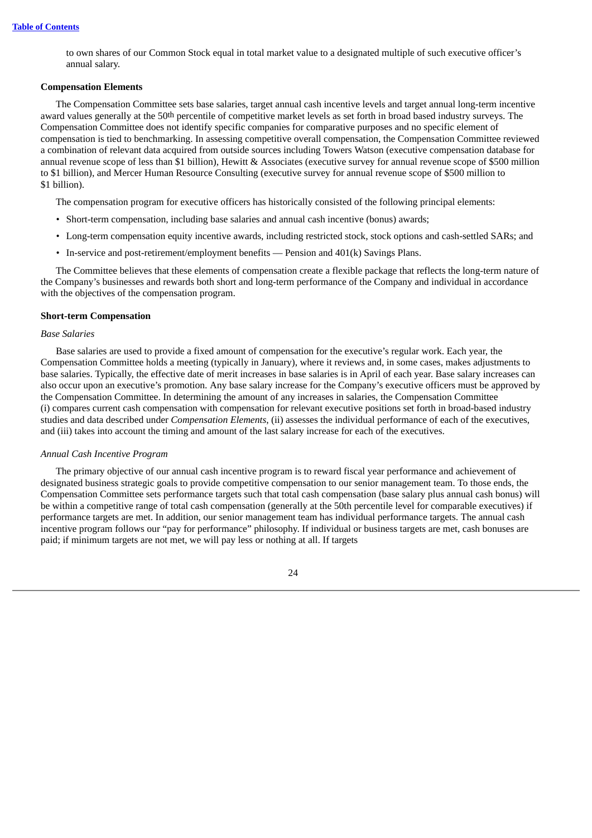to own shares of our Common Stock equal in total market value to a designated multiple of such executive officer's annual salary.

### **Compensation Elements**

The Compensation Committee sets base salaries, target annual cash incentive levels and target annual long-term incentive award values generally at the 50th percentile of competitive market levels as set forth in broad based industry surveys. The Compensation Committee does not identify specific companies for comparative purposes and no specific element of compensation is tied to benchmarking. In assessing competitive overall compensation, the Compensation Committee reviewed a combination of relevant data acquired from outside sources including Towers Watson (executive compensation database for annual revenue scope of less than \$1 billion), Hewitt & Associates (executive survey for annual revenue scope of \$500 million to \$1 billion), and Mercer Human Resource Consulting (executive survey for annual revenue scope of \$500 million to \$1 billion).

The compensation program for executive officers has historically consisted of the following principal elements:

- Short-term compensation, including base salaries and annual cash incentive (bonus) awards;
- Long-term compensation equity incentive awards, including restricted stock, stock options and cash-settled SARs; and
- In-service and post-retirement/employment benefits Pension and 401(k) Savings Plans.

The Committee believes that these elements of compensation create a flexible package that reflects the long-term nature of the Company's businesses and rewards both short and long-term performance of the Company and individual in accordance with the objectives of the compensation program.

### **Short-term Compensation**

### *Base Salaries*

Base salaries are used to provide a fixed amount of compensation for the executive's regular work. Each year, the Compensation Committee holds a meeting (typically in January), where it reviews and, in some cases, makes adjustments to base salaries. Typically, the effective date of merit increases in base salaries is in April of each year. Base salary increases can also occur upon an executive's promotion. Any base salary increase for the Company's executive officers must be approved by the Compensation Committee. In determining the amount of any increases in salaries, the Compensation Committee (i) compares current cash compensation with compensation for relevant executive positions set forth in broad-based industry studies and data described under *Compensation Elements*, (ii) assesses the individual performance of each of the executives, and (iii) takes into account the timing and amount of the last salary increase for each of the executives.

#### *Annual Cash Incentive Program*

The primary objective of our annual cash incentive program is to reward fiscal year performance and achievement of designated business strategic goals to provide competitive compensation to our senior management team. To those ends, the Compensation Committee sets performance targets such that total cash compensation (base salary plus annual cash bonus) will be within a competitive range of total cash compensation (generally at the 50th percentile level for comparable executives) if performance targets are met. In addition, our senior management team has individual performance targets. The annual cash incentive program follows our "pay for performance" philosophy. If individual or business targets are met, cash bonuses are paid; if minimum targets are not met, we will pay less or nothing at all. If targets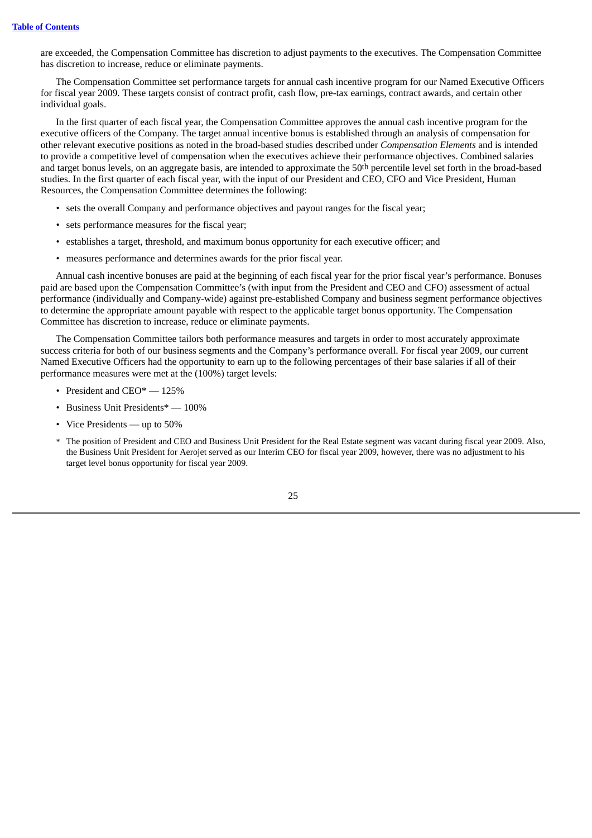are exceeded, the Compensation Committee has discretion to adjust payments to the executives. The Compensation Committee has discretion to increase, reduce or eliminate payments.

The Compensation Committee set performance targets for annual cash incentive program for our Named Executive Officers for fiscal year 2009. These targets consist of contract profit, cash flow, pre-tax earnings, contract awards, and certain other individual goals.

In the first quarter of each fiscal year, the Compensation Committee approves the annual cash incentive program for the executive officers of the Company. The target annual incentive bonus is established through an analysis of compensation for other relevant executive positions as noted in the broad-based studies described under *Compensation Elements* and is intended to provide a competitive level of compensation when the executives achieve their performance objectives. Combined salaries and target bonus levels, on an aggregate basis, are intended to approximate the 50th percentile level set forth in the broad-based studies. In the first quarter of each fiscal year, with the input of our President and CEO, CFO and Vice President, Human Resources, the Compensation Committee determines the following:

- sets the overall Company and performance objectives and payout ranges for the fiscal year;
- sets performance measures for the fiscal year;
- establishes a target, threshold, and maximum bonus opportunity for each executive officer; and
- measures performance and determines awards for the prior fiscal year.

Annual cash incentive bonuses are paid at the beginning of each fiscal year for the prior fiscal year's performance. Bonuses paid are based upon the Compensation Committee's (with input from the President and CEO and CFO) assessment of actual performance (individually and Company-wide) against pre-established Company and business segment performance objectives to determine the appropriate amount payable with respect to the applicable target bonus opportunity. The Compensation Committee has discretion to increase, reduce or eliminate payments.

The Compensation Committee tailors both performance measures and targets in order to most accurately approximate success criteria for both of our business segments and the Company's performance overall. For fiscal year 2009, our current Named Executive Officers had the opportunity to earn up to the following percentages of their base salaries if all of their performance measures were met at the (100%) target levels:

- President and CEO\* 125%
- Business Unit Presidents\* 100%
- Vice Presidents up to 50%
- \* The position of President and CEO and Business Unit President for the Real Estate segment was vacant during fiscal year 2009. Also, the Business Unit President for Aerojet served as our Interim CEO for fiscal year 2009, however, there was no adjustment to his target level bonus opportunity for fiscal year 2009.

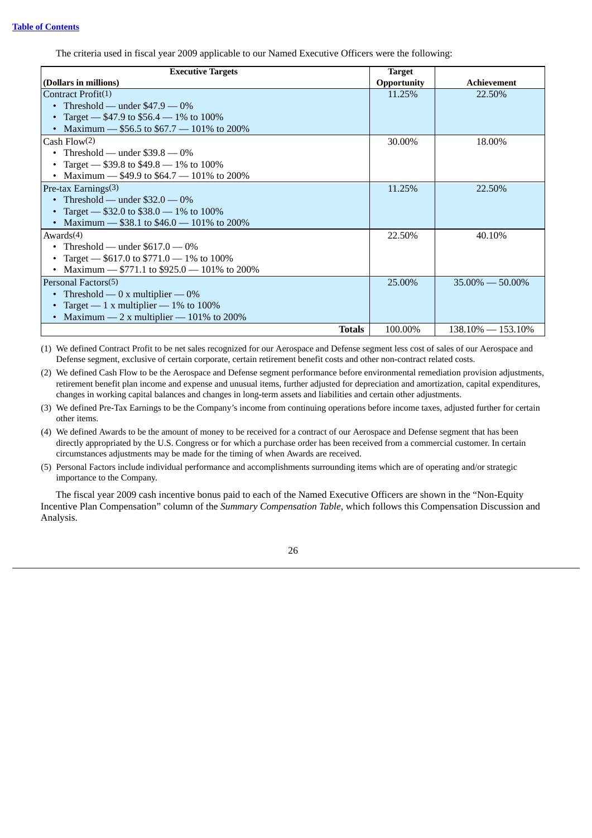The criteria used in fiscal year 2009 applicable to our Named Executive Officers were the following:

| <b>Executive Targets</b>                      | <b>Target</b>      |                       |
|-----------------------------------------------|--------------------|-----------------------|
| (Dollars in millions)                         | <b>Opportunity</b> | Achievement           |
| Contract Profit(1)                            | 11.25%             | 22.50%                |
| Threshold — under $$47.9 - 0\%$               |                    |                       |
| Target - $$47.9$ to $$56.4 - 1\%$ to $100\%$  |                    |                       |
| Maximum $-$ \$56.5 to \$67.7 $-$ 101% to 200% |                    |                       |
| Cash Flow(2)                                  | 30.00%             | 18.00%                |
| Threshold — under $$39.8 - 0\%$               |                    |                       |
| Target — \$39.8 to $$49.8 - 1\%$ to $100\%$   |                    |                       |
| Maximum - \$49.9 to \$64.7 - 101% to 200%     |                    |                       |
| Pre-tax Earnings $(3)$                        | 11.25%             | 22.50%                |
| Threshold — under $\$32.0 - 0\%$              |                    |                       |
| Target — \$32.0 to \$38.0 — 1% to 100%        |                    |                       |
| Maximum $-$ \$38.1 to \$46.0 $-$ 101% to 200% |                    |                       |
| Awards $(4)$                                  | 22.50%             | 40.10%                |
| Threshold — under $$617.0 - 0\%$              |                    |                       |
| Target - $$617.0$ to \$771.0 - 1% to 100%     |                    |                       |
| Maximum - $$771.1$ to \$925.0 - 101% to 200%  |                    |                       |
| Personal Factors(5)                           | 25.00%             | $35.00\% - 50.00\%$   |
| Threshold — 0 x multiplier — $0\%$            |                    |                       |
| Target — 1 x multiplier — $1\%$ to $100\%$    |                    |                       |
| Maximum - 2 x multiplier - 101% to 200%       |                    |                       |
| <b>Totals</b>                                 | 100.00%            | $138.10\% - 153.10\%$ |

(1) We defined Contract Profit to be net sales recognized for our Aerospace and Defense segment less cost of sales of our Aerospace and Defense segment, exclusive of certain corporate, certain retirement benefit costs and other non-contract related costs.

(2) We defined Cash Flow to be the Aerospace and Defense segment performance before environmental remediation provision adjustments, retirement benefit plan income and expense and unusual items, further adjusted for depreciation and amortization, capital expenditures, changes in working capital balances and changes in long-term assets and liabilities and certain other adjustments.

(3) We defined Pre-Tax Earnings to be the Company's income from continuing operations before income taxes, adjusted further for certain other items.

(4) We defined Awards to be the amount of money to be received for a contract of our Aerospace and Defense segment that has been directly appropriated by the U.S. Congress or for which a purchase order has been received from a commercial customer. In certain circumstances adjustments may be made for the timing of when Awards are received.

(5) Personal Factors include individual performance and accomplishments surrounding items which are of operating and/or strategic importance to the Company.

The fiscal year 2009 cash incentive bonus paid to each of the Named Executive Officers are shown in the "Non-Equity Incentive Plan Compensation" column of the *Summary Compensation Table*, which follows this Compensation Discussion and Analysis.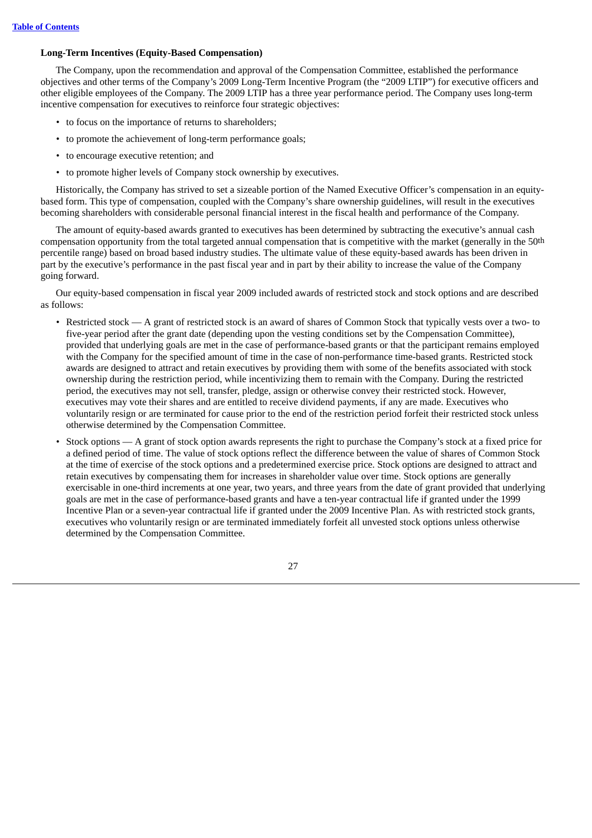# **Long-Term Incentives (Equity-Based Compensation)**

The Company, upon the recommendation and approval of the Compensation Committee, established the performance objectives and other terms of the Company's 2009 Long-Term Incentive Program (the "2009 LTIP") for executive officers and other eligible employees of the Company. The 2009 LTIP has a three year performance period. The Company uses long-term incentive compensation for executives to reinforce four strategic objectives:

- to focus on the importance of returns to shareholders;
- to promote the achievement of long-term performance goals;
- to encourage executive retention; and
- to promote higher levels of Company stock ownership by executives.

Historically, the Company has strived to set a sizeable portion of the Named Executive Officer's compensation in an equitybased form. This type of compensation, coupled with the Company's share ownership guidelines, will result in the executives becoming shareholders with considerable personal financial interest in the fiscal health and performance of the Company.

The amount of equity-based awards granted to executives has been determined by subtracting the executive's annual cash compensation opportunity from the total targeted annual compensation that is competitive with the market (generally in the 50th percentile range) based on broad based industry studies. The ultimate value of these equity-based awards has been driven in part by the executive's performance in the past fiscal year and in part by their ability to increase the value of the Company going forward.

Our equity-based compensation in fiscal year 2009 included awards of restricted stock and stock options and are described as follows:

- Restricted stock A grant of restricted stock is an award of shares of Common Stock that typically vests over a two- to five-year period after the grant date (depending upon the vesting conditions set by the Compensation Committee), provided that underlying goals are met in the case of performance-based grants or that the participant remains employed with the Company for the specified amount of time in the case of non-performance time-based grants. Restricted stock awards are designed to attract and retain executives by providing them with some of the benefits associated with stock ownership during the restriction period, while incentivizing them to remain with the Company. During the restricted period, the executives may not sell, transfer, pledge, assign or otherwise convey their restricted stock. However, executives may vote their shares and are entitled to receive dividend payments, if any are made. Executives who voluntarily resign or are terminated for cause prior to the end of the restriction period forfeit their restricted stock unless otherwise determined by the Compensation Committee.
- Stock options A grant of stock option awards represents the right to purchase the Company's stock at a fixed price for a defined period of time. The value of stock options reflect the difference between the value of shares of Common Stock at the time of exercise of the stock options and a predetermined exercise price. Stock options are designed to attract and retain executives by compensating them for increases in shareholder value over time. Stock options are generally exercisable in one-third increments at one year, two years, and three years from the date of grant provided that underlying goals are met in the case of performance-based grants and have a ten-year contractual life if granted under the 1999 Incentive Plan or a seven-year contractual life if granted under the 2009 Incentive Plan. As with restricted stock grants, executives who voluntarily resign or are terminated immediately forfeit all unvested stock options unless otherwise determined by the Compensation Committee.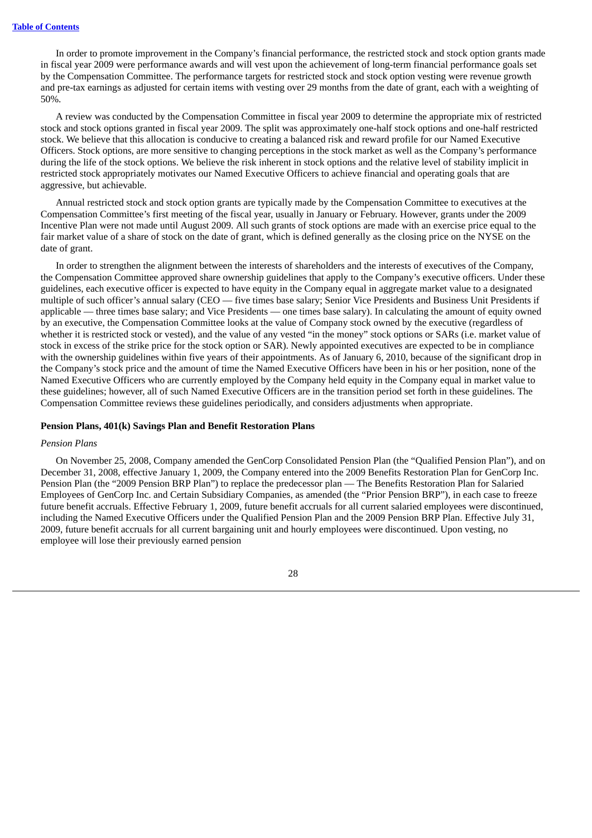In order to promote improvement in the Company's financial performance, the restricted stock and stock option grants made in fiscal year 2009 were performance awards and will vest upon the achievement of long-term financial performance goals set by the Compensation Committee. The performance targets for restricted stock and stock option vesting were revenue growth and pre-tax earnings as adjusted for certain items with vesting over 29 months from the date of grant, each with a weighting of 50%.

A review was conducted by the Compensation Committee in fiscal year 2009 to determine the appropriate mix of restricted stock and stock options granted in fiscal year 2009. The split was approximately one-half stock options and one-half restricted stock. We believe that this allocation is conducive to creating a balanced risk and reward profile for our Named Executive Officers. Stock options, are more sensitive to changing perceptions in the stock market as well as the Company's performance during the life of the stock options. We believe the risk inherent in stock options and the relative level of stability implicit in restricted stock appropriately motivates our Named Executive Officers to achieve financial and operating goals that are aggressive, but achievable.

Annual restricted stock and stock option grants are typically made by the Compensation Committee to executives at the Compensation Committee's first meeting of the fiscal year, usually in January or February. However, grants under the 2009 Incentive Plan were not made until August 2009. All such grants of stock options are made with an exercise price equal to the fair market value of a share of stock on the date of grant, which is defined generally as the closing price on the NYSE on the date of grant.

In order to strengthen the alignment between the interests of shareholders and the interests of executives of the Company, the Compensation Committee approved share ownership guidelines that apply to the Company's executive officers. Under these guidelines, each executive officer is expected to have equity in the Company equal in aggregate market value to a designated multiple of such officer's annual salary (CEO — five times base salary; Senior Vice Presidents and Business Unit Presidents if applicable — three times base salary; and Vice Presidents — one times base salary). In calculating the amount of equity owned by an executive, the Compensation Committee looks at the value of Company stock owned by the executive (regardless of whether it is restricted stock or vested), and the value of any vested "in the money" stock options or SARs (i.e. market value of stock in excess of the strike price for the stock option or SAR). Newly appointed executives are expected to be in compliance with the ownership guidelines within five years of their appointments. As of January 6, 2010, because of the significant drop in the Company's stock price and the amount of time the Named Executive Officers have been in his or her position, none of the Named Executive Officers who are currently employed by the Company held equity in the Company equal in market value to these guidelines; however, all of such Named Executive Officers are in the transition period set forth in these guidelines. The Compensation Committee reviews these guidelines periodically, and considers adjustments when appropriate.

### **Pension Plans, 401(k) Savings Plan and Benefit Restoration Plans**

### *Pension Plans*

On November 25, 2008, Company amended the GenCorp Consolidated Pension Plan (the "Qualified Pension Plan"), and on December 31, 2008, effective January 1, 2009, the Company entered into the 2009 Benefits Restoration Plan for GenCorp Inc. Pension Plan (the "2009 Pension BRP Plan") to replace the predecessor plan — The Benefits Restoration Plan for Salaried Employees of GenCorp Inc. and Certain Subsidiary Companies, as amended (the "Prior Pension BRP"), in each case to freeze future benefit accruals. Effective February 1, 2009, future benefit accruals for all current salaried employees were discontinued, including the Named Executive Officers under the Qualified Pension Plan and the 2009 Pension BRP Plan. Effective July 31, 2009, future benefit accruals for all current bargaining unit and hourly employees were discontinued. Upon vesting, no employee will lose their previously earned pension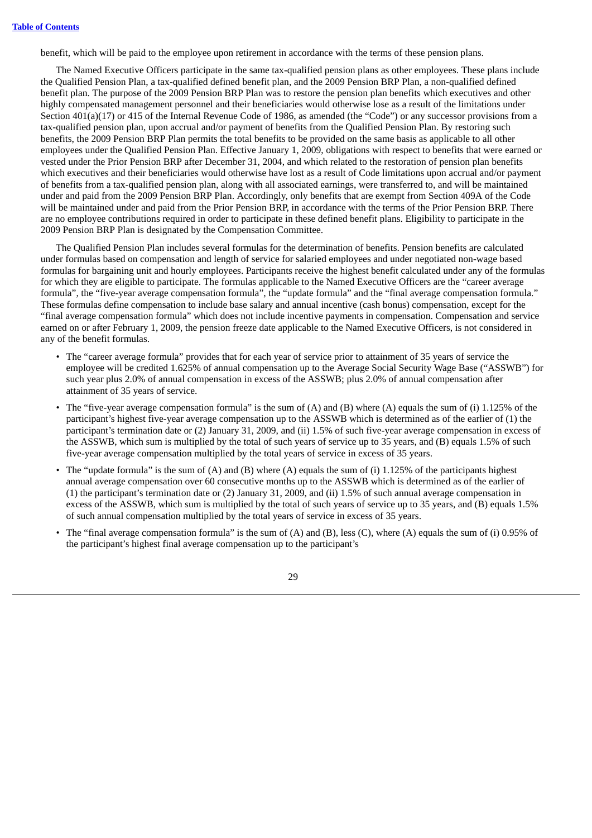benefit, which will be paid to the employee upon retirement in accordance with the terms of these pension plans.

The Named Executive Officers participate in the same tax-qualified pension plans as other employees. These plans include the Qualified Pension Plan, a tax-qualified defined benefit plan, and the 2009 Pension BRP Plan, a non-qualified defined benefit plan. The purpose of the 2009 Pension BRP Plan was to restore the pension plan benefits which executives and other highly compensated management personnel and their beneficiaries would otherwise lose as a result of the limitations under Section 401(a)(17) or 415 of the Internal Revenue Code of 1986, as amended (the "Code") or any successor provisions from a tax-qualified pension plan, upon accrual and/or payment of benefits from the Qualified Pension Plan. By restoring such benefits, the 2009 Pension BRP Plan permits the total benefits to be provided on the same basis as applicable to all other employees under the Qualified Pension Plan. Effective January 1, 2009, obligations with respect to benefits that were earned or vested under the Prior Pension BRP after December 31, 2004, and which related to the restoration of pension plan benefits which executives and their beneficiaries would otherwise have lost as a result of Code limitations upon accrual and/or payment of benefits from a tax-qualified pension plan, along with all associated earnings, were transferred to, and will be maintained under and paid from the 2009 Pension BRP Plan. Accordingly, only benefits that are exempt from Section 409A of the Code will be maintained under and paid from the Prior Pension BRP, in accordance with the terms of the Prior Pension BRP. There are no employee contributions required in order to participate in these defined benefit plans. Eligibility to participate in the 2009 Pension BRP Plan is designated by the Compensation Committee.

The Qualified Pension Plan includes several formulas for the determination of benefits. Pension benefits are calculated under formulas based on compensation and length of service for salaried employees and under negotiated non-wage based formulas for bargaining unit and hourly employees. Participants receive the highest benefit calculated under any of the formulas for which they are eligible to participate. The formulas applicable to the Named Executive Officers are the "career average formula", the "five-year average compensation formula", the "update formula" and the "final average compensation formula." These formulas define compensation to include base salary and annual incentive (cash bonus) compensation, except for the "final average compensation formula" which does not include incentive payments in compensation. Compensation and service earned on or after February 1, 2009, the pension freeze date applicable to the Named Executive Officers, is not considered in any of the benefit formulas.

- The "career average formula" provides that for each year of service prior to attainment of 35 years of service the employee will be credited 1.625% of annual compensation up to the Average Social Security Wage Base ("ASSWB") for such year plus 2.0% of annual compensation in excess of the ASSWB; plus 2.0% of annual compensation after attainment of 35 years of service.
- The "five-year average compensation formula" is the sum of  $(A)$  and  $(B)$  where  $(A)$  equals the sum of  $(i)$  1.125% of the participant's highest five-year average compensation up to the ASSWB which is determined as of the earlier of (1) the participant's termination date or (2) January 31, 2009, and (ii) 1.5% of such five-year average compensation in excess of the ASSWB, which sum is multiplied by the total of such years of service up to 35 years, and (B) equals 1.5% of such five-year average compensation multiplied by the total years of service in excess of 35 years.
- The "update formula" is the sum of (A) and (B) where (A) equals the sum of (i) 1.125% of the participants highest annual average compensation over 60 consecutive months up to the ASSWB which is determined as of the earlier of (1) the participant's termination date or (2) January 31, 2009, and (ii) 1.5% of such annual average compensation in excess of the ASSWB, which sum is multiplied by the total of such years of service up to 35 years, and (B) equals 1.5% of such annual compensation multiplied by the total years of service in excess of 35 years.
- The "final average compensation formula" is the sum of (A) and (B), less (C), where (A) equals the sum of (i) 0.95% of the participant's highest final average compensation up to the participant's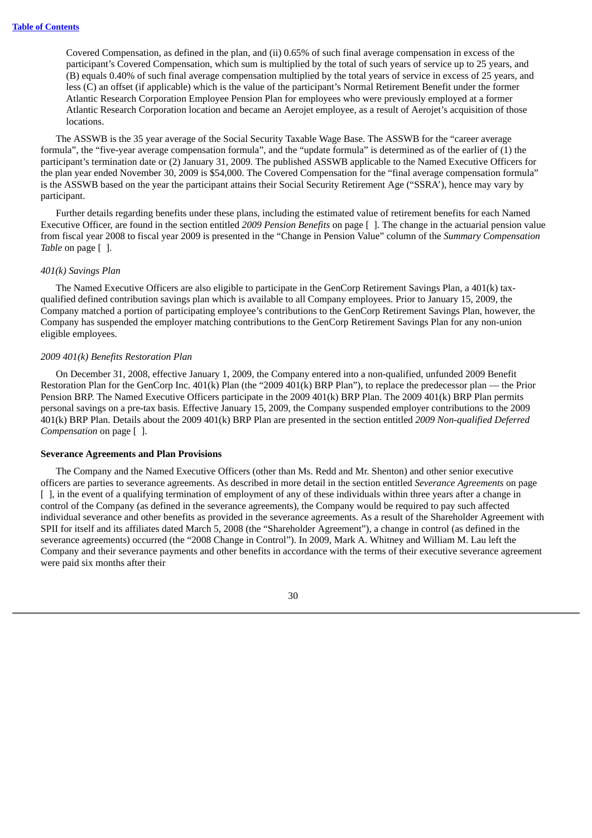Covered Compensation, as defined in the plan, and (ii) 0.65% of such final average compensation in excess of the participant's Covered Compensation, which sum is multiplied by the total of such years of service up to 25 years, and (B) equals 0.40% of such final average compensation multiplied by the total years of service in excess of 25 years, and less (C) an offset (if applicable) which is the value of the participant's Normal Retirement Benefit under the former Atlantic Research Corporation Employee Pension Plan for employees who were previously employed at a former Atlantic Research Corporation location and became an Aerojet employee, as a result of Aerojet's acquisition of those locations.

The ASSWB is the 35 year average of the Social Security Taxable Wage Base. The ASSWB for the "career average formula", the "five-year average compensation formula", and the "update formula" is determined as of the earlier of (1) the participant's termination date or (2) January 31, 2009. The published ASSWB applicable to the Named Executive Officers for the plan year ended November 30, 2009 is \$54,000. The Covered Compensation for the "final average compensation formula" is the ASSWB based on the year the participant attains their Social Security Retirement Age ("SSRA'), hence may vary by participant.

Further details regarding benefits under these plans, including the estimated value of retirement benefits for each Named Executive Officer, are found in the section entitled *2009 Pension Benefits* on page [ ]. The change in the actuarial pension value from fiscal year 2008 to fiscal year 2009 is presented in the "Change in Pension Value" column of the *Summary Compensation Table* on page [ ].

#### *401(k) Savings Plan*

The Named Executive Officers are also eligible to participate in the GenCorp Retirement Savings Plan, a 401(k) taxqualified defined contribution savings plan which is available to all Company employees. Prior to January 15, 2009, the Company matched a portion of participating employee's contributions to the GenCorp Retirement Savings Plan, however, the Company has suspended the employer matching contributions to the GenCorp Retirement Savings Plan for any non-union eligible employees.

### *2009 401(k) Benefits Restoration Plan*

On December 31, 2008, effective January 1, 2009, the Company entered into a non-qualified, unfunded 2009 Benefit Restoration Plan for the GenCorp Inc. 401(k) Plan (the "2009 401(k) BRP Plan"), to replace the predecessor plan — the Prior Pension BRP. The Named Executive Officers participate in the 2009 401(k) BRP Plan. The 2009 401(k) BRP Plan permits personal savings on a pre-tax basis. Effective January 15, 2009, the Company suspended employer contributions to the 2009 401(k) BRP Plan. Details about the 2009 401(k) BRP Plan are presented in the section entitled *2009 Non-qualified Deferred Compensation* on page [ ].

#### **Severance Agreements and Plan Provisions**

The Company and the Named Executive Officers (other than Ms. Redd and Mr. Shenton) and other senior executive officers are parties to severance agreements. As described in more detail in the section entitled *Severance Agreements* on page [ ], in the event of a qualifying termination of employment of any of these individuals within three years after a change in control of the Company (as defined in the severance agreements), the Company would be required to pay such affected individual severance and other benefits as provided in the severance agreements. As a result of the Shareholder Agreement with SPII for itself and its affiliates dated March 5, 2008 (the "Shareholder Agreement"), a change in control (as defined in the severance agreements) occurred (the "2008 Change in Control"). In 2009, Mark A. Whitney and William M. Lau left the Company and their severance payments and other benefits in accordance with the terms of their executive severance agreement were paid six months after their

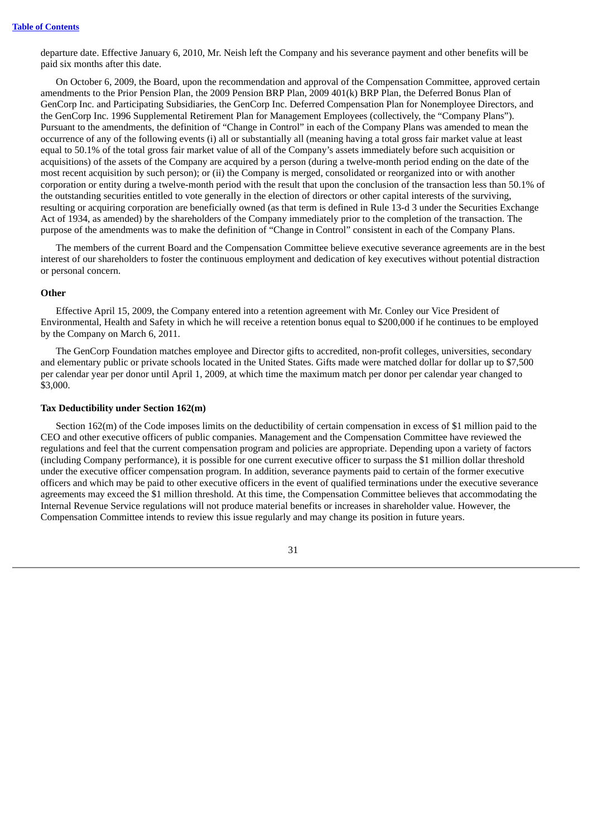departure date. Effective January 6, 2010, Mr. Neish left the Company and his severance payment and other benefits will be paid six months after this date.

On October 6, 2009, the Board, upon the recommendation and approval of the Compensation Committee, approved certain amendments to the Prior Pension Plan, the 2009 Pension BRP Plan, 2009 401(k) BRP Plan, the Deferred Bonus Plan of GenCorp Inc. and Participating Subsidiaries, the GenCorp Inc. Deferred Compensation Plan for Nonemployee Directors, and the GenCorp Inc. 1996 Supplemental Retirement Plan for Management Employees (collectively, the "Company Plans"). Pursuant to the amendments, the definition of "Change in Control" in each of the Company Plans was amended to mean the occurrence of any of the following events (i) all or substantially all (meaning having a total gross fair market value at least equal to 50.1% of the total gross fair market value of all of the Company's assets immediately before such acquisition or acquisitions) of the assets of the Company are acquired by a person (during a twelve-month period ending on the date of the most recent acquisition by such person); or (ii) the Company is merged, consolidated or reorganized into or with another corporation or entity during a twelve-month period with the result that upon the conclusion of the transaction less than 50.1% of the outstanding securities entitled to vote generally in the election of directors or other capital interests of the surviving, resulting or acquiring corporation are beneficially owned (as that term is defined in Rule 13-d 3 under the Securities Exchange Act of 1934, as amended) by the shareholders of the Company immediately prior to the completion of the transaction. The purpose of the amendments was to make the definition of "Change in Control" consistent in each of the Company Plans.

The members of the current Board and the Compensation Committee believe executive severance agreements are in the best interest of our shareholders to foster the continuous employment and dedication of key executives without potential distraction or personal concern.

## **Other**

Effective April 15, 2009, the Company entered into a retention agreement with Mr. Conley our Vice President of Environmental, Health and Safety in which he will receive a retention bonus equal to \$200,000 if he continues to be employed by the Company on March 6, 2011.

The GenCorp Foundation matches employee and Director gifts to accredited, non-profit colleges, universities, secondary and elementary public or private schools located in the United States. Gifts made were matched dollar for dollar up to \$7,500 per calendar year per donor until April 1, 2009, at which time the maximum match per donor per calendar year changed to \$3,000.

## **Tax Deductibility under Section 162(m)**

Section 162(m) of the Code imposes limits on the deductibility of certain compensation in excess of \$1 million paid to the CEO and other executive officers of public companies. Management and the Compensation Committee have reviewed the regulations and feel that the current compensation program and policies are appropriate. Depending upon a variety of factors (including Company performance), it is possible for one current executive officer to surpass the \$1 million dollar threshold under the executive officer compensation program. In addition, severance payments paid to certain of the former executive officers and which may be paid to other executive officers in the event of qualified terminations under the executive severance agreements may exceed the \$1 million threshold. At this time, the Compensation Committee believes that accommodating the Internal Revenue Service regulations will not produce material benefits or increases in shareholder value. However, the Compensation Committee intends to review this issue regularly and may change its position in future years.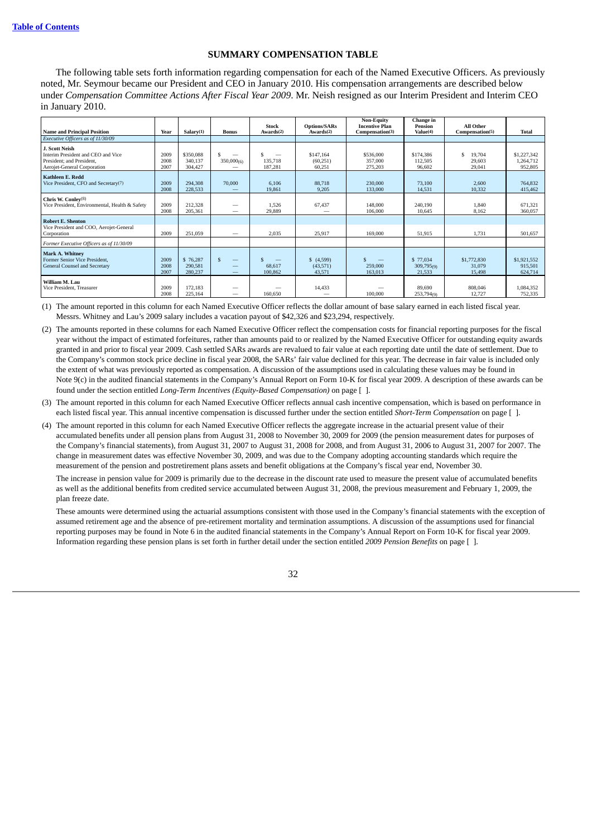## **SUMMARY COMPENSATION TABLE**

The following table sets forth information regarding compensation for each of the Named Executive Officers. As previously noted, Mr. Seymour became our President and CEO in January 2010. His compensation arrangements are described below under *Compensation Committee Actions After Fiscal Year 2009*. Mr. Neish resigned as our Interim President and Interim CEO in January 2010.

| <b>Name and Principal Position</b>                                                                               | Year                 | Salarv(1)                       | <b>Bonus</b>       | <b>Stock</b><br>Awards(2) | <b>Options/SARs</b><br>Awards <sup>(2)</sup> | <b>Non-Equity</b><br><b>Incentive Plan</b><br>Compensation(3) | Change in<br>Pension<br>Value(4) | <b>All Other</b><br>Compensation(5) | <b>Total</b>                        |
|------------------------------------------------------------------------------------------------------------------|----------------------|---------------------------------|--------------------|---------------------------|----------------------------------------------|---------------------------------------------------------------|----------------------------------|-------------------------------------|-------------------------------------|
| Executive Officers as of 11/30/09                                                                                |                      |                                 |                    |                           |                                              |                                                               |                                  |                                     |                                     |
| J. Scott Neish<br>Interim President and CEO and Vice<br>President; and President,<br>Aerojet-General Corporation | 2009<br>2008<br>2007 | \$350,088<br>340.137<br>304,427 | \$<br>350,000(6)   | 135,718<br>187,281        | \$147.164<br>(60, 251)<br>60,251             | \$536,000<br>357,000<br>275,203                               | \$174,386<br>112,505<br>96,602   | 19,704<br>S<br>29,603<br>29,041     | \$1,227,342<br>1.264.712<br>952,805 |
| <b>Kathleen E. Redd</b><br>Vice President, CFO and Secretary(7)                                                  | 2009<br>2008         | 294.308<br>228,533              | 70,000             | 6.106<br>19,861           | 88,718<br>9,205                              | 230,000<br>133,000                                            | 73.100<br>14,531                 | 2,600<br>10,332                     | 764.832<br>415.462                  |
| Chris W. Conley(8)<br>Vice President, Environmental, Health & Safety                                             | 2009<br>2008         | 212,328<br>205,361              |                    | 1.526<br>29,889           | 67,437                                       | 148,000<br>106,000                                            | 240.190<br>10.645                | 1.840<br>8,162                      | 671,321<br>360,057                  |
| <b>Robert E. Shenton</b><br>Vice President and COO, Aerojet-General<br>Corporation                               | 2009                 | 251,059                         | -                  | 2,035                     | 25,917                                       | 169,000                                                       | 51.915                           | 1,731                               | 501,657                             |
| Former Executive Officers as of 11/30/09                                                                         |                      |                                 |                    |                           |                                              |                                                               |                                  |                                     |                                     |
| Mark A. Whitney<br>Former Senior Vice President,<br>General Counsel and Secretary                                | 2009<br>2008<br>2007 | \$76,287<br>290,581<br>280,237  | $\mathcal{S}$<br>_ | 68.617<br>100,862         | (4,599)<br>(43,571)<br>43,571                | 259,000<br>163,013                                            | \$77,034<br>309,795(9)<br>21,533 | \$1,772,830<br>31,079<br>15.498     | \$1,921,552<br>915,501<br>624.714   |
| William M. Lau<br>Vice President, Treasurer                                                                      | 2009<br>2008         | 172,183<br>225,164              | –                  | 160,650                   | 14,433                                       | 100,000                                                       | 89,690<br>253,794(9)             | 808,046<br>12,727                   | 1,084,352<br>752,335                |

(1) The amount reported in this column for each Named Executive Officer reflects the dollar amount of base salary earned in each listed fiscal year. Messrs. Whitney and Lau's 2009 salary includes a vacation payout of \$42,326 and \$23,294, respectively.

(2) The amounts reported in these columns for each Named Executive Officer reflect the compensation costs for financial reporting purposes for the fiscal year without the impact of estimated forfeitures, rather than amounts paid to or realized by the Named Executive Officer for outstanding equity awards granted in and prior to fiscal year 2009. Cash settled SARs awards are revalued to fair value at each reporting date until the date of settlement. Due to the Company's common stock price decline in fiscal year 2008, the SARs' fair value declined for this year. The decrease in fair value is included only the extent of what was previously reported as compensation. A discussion of the assumptions used in calculating these values may be found in Note 9(c) in the audited financial statements in the Company's Annual Report on Form 10-K for fiscal year 2009. A description of these awards can be found under the section entitled *Long-Term Incentives (Equity-Based Compensation)* on page [ ].

(3) The amount reported in this column for each Named Executive Officer reflects annual cash incentive compensation, which is based on performance in each listed fiscal year. This annual incentive compensation is discussed further under the section entitled *Short-Term Compensation* on page [ ].

(4) The amount reported in this column for each Named Executive Officer reflects the aggregate increase in the actuarial present value of their accumulated benefits under all pension plans from August 31, 2008 to November 30, 2009 for 2009 (the pension measurement dates for purposes of the Company's financial statements), from August 31, 2007 to August 31, 2008 for 2008, and from August 31, 2006 to August 31, 2007 for 2007. The change in measurement dates was effective November 30, 2009, and was due to the Company adopting accounting standards which require the measurement of the pension and postretirement plans assets and benefit obligations at the Company's fiscal year end, November 30.

The increase in pension value for 2009 is primarily due to the decrease in the discount rate used to measure the present value of accumulated benefits as well as the additional benefits from credited service accumulated between August 31, 2008, the previous measurement and February 1, 2009, the plan freeze date.

These amounts were determined using the actuarial assumptions consistent with those used in the Company's financial statements with the exception of assumed retirement age and the absence of pre-retirement mortality and termination assumptions. A discussion of the assumptions used for financial reporting purposes may be found in Note 6 in the audited financial statements in the Company's Annual Report on Form 10-K for fiscal year 2009. Information regarding these pension plans is set forth in further detail under the section entitled *2009 Pension Benefits* on page [ ].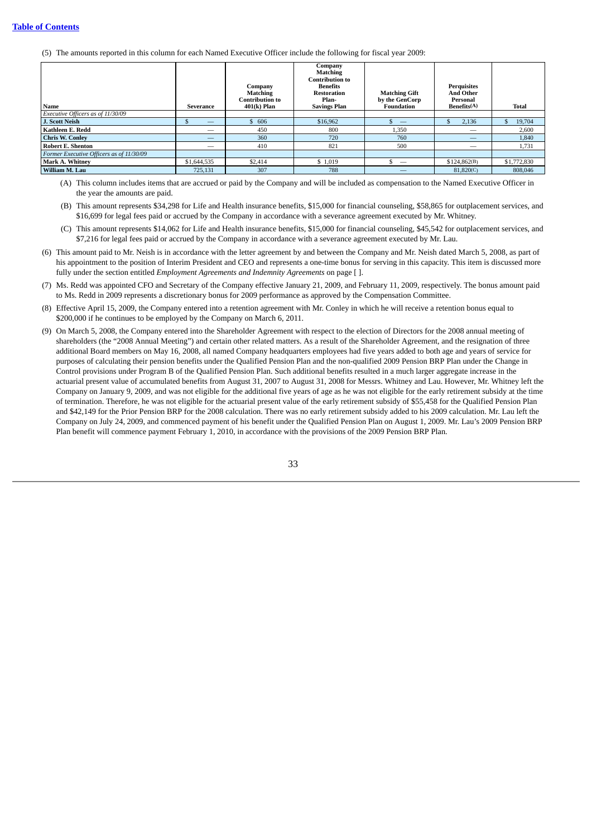(5) The amounts reported in this column for each Named Executive Officer include the following for fiscal year 2009:

| Name                                     | Severance   | Company<br><b>Matching</b><br><b>Contribution to</b><br>$401(k)$ Plan | Company<br><b>Matching</b><br><b>Contribution to</b><br><b>Benefits</b><br><b>Restoration</b><br>Plan-<br><b>Savings Plan</b> | <b>Matching Gift</b><br>by the GenCorp<br><b>Foundation</b> | Perquisites<br><b>And Other</b><br>Personal<br>Benefits(A) | Total       |
|------------------------------------------|-------------|-----------------------------------------------------------------------|-------------------------------------------------------------------------------------------------------------------------------|-------------------------------------------------------------|------------------------------------------------------------|-------------|
| Executive Officers as of 11/30/09        |             |                                                                       |                                                                                                                               |                                                             |                                                            |             |
| J. Scott Neish                           | _           | \$606                                                                 | \$16,962                                                                                                                      |                                                             | 2,136<br>\$                                                | 19,704      |
| Kathleen E. Redd                         | -           | 450                                                                   | 800                                                                                                                           | 1,350                                                       | $\overline{\phantom{a}}$                                   | 2,600       |
| <b>Chris W. Conley</b>                   |             | 360                                                                   | 720                                                                                                                           | 760                                                         |                                                            | 1,840       |
| <b>Robert E. Shenton</b>                 | --          | 410                                                                   | 821                                                                                                                           | 500                                                         | _                                                          | 1,731       |
| Former Executive Officers as of 11/30/09 |             |                                                                       |                                                                                                                               |                                                             |                                                            |             |
| <b>Mark A. Whitney</b>                   | \$1,644,535 | \$2,414                                                               | \$1,019                                                                                                                       |                                                             | \$124,862(B)                                               | \$1,772,830 |
| William M. Lau                           | 725.131     | 307                                                                   | 788                                                                                                                           |                                                             | 81.820(C)                                                  | 808,046     |

(A) This column includes items that are accrued or paid by the Company and will be included as compensation to the Named Executive Officer in the year the amounts are paid.

- (B) This amount represents \$34,298 for Life and Health insurance benefits, \$15,000 for financial counseling, \$58,865 for outplacement services, and \$16,699 for legal fees paid or accrued by the Company in accordance with a severance agreement executed by Mr. Whitney.
- (C) This amount represents \$14,062 for Life and Health insurance benefits, \$15,000 for financial counseling, \$45,542 for outplacement services, and \$7,216 for legal fees paid or accrued by the Company in accordance with a severance agreement executed by Mr. Lau.
- (6) This amount paid to Mr. Neish is in accordance with the letter agreement by and between the Company and Mr. Neish dated March 5, 2008, as part of his appointment to the position of Interim President and CEO and represents a one-time bonus for serving in this capacity. This item is discussed more fully under the section entitled *Employment Agreements and Indemnity Agreements* on page [ ].
- (7) Ms. Redd was appointed CFO and Secretary of the Company effective January 21, 2009, and February 11, 2009, respectively. The bonus amount paid to Ms. Redd in 2009 represents a discretionary bonus for 2009 performance as approved by the Compensation Committee.
- (8) Effective April 15, 2009, the Company entered into a retention agreement with Mr. Conley in which he will receive a retention bonus equal to \$200,000 if he continues to be employed by the Company on March 6, 2011.
- (9) On March 5, 2008, the Company entered into the Shareholder Agreement with respect to the election of Directors for the 2008 annual meeting of shareholders (the "2008 Annual Meeting") and certain other related matters. As a result of the Shareholder Agreement, and the resignation of three additional Board members on May 16, 2008, all named Company headquarters employees had five years added to both age and years of service for purposes of calculating their pension benefits under the Qualified Pension Plan and the non-qualified 2009 Pension BRP Plan under the Change in Control provisions under Program B of the Qualified Pension Plan. Such additional benefits resulted in a much larger aggregate increase in the actuarial present value of accumulated benefits from August 31, 2007 to August 31, 2008 for Messrs. Whitney and Lau. However, Mr. Whitney left the Company on January 9, 2009, and was not eligible for the additional five years of age as he was not eligible for the early retirement subsidy at the time of termination. Therefore, he was not eligible for the actuarial present value of the early retirement subsidy of \$55,458 for the Qualified Pension Plan and \$42,149 for the Prior Pension BRP for the 2008 calculation. There was no early retirement subsidy added to his 2009 calculation. Mr. Lau left the Company on July 24, 2009, and commenced payment of his benefit under the Qualified Pension Plan on August 1, 2009. Mr. Lau's 2009 Pension BRP Plan benefit will commence payment February 1, 2010, in accordance with the provisions of the 2009 Pension BRP Plan.

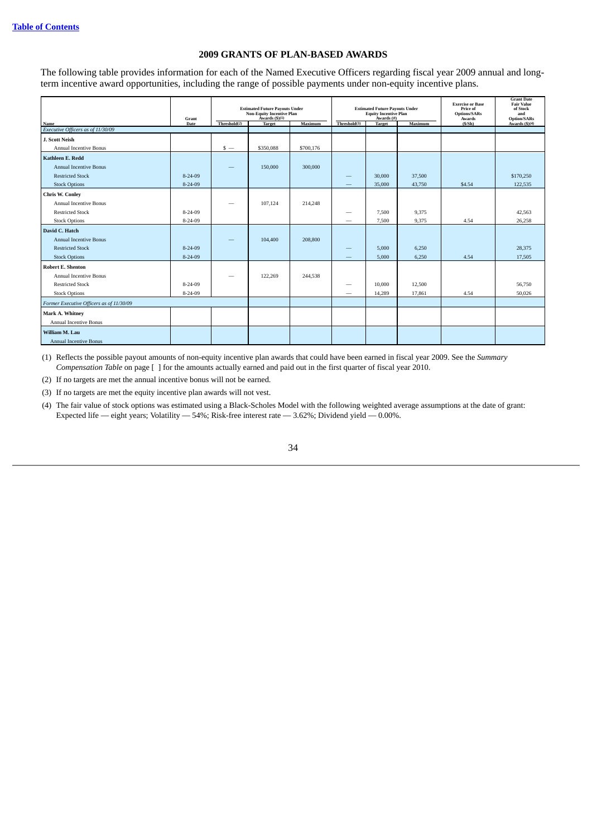# **2009 GRANTS OF PLAN-BASED AWARDS**

The following table provides information for each of the Named Executive Officers regarding fiscal year 2009 annual and longterm incentive award opportunities, including the range of possible payments under non-equity incentive plans.

|                                                                                                     | Grant         | <b>Estimated Future Payouts Under</b><br><b>Non-Equity Incentive Plan</b><br>Awards $(5)(1)$ |               | <b>Estimated Future Payouts Under</b><br><b>Equity Incentive Plan</b><br>Awards (#) |                                |               | <b>Exercise or Base</b><br>Price of<br><b>Options/SARs</b><br>Awards | <b>Grant Date</b><br><b>Fair Value</b><br>of Stock<br>and<br><b>Option/SARs</b> |                 |
|-----------------------------------------------------------------------------------------------------|---------------|----------------------------------------------------------------------------------------------|---------------|-------------------------------------------------------------------------------------|--------------------------------|---------------|----------------------------------------------------------------------|---------------------------------------------------------------------------------|-----------------|
| Name<br>Executive Officers as of 11/30/09                                                           | Date          | Threshold <sup>(2)</sup>                                                                     | <b>Target</b> | Maximum                                                                             | Threshold(3)                   | <b>Target</b> | Maximum                                                              | (S/Sh)                                                                          | Awards $(5)(4)$ |
|                                                                                                     |               |                                                                                              |               |                                                                                     |                                |               |                                                                      |                                                                                 |                 |
| J. Scott Neish                                                                                      |               |                                                                                              |               |                                                                                     |                                |               |                                                                      |                                                                                 |                 |
| <b>Annual Incentive Bonus</b>                                                                       |               | $s -$                                                                                        | \$350,088     | \$700,176                                                                           |                                |               |                                                                      |                                                                                 |                 |
| <b>Kathleen E. Redd</b>                                                                             |               |                                                                                              |               |                                                                                     |                                |               |                                                                      |                                                                                 |                 |
| <b>Annual Incentive Bonus</b>                                                                       |               |                                                                                              | 150,000       | 300,000                                                                             |                                |               |                                                                      |                                                                                 |                 |
| <b>Restricted Stock</b>                                                                             | $8 - 24 - 09$ |                                                                                              |               |                                                                                     | $\qquad \qquad \longleftarrow$ | 30,000        | 37,500                                                               |                                                                                 | \$170,250       |
| <b>Stock Options</b>                                                                                | $8 - 24 - 09$ |                                                                                              |               |                                                                                     |                                | 35,000        | 43,750                                                               | \$4.54                                                                          | 122.535         |
| <b>Chris W. Conley</b>                                                                              |               |                                                                                              |               |                                                                                     |                                |               |                                                                      |                                                                                 |                 |
| <b>Annual Incentive Bonus</b>                                                                       |               |                                                                                              | 107,124       | 214,248                                                                             |                                |               |                                                                      |                                                                                 |                 |
| <b>Restricted Stock</b>                                                                             | 8-24-09       |                                                                                              |               |                                                                                     | $\qquad \qquad$                | 7,500         | 9,375                                                                |                                                                                 | 42,563          |
| <b>Stock Options</b>                                                                                | $8 - 24 - 09$ |                                                                                              |               |                                                                                     | -                              | 7,500         | 9,375                                                                | 4.54                                                                            | 26,258          |
| David C. Hatch                                                                                      |               |                                                                                              |               |                                                                                     |                                |               |                                                                      |                                                                                 |                 |
| <b>Annual Incentive Bonus</b>                                                                       |               |                                                                                              | 104,400       | 208,800                                                                             |                                |               |                                                                      |                                                                                 |                 |
| <b>Restricted Stock</b>                                                                             | $8 - 24 - 09$ |                                                                                              |               |                                                                                     |                                | 5.000         | 6,250                                                                |                                                                                 | 28,375          |
| <b>Stock Options</b>                                                                                | $8 - 24 - 09$ |                                                                                              |               |                                                                                     |                                | 5,000         | 6,250                                                                | 4.54                                                                            | 17,505          |
| <b>Robert E. Shenton</b>                                                                            |               |                                                                                              |               |                                                                                     |                                |               |                                                                      |                                                                                 |                 |
| <b>Annual Incentive Bonus</b>                                                                       |               |                                                                                              | 122,269       | 244,538                                                                             |                                |               |                                                                      |                                                                                 |                 |
| <b>Restricted Stock</b>                                                                             | 8-24-09       |                                                                                              |               |                                                                                     | $\qquad \qquad$                | 10,000        | 12,500                                                               |                                                                                 | 56,750          |
| <b>Stock Options</b>                                                                                | 8-24-09       |                                                                                              |               |                                                                                     |                                | 14,289        | 17,861                                                               | 4.54                                                                            | 50,026          |
| Former Executive Officers as of 11/30/09                                                            |               |                                                                                              |               |                                                                                     |                                |               |                                                                      |                                                                                 |                 |
|                                                                                                     |               |                                                                                              |               |                                                                                     |                                |               |                                                                      |                                                                                 |                 |
|                                                                                                     |               |                                                                                              |               |                                                                                     |                                |               |                                                                      |                                                                                 |                 |
|                                                                                                     |               |                                                                                              |               |                                                                                     |                                |               |                                                                      |                                                                                 |                 |
|                                                                                                     |               |                                                                                              |               |                                                                                     |                                |               |                                                                      |                                                                                 |                 |
| Mark A. Whitney<br><b>Annual Incentive Bonus</b><br>William M. Lau<br><b>Annual Incentive Bonus</b> |               |                                                                                              |               |                                                                                     |                                |               |                                                                      |                                                                                 |                 |

(1) Reflects the possible payout amounts of non-equity incentive plan awards that could have been earned in fiscal year 2009. See the *Summary Compensation Table* on page [ ] for the amounts actually earned and paid out in the first quarter of fiscal year 2010.

(2) If no targets are met the annual incentive bonus will not be earned.

(3) If no targets are met the equity incentive plan awards will not vest.

(4) The fair value of stock options was estimated using a Black-Scholes Model with the following weighted average assumptions at the date of grant: Expected life — eight years; Volatility — 54%; Risk-free interest rate — 3.62%; Dividend yield — 0.00%.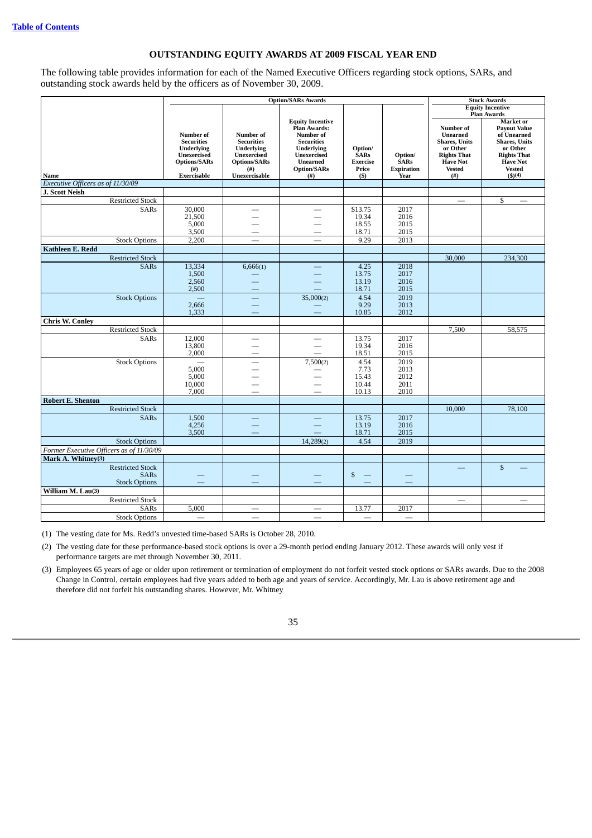# **OUTSTANDING EQUITY AWARDS AT 2009 FISCAL YEAR END**

The following table provides information for each of the Named Executive Officers regarding stock options, SARs, and outstanding stock awards held by the officers as of November 30, 2009.

|                                                                |                                                                                                                        |                                                                                                                   | <b>Option/SARs Awards</b>                                                                                                                                     |                                                              |                                                     |                                                                                                                                         | <b>Stock Awards</b>                                                                                                                                             |  |
|----------------------------------------------------------------|------------------------------------------------------------------------------------------------------------------------|-------------------------------------------------------------------------------------------------------------------|---------------------------------------------------------------------------------------------------------------------------------------------------------------|--------------------------------------------------------------|-----------------------------------------------------|-----------------------------------------------------------------------------------------------------------------------------------------|-----------------------------------------------------------------------------------------------------------------------------------------------------------------|--|
|                                                                |                                                                                                                        |                                                                                                                   |                                                                                                                                                               |                                                              |                                                     |                                                                                                                                         | <b>Equity Incentive</b><br><b>Plan Awards</b>                                                                                                                   |  |
| Name                                                           | Number of<br><b>Securities</b><br><b>Underlying</b><br><b>Unexercised</b><br><b>Options/SARs</b><br>(#)<br>Exercisable | Number of<br><b>Securities</b><br><b>Underlying</b><br>Unexercised<br><b>Options/SARs</b><br>(#)<br>Unexercisable | <b>Equity Incentive</b><br>Plan Awards:<br>Number of<br><b>Securities</b><br><b>Underlying</b><br>Unexercised<br><b>Unearned</b><br><b>Option/SARs</b><br>(#) | Option/<br><b>SARs</b><br><b>Exercise</b><br>Price<br>$($ \$ | Option/<br><b>SARs</b><br><b>Expiration</b><br>Year | Number of<br><b>Unearned</b><br><b>Shares</b> , Units<br>or Other<br><b>Rights That</b><br><b>Have Not</b><br><b>Vested</b><br>$^{(#)}$ | Market or<br><b>Payout Value</b><br>of Unearned<br><b>Shares</b> , Units<br>or Other<br><b>Rights That</b><br><b>Have Not</b><br><b>Vested</b><br>$($ \$) $(4)$ |  |
| Executive Officers as of 11/30/09                              |                                                                                                                        |                                                                                                                   |                                                                                                                                                               |                                                              |                                                     |                                                                                                                                         |                                                                                                                                                                 |  |
| J. Scott Neish                                                 |                                                                                                                        |                                                                                                                   |                                                                                                                                                               |                                                              |                                                     |                                                                                                                                         |                                                                                                                                                                 |  |
| <b>Restricted Stock</b>                                        |                                                                                                                        |                                                                                                                   |                                                                                                                                                               |                                                              |                                                     | $\overline{\phantom{0}}$                                                                                                                | \$                                                                                                                                                              |  |
| <b>SARs</b>                                                    | 30,000<br>21,500<br>5,000<br>3,500                                                                                     |                                                                                                                   |                                                                                                                                                               | \$13.75<br>19.34<br>18.55<br>18.71                           | 2017<br>2016<br>2015<br>2015                        |                                                                                                                                         |                                                                                                                                                                 |  |
| <b>Stock Options</b>                                           | 2,200                                                                                                                  |                                                                                                                   |                                                                                                                                                               | 9.29                                                         | 2013                                                |                                                                                                                                         |                                                                                                                                                                 |  |
| <b>Kathleen E. Redd</b>                                        |                                                                                                                        |                                                                                                                   |                                                                                                                                                               |                                                              |                                                     |                                                                                                                                         |                                                                                                                                                                 |  |
| <b>Restricted Stock</b>                                        |                                                                                                                        |                                                                                                                   |                                                                                                                                                               |                                                              |                                                     | 30,000                                                                                                                                  | 234,300                                                                                                                                                         |  |
| <b>SARs</b>                                                    | 13,334<br>1,500<br>2,560<br>2,500                                                                                      | 6,666(1)                                                                                                          |                                                                                                                                                               | 4.25<br>13.75<br>13.19<br>18.71                              | 2018<br>2017<br>2016<br>2015                        |                                                                                                                                         |                                                                                                                                                                 |  |
| <b>Stock Options</b>                                           | 2,666<br>1,333                                                                                                         |                                                                                                                   | 35,000(2)                                                                                                                                                     | 4.54<br>9.29<br>10.85                                        | 2019<br>2013<br>2012                                |                                                                                                                                         |                                                                                                                                                                 |  |
| <b>Chris W. Conley</b>                                         |                                                                                                                        |                                                                                                                   |                                                                                                                                                               |                                                              |                                                     |                                                                                                                                         |                                                                                                                                                                 |  |
| <b>Restricted Stock</b>                                        |                                                                                                                        |                                                                                                                   |                                                                                                                                                               |                                                              |                                                     | 7,500                                                                                                                                   | 58,575                                                                                                                                                          |  |
| <b>SARs</b>                                                    | 12,000<br>13,800<br>2,000                                                                                              |                                                                                                                   |                                                                                                                                                               | 13.75<br>19.34<br>18.51                                      | 2017<br>2016<br>2015                                |                                                                                                                                         |                                                                                                                                                                 |  |
| <b>Stock Options</b>                                           | 5,000<br>5,000<br>10,000<br>7,000                                                                                      | $\overline{\phantom{0}}$                                                                                          | 7,500(2)                                                                                                                                                      | 4.54<br>7.73<br>15.43<br>10.44<br>10.13                      | 2019<br>2013<br>2012<br>2011<br>2010                |                                                                                                                                         |                                                                                                                                                                 |  |
| <b>Robert E. Shenton</b>                                       |                                                                                                                        |                                                                                                                   |                                                                                                                                                               |                                                              |                                                     |                                                                                                                                         |                                                                                                                                                                 |  |
| <b>Restricted Stock</b>                                        |                                                                                                                        |                                                                                                                   |                                                                                                                                                               |                                                              |                                                     | 10.000                                                                                                                                  | 78,100                                                                                                                                                          |  |
| <b>SARs</b>                                                    | 1,500<br>4,256<br>3,500                                                                                                |                                                                                                                   |                                                                                                                                                               | 13.75<br>13.19<br>18.71                                      | 2017<br>2016<br>2015                                |                                                                                                                                         |                                                                                                                                                                 |  |
| <b>Stock Options</b>                                           |                                                                                                                        |                                                                                                                   | 14,289(2)                                                                                                                                                     | 4.54                                                         | 2019                                                |                                                                                                                                         |                                                                                                                                                                 |  |
| Former Executive Officers as of 11/30/09                       |                                                                                                                        |                                                                                                                   |                                                                                                                                                               |                                                              |                                                     |                                                                                                                                         |                                                                                                                                                                 |  |
| Mark A. Whitney(3)                                             |                                                                                                                        |                                                                                                                   |                                                                                                                                                               |                                                              |                                                     |                                                                                                                                         |                                                                                                                                                                 |  |
| <b>Restricted Stock</b><br><b>SARs</b><br><b>Stock Options</b> |                                                                                                                        |                                                                                                                   |                                                                                                                                                               | \$                                                           |                                                     |                                                                                                                                         | $\mathbb{S}$                                                                                                                                                    |  |
| William M. Lau(3)                                              |                                                                                                                        |                                                                                                                   |                                                                                                                                                               |                                                              |                                                     |                                                                                                                                         |                                                                                                                                                                 |  |
| <b>Restricted Stock</b>                                        |                                                                                                                        |                                                                                                                   |                                                                                                                                                               |                                                              |                                                     | $\overline{\phantom{0}}$                                                                                                                | and a                                                                                                                                                           |  |
| <b>SARs</b>                                                    | 5,000                                                                                                                  |                                                                                                                   |                                                                                                                                                               | 13.77                                                        | 2017                                                |                                                                                                                                         |                                                                                                                                                                 |  |
| <b>Stock Options</b>                                           |                                                                                                                        |                                                                                                                   |                                                                                                                                                               |                                                              |                                                     |                                                                                                                                         |                                                                                                                                                                 |  |

(1) The vesting date for Ms. Redd's unvested time-based SARs is October 28, 2010.

(2) The vesting date for these performance-based stock options is over a 29-month period ending January 2012. These awards will only vest if performance targets are met through November 30, 2011.

(3) Employees 65 years of age or older upon retirement or termination of employment do not forfeit vested stock options or SARs awards. Due to the 2008 Change in Control, certain employees had five years added to both age and years of service. Accordingly, Mr. Lau is above retirement age and therefore did not forfeit his outstanding shares. However, Mr. Whitney

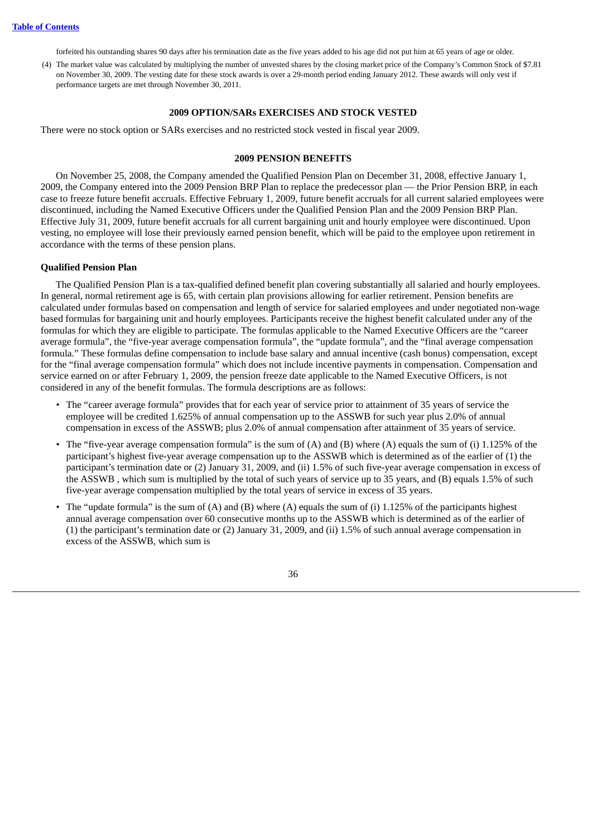forfeited his outstanding shares 90 days after his termination date as the five years added to his age did not put him at 65 years of age or older.

(4) The market value was calculated by multiplying the number of unvested shares by the closing market price of the Company's Common Stock of \$7.81 on November 30, 2009. The vesting date for these stock awards is over a 29-month period ending January 2012. These awards will only vest if performance targets are met through November 30, 2011.

#### **2009 OPTION/SARs EXERCISES AND STOCK VESTED**

There were no stock option or SARs exercises and no restricted stock vested in fiscal year 2009.

## **2009 PENSION BENEFITS**

On November 25, 2008, the Company amended the Qualified Pension Plan on December 31, 2008, effective January 1, 2009, the Company entered into the 2009 Pension BRP Plan to replace the predecessor plan — the Prior Pension BRP, in each case to freeze future benefit accruals. Effective February 1, 2009, future benefit accruals for all current salaried employees were discontinued, including the Named Executive Officers under the Qualified Pension Plan and the 2009 Pension BRP Plan. Effective July 31, 2009, future benefit accruals for all current bargaining unit and hourly employee were discontinued. Upon vesting, no employee will lose their previously earned pension benefit, which will be paid to the employee upon retirement in accordance with the terms of these pension plans.

### **Qualified Pension Plan**

The Qualified Pension Plan is a tax-qualified defined benefit plan covering substantially all salaried and hourly employees. In general, normal retirement age is 65, with certain plan provisions allowing for earlier retirement. Pension benefits are calculated under formulas based on compensation and length of service for salaried employees and under negotiated non-wage based formulas for bargaining unit and hourly employees. Participants receive the highest benefit calculated under any of the formulas for which they are eligible to participate. The formulas applicable to the Named Executive Officers are the "career average formula", the "five-year average compensation formula", the "update formula", and the "final average compensation formula." These formulas define compensation to include base salary and annual incentive (cash bonus) compensation, except for the "final average compensation formula" which does not include incentive payments in compensation. Compensation and service earned on or after February 1, 2009, the pension freeze date applicable to the Named Executive Officers, is not considered in any of the benefit formulas. The formula descriptions are as follows:

- The "career average formula" provides that for each year of service prior to attainment of 35 years of service the employee will be credited 1.625% of annual compensation up to the ASSWB for such year plus 2.0% of annual compensation in excess of the ASSWB; plus 2.0% of annual compensation after attainment of 35 years of service.
- The "five-year average compensation formula" is the sum of (A) and (B) where (A) equals the sum of (i) 1.125% of the participant's highest five-year average compensation up to the ASSWB which is determined as of the earlier of (1) the participant's termination date or (2) January 31, 2009, and (ii) 1.5% of such five-year average compensation in excess of the ASSWB , which sum is multiplied by the total of such years of service up to 35 years, and (B) equals 1.5% of such five-year average compensation multiplied by the total years of service in excess of 35 years.
- The "update formula" is the sum of (A) and (B) where (A) equals the sum of (i) 1.125% of the participants highest annual average compensation over 60 consecutive months up to the ASSWB which is determined as of the earlier of (1) the participant's termination date or (2) January 31, 2009, and (ii) 1.5% of such annual average compensation in excess of the ASSWB, which sum is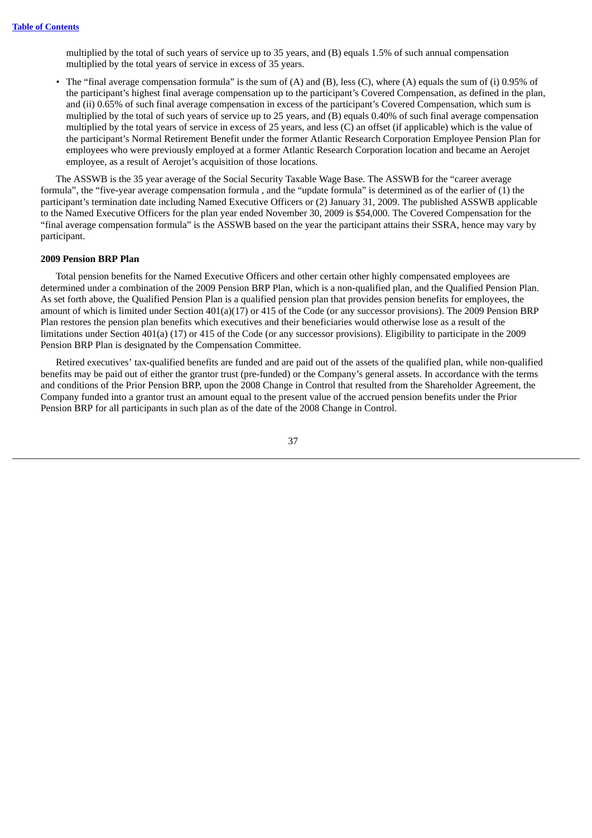multiplied by the total of such years of service up to 35 years, and (B) equals 1.5% of such annual compensation multiplied by the total years of service in excess of 35 years.

• The "final average compensation formula" is the sum of (A) and (B), less (C), where (A) equals the sum of (i) 0.95% of the participant's highest final average compensation up to the participant's Covered Compensation, as defined in the plan, and (ii) 0.65% of such final average compensation in excess of the participant's Covered Compensation, which sum is multiplied by the total of such years of service up to 25 years, and (B) equals 0.40% of such final average compensation multiplied by the total years of service in excess of 25 years, and less (C) an offset (if applicable) which is the value of the participant's Normal Retirement Benefit under the former Atlantic Research Corporation Employee Pension Plan for employees who were previously employed at a former Atlantic Research Corporation location and became an Aerojet employee, as a result of Aerojet's acquisition of those locations.

The ASSWB is the 35 year average of the Social Security Taxable Wage Base. The ASSWB for the "career average formula", the "five-year average compensation formula , and the "update formula" is determined as of the earlier of (1) the participant's termination date including Named Executive Officers or (2) January 31, 2009. The published ASSWB applicable to the Named Executive Officers for the plan year ended November 30, 2009 is \$54,000. The Covered Compensation for the "final average compensation formula" is the ASSWB based on the year the participant attains their SSRA, hence may vary by participant.

### **2009 Pension BRP Plan**

Total pension benefits for the Named Executive Officers and other certain other highly compensated employees are determined under a combination of the 2009 Pension BRP Plan, which is a non-qualified plan, and the Qualified Pension Plan. As set forth above, the Qualified Pension Plan is a qualified pension plan that provides pension benefits for employees, the amount of which is limited under Section 401(a)(17) or 415 of the Code (or any successor provisions). The 2009 Pension BRP Plan restores the pension plan benefits which executives and their beneficiaries would otherwise lose as a result of the limitations under Section 401(a) (17) or 415 of the Code (or any successor provisions). Eligibility to participate in the 2009 Pension BRP Plan is designated by the Compensation Committee.

Retired executives' tax-qualified benefits are funded and are paid out of the assets of the qualified plan, while non-qualified benefits may be paid out of either the grantor trust (pre-funded) or the Company's general assets. In accordance with the terms and conditions of the Prior Pension BRP, upon the 2008 Change in Control that resulted from the Shareholder Agreement, the Company funded into a grantor trust an amount equal to the present value of the accrued pension benefits under the Prior Pension BRP for all participants in such plan as of the date of the 2008 Change in Control.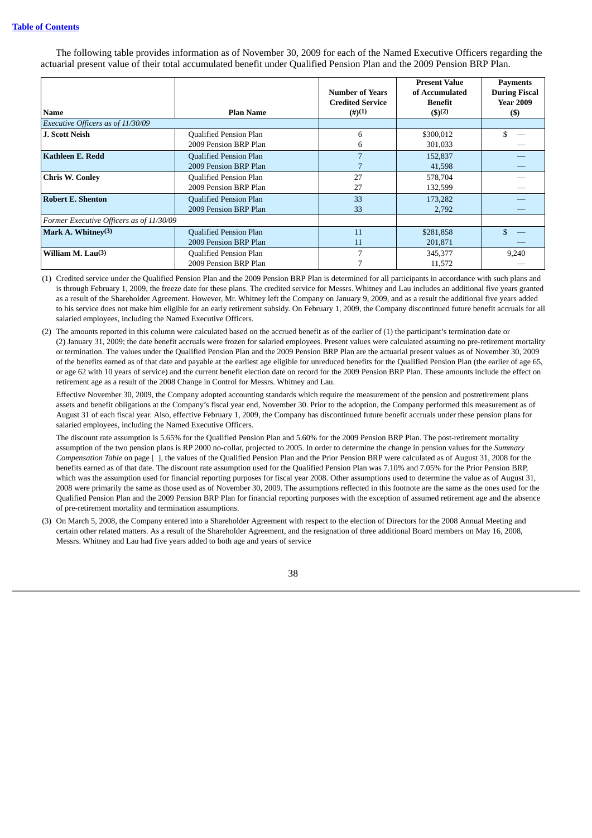The following table provides information as of November 30, 2009 for each of the Named Executive Officers regarding the actuarial present value of their total accumulated benefit under Qualified Pension Plan and the 2009 Pension BRP Plan.

|                                          |                               | <b>Number of Years</b>  | <b>Present Value</b><br>of Accumulated | <b>Payments</b><br><b>During Fiscal</b> |
|------------------------------------------|-------------------------------|-------------------------|----------------------------------------|-----------------------------------------|
|                                          |                               | <b>Credited Service</b> | Benefit                                | <b>Year 2009</b>                        |
| <b>Name</b>                              | <b>Plan Name</b>              | (4)(1)                  | $($ \$) <sup>(2)</sup>                 | $($)$                                   |
| Executive Officers as of 11/30/09        |                               |                         |                                        |                                         |
| <b>J. Scott Neish</b>                    | <b>Qualified Pension Plan</b> | 6                       | \$300,012                              |                                         |
|                                          | 2009 Pension BRP Plan         | b                       | 301,033                                |                                         |
| Kathleen E. Redd                         | <b>Qualified Pension Plan</b> | 7                       | 152,837                                |                                         |
|                                          | 2009 Pension BRP Plan         |                         | 41,598                                 |                                         |
| <b>Chris W. Conley</b>                   | Qualified Pension Plan        | 27                      | 578,704                                |                                         |
|                                          | 2009 Pension BRP Plan         | 27                      | 132,599                                |                                         |
| <b>Robert E. Shenton</b>                 | <b>Qualified Pension Plan</b> | 33                      | 173,282                                |                                         |
|                                          | 2009 Pension BRP Plan         | 33                      | 2,792                                  |                                         |
| Former Executive Officers as of 11/30/09 |                               |                         |                                        |                                         |
| Mark A. Whitney $(3)$                    | <b>Qualified Pension Plan</b> | 11                      | \$281,858                              |                                         |
|                                          | 2009 Pension BRP Plan         | 11                      | 201,871                                |                                         |
| William M. $Lau(3)$                      | Qualified Pension Plan        | 7                       | 345,377                                | 9,240                                   |
|                                          | 2009 Pension BRP Plan         |                         | 11,572                                 |                                         |

(1) Credited service under the Qualified Pension Plan and the 2009 Pension BRP Plan is determined for all participants in accordance with such plans and is through February 1, 2009, the freeze date for these plans. The credited service for Messrs. Whitney and Lau includes an additional five years granted as a result of the Shareholder Agreement. However, Mr. Whitney left the Company on January 9, 2009, and as a result the additional five years added to his service does not make him eligible for an early retirement subsidy. On February 1, 2009, the Company discontinued future benefit accruals for all salaried employees, including the Named Executive Officers.

(2) The amounts reported in this column were calculated based on the accrued benefit as of the earlier of (1) the participant's termination date or (2) January 31, 2009; the date benefit accruals were frozen for salaried employees. Present values were calculated assuming no pre-retirement mortality or termination. The values under the Qualified Pension Plan and the 2009 Pension BRP Plan are the actuarial present values as of November 30, 2009 of the benefits earned as of that date and payable at the earliest age eligible for unreduced benefits for the Qualified Pension Plan (the earlier of age 65, or age 62 with 10 years of service) and the current benefit election date on record for the 2009 Pension BRP Plan. These amounts include the effect on retirement age as a result of the 2008 Change in Control for Messrs. Whitney and Lau.

Effective November 30, 2009, the Company adopted accounting standards which require the measurement of the pension and postretirement plans assets and benefit obligations at the Company's fiscal year end, November 30. Prior to the adoption, the Company performed this measurement as of August 31 of each fiscal year. Also, effective February 1, 2009, the Company has discontinued future benefit accruals under these pension plans for salaried employees, including the Named Executive Officers.

The discount rate assumption is 5.65% for the Qualified Pension Plan and 5.60% for the 2009 Pension BRP Plan. The post-retirement mortality assumption of the two pension plans is RP 2000 no-collar, projected to 2005. In order to determine the change in pension values for the *Summary Compensation Table* on page [ ], the values of the Qualified Pension Plan and the Prior Pension BRP were calculated as of August 31, 2008 for the benefits earned as of that date. The discount rate assumption used for the Qualified Pension Plan was 7.10% and 7.05% for the Prior Pension BRP, which was the assumption used for financial reporting purposes for fiscal year 2008. Other assumptions used to determine the value as of August 31, 2008 were primarily the same as those used as of November 30, 2009. The assumptions reflected in this footnote are the same as the ones used for the Qualified Pension Plan and the 2009 Pension BRP Plan for financial reporting purposes with the exception of assumed retirement age and the absence of pre-retirement mortality and termination assumptions.

(3) On March 5, 2008, the Company entered into a Shareholder Agreement with respect to the election of Directors for the 2008 Annual Meeting and certain other related matters. As a result of the Shareholder Agreement, and the resignation of three additional Board members on May 16, 2008, Messrs. Whitney and Lau had five years added to both age and years of service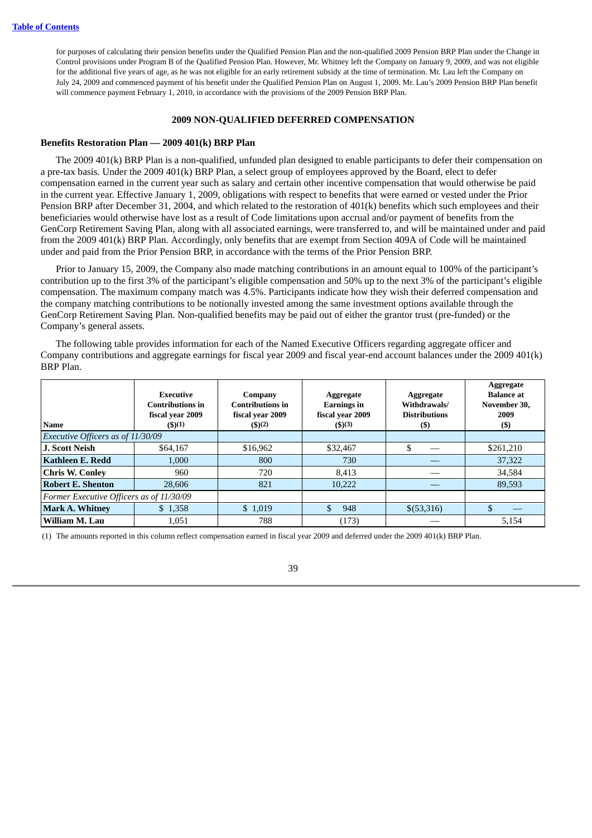for purposes of calculating their pension benefits under the Qualified Pension Plan and the non-qualified 2009 Pension BRP Plan under the Change in Control provisions under Program B of the Qualified Pension Plan. However, Mr. Whitney left the Company on January 9, 2009, and was not eligible for the additional five years of age, as he was not eligible for an early retirement subsidy at the time of termination. Mr. Lau left the Company on July 24, 2009 and commenced payment of his benefit under the Qualified Pension Plan on August 1, 2009. Mr. Lau's 2009 Pension BRP Plan benefit will commence payment February 1, 2010, in accordance with the provisions of the 2009 Pension BRP Plan.

## **2009 NON-QUALIFIED DEFERRED COMPENSATION**

## **Benefits Restoration Plan — 2009 401(k) BRP Plan**

The 2009 401(k) BRP Plan is a non-qualified, unfunded plan designed to enable participants to defer their compensation on a pre-tax basis. Under the 2009 401(k) BRP Plan, a select group of employees approved by the Board, elect to defer compensation earned in the current year such as salary and certain other incentive compensation that would otherwise be paid in the current year. Effective January 1, 2009, obligations with respect to benefits that were earned or vested under the Prior Pension BRP after December 31, 2004, and which related to the restoration of 401(k) benefits which such employees and their beneficiaries would otherwise have lost as a result of Code limitations upon accrual and/or payment of benefits from the GenCorp Retirement Saving Plan, along with all associated earnings, were transferred to, and will be maintained under and paid from the 2009 401(k) BRP Plan. Accordingly, only benefits that are exempt from Section 409A of Code will be maintained under and paid from the Prior Pension BRP, in accordance with the terms of the Prior Pension BRP.

Prior to January 15, 2009, the Company also made matching contributions in an amount equal to 100% of the participant's contribution up to the first 3% of the participant's eligible compensation and 50% up to the next 3% of the participant's eligible compensation. The maximum company match was 4.5%. Participants indicate how they wish their deferred compensation and the company matching contributions to be notionally invested among the same investment options available through the GenCorp Retirement Saving Plan. Non-qualified benefits may be paid out of either the grantor trust (pre-funded) or the Company's general assets.

The following table provides information for each of the Named Executive Officers regarding aggregate officer and Company contributions and aggregate earnings for fiscal year 2009 and fiscal year-end account balances under the 2009 401(k) BRP Plan.

| <b>Name</b>                              | Executive<br><b>Contributions in</b><br>fiscal year 2009<br>$($ \$ $)(1)$ | Company<br><b>Contributions in</b><br>fiscal year 2009<br>$($ \$)(2) | Aggregate<br><b>Earnings</b> in<br>fiscal year 2009<br>$($ \$)(3) | Aggregate<br>Withdrawals/<br><b>Distributions</b><br>(S) | <b>Aggregate</b><br><b>Balance</b> at<br>November 30,<br>2009<br>(\$) |
|------------------------------------------|---------------------------------------------------------------------------|----------------------------------------------------------------------|-------------------------------------------------------------------|----------------------------------------------------------|-----------------------------------------------------------------------|
| Executive Officers as of 11/30/09        |                                                                           |                                                                      |                                                                   |                                                          |                                                                       |
| <b>J. Scott Neish</b>                    | \$64,167                                                                  | \$16,962                                                             | \$32,467                                                          | S                                                        | \$261,210                                                             |
| Kathleen E. Redd                         | 1.000                                                                     | 800                                                                  | 730                                                               |                                                          | 37,322                                                                |
| <b>Chris W. Conley</b>                   | 960                                                                       | 720                                                                  | 8,413                                                             |                                                          | 34,584                                                                |
| <b>Robert E. Shenton</b>                 | 28,606                                                                    | 821                                                                  | 10.222                                                            |                                                          | 89,593                                                                |
| Former Executive Officers as of 11/30/09 |                                                                           |                                                                      |                                                                   |                                                          |                                                                       |
| <b>Mark A. Whitney</b>                   | \$1,358                                                                   | \$1,019                                                              | \$.<br>948                                                        | \$(53,316)                                               |                                                                       |
| William M. Lau                           | 1,051                                                                     | 788                                                                  | (173)                                                             |                                                          | 5,154                                                                 |

(1) The amounts reported in this column reflect compensation earned in fiscal year 2009 and deferred under the 2009 401(k) BRP Plan.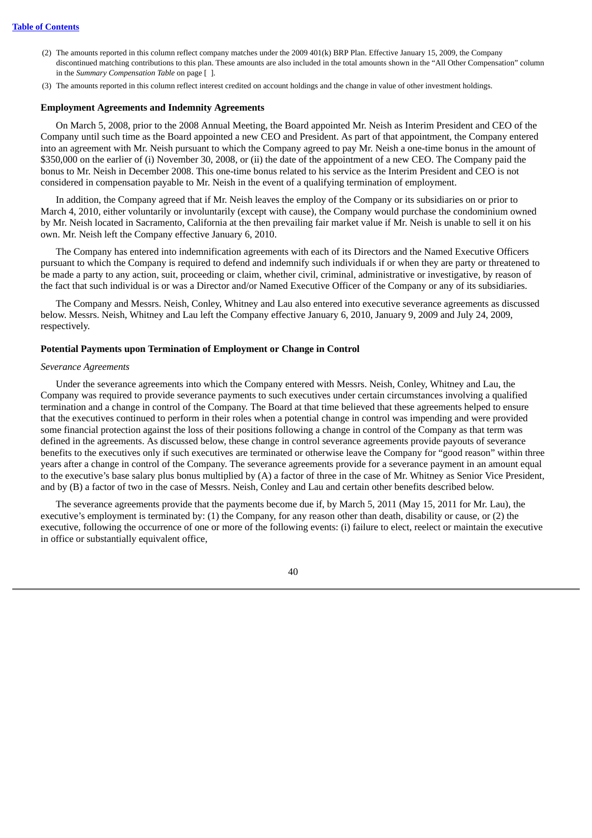- (2) The amounts reported in this column reflect company matches under the 2009 401(k) BRP Plan. Effective January 15, 2009, the Company discontinued matching contributions to this plan. These amounts are also included in the total amounts shown in the "All Other Compensation" column in the *Summary Compensation Table* on page [ ].
- (3) The amounts reported in this column reflect interest credited on account holdings and the change in value of other investment holdings.

### **Employment Agreements and Indemnity Agreements**

On March 5, 2008, prior to the 2008 Annual Meeting, the Board appointed Mr. Neish as Interim President and CEO of the Company until such time as the Board appointed a new CEO and President. As part of that appointment, the Company entered into an agreement with Mr. Neish pursuant to which the Company agreed to pay Mr. Neish a one-time bonus in the amount of \$350,000 on the earlier of (i) November 30, 2008, or (ii) the date of the appointment of a new CEO. The Company paid the bonus to Mr. Neish in December 2008. This one-time bonus related to his service as the Interim President and CEO is not considered in compensation payable to Mr. Neish in the event of a qualifying termination of employment.

In addition, the Company agreed that if Mr. Neish leaves the employ of the Company or its subsidiaries on or prior to March 4, 2010, either voluntarily or involuntarily (except with cause), the Company would purchase the condominium owned by Mr. Neish located in Sacramento, California at the then prevailing fair market value if Mr. Neish is unable to sell it on his own. Mr. Neish left the Company effective January 6, 2010.

The Company has entered into indemnification agreements with each of its Directors and the Named Executive Officers pursuant to which the Company is required to defend and indemnify such individuals if or when they are party or threatened to be made a party to any action, suit, proceeding or claim, whether civil, criminal, administrative or investigative, by reason of the fact that such individual is or was a Director and/or Named Executive Officer of the Company or any of its subsidiaries.

The Company and Messrs. Neish, Conley, Whitney and Lau also entered into executive severance agreements as discussed below. Messrs. Neish, Whitney and Lau left the Company effective January 6, 2010, January 9, 2009 and July 24, 2009, respectively.

### **Potential Payments upon Termination of Employment or Change in Control**

#### *Severance Agreements*

Under the severance agreements into which the Company entered with Messrs. Neish, Conley, Whitney and Lau, the Company was required to provide severance payments to such executives under certain circumstances involving a qualified termination and a change in control of the Company. The Board at that time believed that these agreements helped to ensure that the executives continued to perform in their roles when a potential change in control was impending and were provided some financial protection against the loss of their positions following a change in control of the Company as that term was defined in the agreements. As discussed below, these change in control severance agreements provide payouts of severance benefits to the executives only if such executives are terminated or otherwise leave the Company for "good reason" within three years after a change in control of the Company. The severance agreements provide for a severance payment in an amount equal to the executive's base salary plus bonus multiplied by (A) a factor of three in the case of Mr. Whitney as Senior Vice President, and by (B) a factor of two in the case of Messrs. Neish, Conley and Lau and certain other benefits described below.

The severance agreements provide that the payments become due if, by March 5, 2011 (May 15, 2011 for Mr. Lau), the executive's employment is terminated by: (1) the Company, for any reason other than death, disability or cause, or (2) the executive, following the occurrence of one or more of the following events: (i) failure to elect, reelect or maintain the executive in office or substantially equivalent office,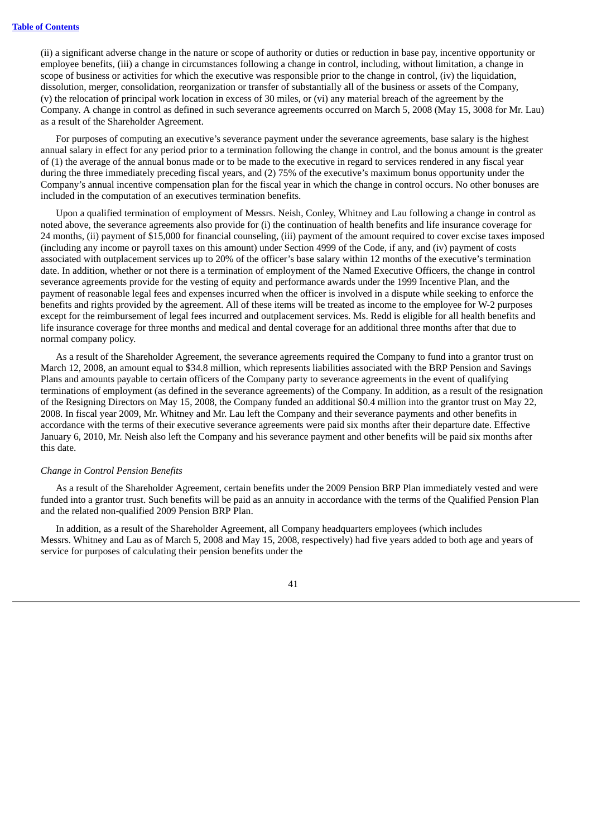(ii) a significant adverse change in the nature or scope of authority or duties or reduction in base pay, incentive opportunity or employee benefits, (iii) a change in circumstances following a change in control, including, without limitation, a change in scope of business or activities for which the executive was responsible prior to the change in control, (iv) the liquidation, dissolution, merger, consolidation, reorganization or transfer of substantially all of the business or assets of the Company, (v) the relocation of principal work location in excess of 30 miles, or (vi) any material breach of the agreement by the Company. A change in control as defined in such severance agreements occurred on March 5, 2008 (May 15, 3008 for Mr. Lau) as a result of the Shareholder Agreement.

For purposes of computing an executive's severance payment under the severance agreements, base salary is the highest annual salary in effect for any period prior to a termination following the change in control, and the bonus amount is the greater of (1) the average of the annual bonus made or to be made to the executive in regard to services rendered in any fiscal year during the three immediately preceding fiscal years, and (2) 75% of the executive's maximum bonus opportunity under the Company's annual incentive compensation plan for the fiscal year in which the change in control occurs. No other bonuses are included in the computation of an executives termination benefits.

Upon a qualified termination of employment of Messrs. Neish, Conley, Whitney and Lau following a change in control as noted above, the severance agreements also provide for (i) the continuation of health benefits and life insurance coverage for 24 months, (ii) payment of \$15,000 for financial counseling, (iii) payment of the amount required to cover excise taxes imposed (including any income or payroll taxes on this amount) under Section 4999 of the Code, if any, and (iv) payment of costs associated with outplacement services up to 20% of the officer's base salary within 12 months of the executive's termination date. In addition, whether or not there is a termination of employment of the Named Executive Officers, the change in control severance agreements provide for the vesting of equity and performance awards under the 1999 Incentive Plan, and the payment of reasonable legal fees and expenses incurred when the officer is involved in a dispute while seeking to enforce the benefits and rights provided by the agreement. All of these items will be treated as income to the employee for W-2 purposes except for the reimbursement of legal fees incurred and outplacement services. Ms. Redd is eligible for all health benefits and life insurance coverage for three months and medical and dental coverage for an additional three months after that due to normal company policy.

As a result of the Shareholder Agreement, the severance agreements required the Company to fund into a grantor trust on March 12, 2008, an amount equal to \$34.8 million, which represents liabilities associated with the BRP Pension and Savings Plans and amounts payable to certain officers of the Company party to severance agreements in the event of qualifying terminations of employment (as defined in the severance agreements) of the Company. In addition, as a result of the resignation of the Resigning Directors on May 15, 2008, the Company funded an additional \$0.4 million into the grantor trust on May 22, 2008. In fiscal year 2009, Mr. Whitney and Mr. Lau left the Company and their severance payments and other benefits in accordance with the terms of their executive severance agreements were paid six months after their departure date. Effective January 6, 2010, Mr. Neish also left the Company and his severance payment and other benefits will be paid six months after this date.

#### *Change in Control Pension Benefits*

As a result of the Shareholder Agreement, certain benefits under the 2009 Pension BRP Plan immediately vested and were funded into a grantor trust. Such benefits will be paid as an annuity in accordance with the terms of the Qualified Pension Plan and the related non-qualified 2009 Pension BRP Plan.

In addition, as a result of the Shareholder Agreement, all Company headquarters employees (which includes Messrs. Whitney and Lau as of March 5, 2008 and May 15, 2008, respectively) had five years added to both age and years of service for purposes of calculating their pension benefits under the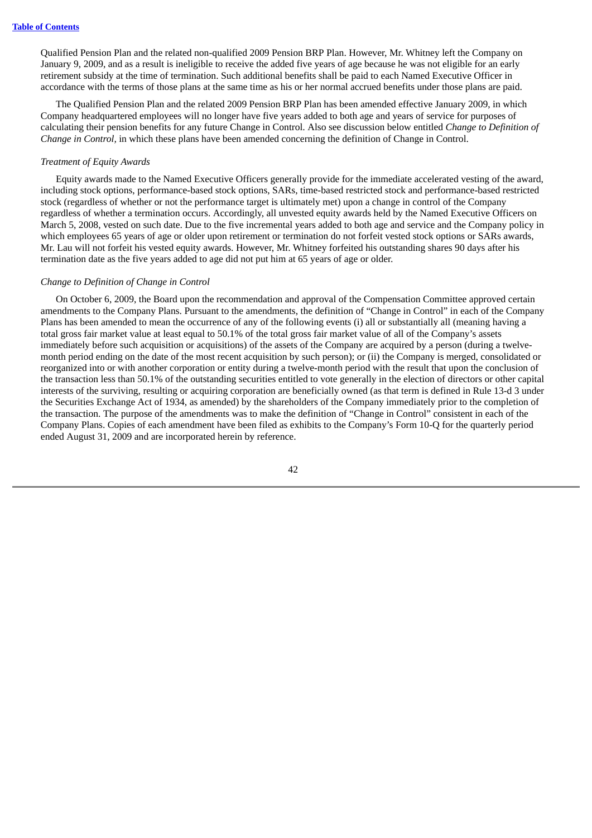Qualified Pension Plan and the related non-qualified 2009 Pension BRP Plan. However, Mr. Whitney left the Company on January 9, 2009, and as a result is ineligible to receive the added five years of age because he was not eligible for an early retirement subsidy at the time of termination. Such additional benefits shall be paid to each Named Executive Officer in accordance with the terms of those plans at the same time as his or her normal accrued benefits under those plans are paid.

The Qualified Pension Plan and the related 2009 Pension BRP Plan has been amended effective January 2009, in which Company headquartered employees will no longer have five years added to both age and years of service for purposes of calculating their pension benefits for any future Change in Control. Also see discussion below entitled *Change to Definition of Change in Control,* in which these plans have been amended concerning the definition of Change in Control.

## *Treatment of Equity Awards*

Equity awards made to the Named Executive Officers generally provide for the immediate accelerated vesting of the award, including stock options, performance-based stock options, SARs, time-based restricted stock and performance-based restricted stock (regardless of whether or not the performance target is ultimately met) upon a change in control of the Company regardless of whether a termination occurs. Accordingly, all unvested equity awards held by the Named Executive Officers on March 5, 2008, vested on such date. Due to the five incremental years added to both age and service and the Company policy in which employees 65 years of age or older upon retirement or termination do not forfeit vested stock options or SARs awards, Mr. Lau will not forfeit his vested equity awards. However, Mr. Whitney forfeited his outstanding shares 90 days after his termination date as the five years added to age did not put him at 65 years of age or older.

#### *Change to Definition of Change in Control*

On October 6, 2009, the Board upon the recommendation and approval of the Compensation Committee approved certain amendments to the Company Plans. Pursuant to the amendments, the definition of "Change in Control" in each of the Company Plans has been amended to mean the occurrence of any of the following events (i) all or substantially all (meaning having a total gross fair market value at least equal to 50.1% of the total gross fair market value of all of the Company's assets immediately before such acquisition or acquisitions) of the assets of the Company are acquired by a person (during a twelvemonth period ending on the date of the most recent acquisition by such person); or (ii) the Company is merged, consolidated or reorganized into or with another corporation or entity during a twelve-month period with the result that upon the conclusion of the transaction less than 50.1% of the outstanding securities entitled to vote generally in the election of directors or other capital interests of the surviving, resulting or acquiring corporation are beneficially owned (as that term is defined in Rule 13-d 3 under the Securities Exchange Act of 1934, as amended) by the shareholders of the Company immediately prior to the completion of the transaction. The purpose of the amendments was to make the definition of "Change in Control" consistent in each of the Company Plans. Copies of each amendment have been filed as exhibits to the Company's Form 10-Q for the quarterly period ended August 31, 2009 and are incorporated herein by reference.

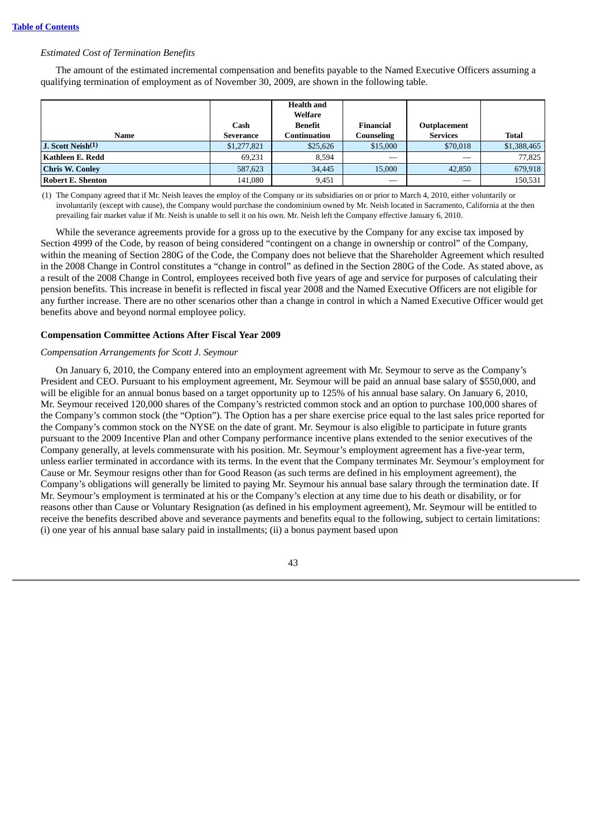### *Estimated Cost of Termination Benefits*

The amount of the estimated incremental compensation and benefits payable to the Named Executive Officers assuming a qualifying termination of employment as of November 30, 2009, are shown in the following table.

| <b>Name</b>            | Cash<br>Severance | <b>Health and</b><br>Welfare<br>Benefit<br>Continuation | Financial<br>Counseling | Outplacement<br><b>Services</b> | <b>Total</b> |
|------------------------|-------------------|---------------------------------------------------------|-------------------------|---------------------------------|--------------|
| J. Scott Neish(1)      | \$1,277,821       | \$25,626                                                | \$15,000                | \$70,018                        | \$1,388,465  |
| Kathleen E. Redd       | 69,231            | 8.594                                                   |                         |                                 | 77,825       |
| <b>Chris W. Conley</b> | 587,623           | 34,445                                                  | 15,000                  | 42,850                          | 679,918      |
| Robert E. Shenton      | 141,080           | 9,451                                                   | $-$                     |                                 | 150,531      |

(1) The Company agreed that if Mr. Neish leaves the employ of the Company or its subsidiaries on or prior to March 4, 2010, either voluntarily or involuntarily (except with cause), the Company would purchase the condominium owned by Mr. Neish located in Sacramento, California at the then prevailing fair market value if Mr. Neish is unable to sell it on his own. Mr. Neish left the Company effective January 6, 2010.

While the severance agreements provide for a gross up to the executive by the Company for any excise tax imposed by Section 4999 of the Code, by reason of being considered "contingent on a change in ownership or control" of the Company, within the meaning of Section 280G of the Code, the Company does not believe that the Shareholder Agreement which resulted in the 2008 Change in Control constitutes a "change in control" as defined in the Section 280G of the Code. As stated above, as a result of the 2008 Change in Control, employees received both five years of age and service for purposes of calculating their pension benefits. This increase in benefit is reflected in fiscal year 2008 and the Named Executive Officers are not eligible for any further increase. There are no other scenarios other than a change in control in which a Named Executive Officer would get benefits above and beyond normal employee policy.

## **Compensation Committee Actions After Fiscal Year 2009**

## *Compensation Arrangements for Scott J. Seymour*

On January 6, 2010, the Company entered into an employment agreement with Mr. Seymour to serve as the Company's President and CEO. Pursuant to his employment agreement, Mr. Seymour will be paid an annual base salary of \$550,000, and will be eligible for an annual bonus based on a target opportunity up to 125% of his annual base salary. On January 6, 2010, Mr. Seymour received 120,000 shares of the Company's restricted common stock and an option to purchase 100,000 shares of the Company's common stock (the "Option"). The Option has a per share exercise price equal to the last sales price reported for the Company's common stock on the NYSE on the date of grant. Mr. Seymour is also eligible to participate in future grants pursuant to the 2009 Incentive Plan and other Company performance incentive plans extended to the senior executives of the Company generally, at levels commensurate with his position. Mr. Seymour's employment agreement has a five-year term, unless earlier terminated in accordance with its terms. In the event that the Company terminates Mr. Seymour's employment for Cause or Mr. Seymour resigns other than for Good Reason (as such terms are defined in his employment agreement), the Company's obligations will generally be limited to paying Mr. Seymour his annual base salary through the termination date. If Mr. Seymour's employment is terminated at his or the Company's election at any time due to his death or disability, or for reasons other than Cause or Voluntary Resignation (as defined in his employment agreement), Mr. Seymour will be entitled to receive the benefits described above and severance payments and benefits equal to the following, subject to certain limitations: (i) one year of his annual base salary paid in installments; (ii) a bonus payment based upon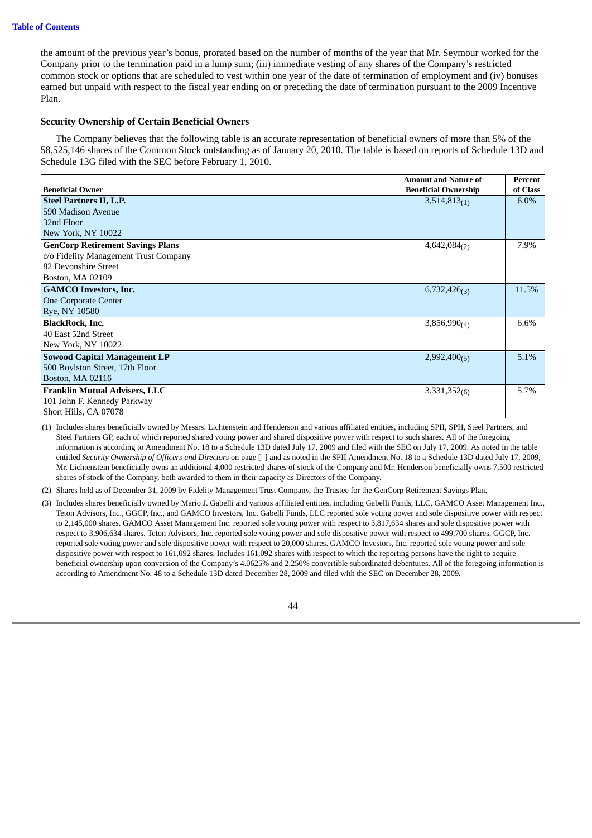the amount of the previous year's bonus, prorated based on the number of months of the year that Mr. Seymour worked for the Company prior to the termination paid in a lump sum; (iii) immediate vesting of any shares of the Company's restricted common stock or options that are scheduled to vest within one year of the date of termination of employment and (iv) bonuses earned but unpaid with respect to the fiscal year ending on or preceding the date of termination pursuant to the 2009 Incentive Plan.

## **Security Ownership of Certain Beneficial Owners**

The Company believes that the following table is an accurate representation of beneficial owners of more than 5% of the 58,525,146 shares of the Common Stock outstanding as of January 20, 2010. The table is based on reports of Schedule 13D and Schedule 13G filed with the SEC before February 1, 2010.

|                                         | <b>Amount and Nature of</b> | Percent  |
|-----------------------------------------|-----------------------------|----------|
| <b>Beneficial Owner</b>                 | <b>Beneficial Ownership</b> | of Class |
| <b>Steel Partners II, L.P.</b>          | $3,514,813_{(1)}$           | $6.0\%$  |
| 590 Madison Avenue                      |                             |          |
| 32nd Floor                              |                             |          |
| New York, NY 10022                      |                             |          |
| <b>GenCorp Retirement Savings Plans</b> | $4,642,084_{(2)}$           | 7.9%     |
| c/o Fidelity Management Trust Company   |                             |          |
| 82 Devonshire Street                    |                             |          |
| Boston, MA 02109                        |                             |          |
| <b>GAMCO Investors, Inc.</b>            | $6,732,426$ <sub>(3)</sub>  | 11.5%    |
| <b>One Corporate Center</b>             |                             |          |
| Rye, NY 10580                           |                             |          |
| <b>BlackRock, Inc.</b>                  | $3,856,990_{(4)}$           | 6.6%     |
| 40 East 52nd Street                     |                             |          |
| New York, NY 10022                      |                             |          |
| <b>Sowood Capital Management LP</b>     | $2,992,400_{(5)}$           | 5.1%     |
| 500 Boylston Street, 17th Floor         |                             |          |
| Boston, MA 02116                        |                             |          |
| <b>Franklin Mutual Advisers, LLC</b>    | $3,331,352$ <sub>(6)</sub>  | 5.7%     |
| 101 John F. Kennedy Parkway             |                             |          |
| Short Hills, CA 07078                   |                             |          |

(1) Includes shares beneficially owned by Messrs. Lichtenstein and Henderson and various affiliated entities, including SPII, SPH, Steel Partners, and Steel Partners GP, each of which reported shared voting power and shared dispositive power with respect to such shares. All of the foregoing information is according to Amendment No. 18 to a Schedule 13D dated July 17, 2009 and filed with the SEC on July 17, 2009. As noted in the table entitled *Security Ownership of Officers and Directors* on page [ ] and as noted in the SPII Amendment No. 18 to a Schedule 13D dated July 17, 2009, Mr. Lichtenstein beneficially owns an additional 4,000 restricted shares of stock of the Company and Mr. Henderson beneficially owns 7,500 restricted shares of stock of the Company, both awarded to them in their capacity as Directors of the Company.

(2) Shares held as of December 31, 2009 by Fidelity Management Trust Company, the Trustee for the GenCorp Retirement Savings Plan.

(3) Includes shares beneficially owned by Mario J. Gabelli and various affiliated entities, including Gabelli Funds, LLC, GAMCO Asset Management Inc., Teton Advisors, Inc., GGCP, Inc., and GAMCO Investors, Inc. Gabelli Funds, LLC reported sole voting power and sole dispositive power with respect to 2,145,000 shares. GAMCO Asset Management Inc. reported sole voting power with respect to 3,817,634 shares and sole dispositive power with respect to 3,906,634 shares. Teton Advisors, Inc. reported sole voting power and sole dispositive power with respect to 499,700 shares. GGCP, Inc. reported sole voting power and sole dispositive power with respect to 20,000 shares. GAMCO Investors, Inc. reported sole voting power and sole dispositive power with respect to 161,092 shares. Includes 161,092 shares with respect to which the reporting persons have the right to acquire beneficial ownership upon conversion of the Company's 4.0625% and 2.250% convertible subordinated debentures. All of the foregoing information is according to Amendment No. 48 to a Schedule 13D dated December 28, 2009 and filed with the SEC on December 28, 2009.

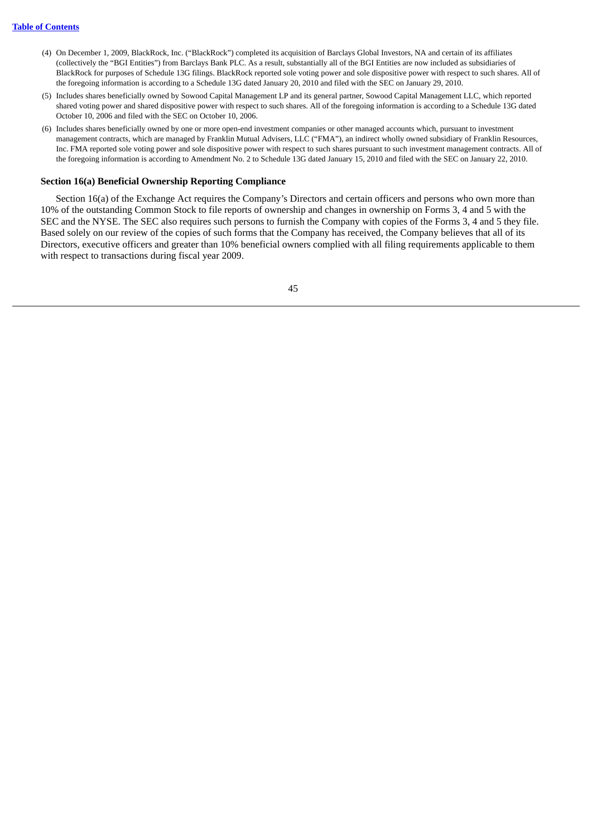- (4) On December 1, 2009, BlackRock, Inc. ("BlackRock") completed its acquisition of Barclays Global Investors, NA and certain of its affiliates (collectively the "BGI Entities") from Barclays Bank PLC. As a result, substantially all of the BGI Entities are now included as subsidiaries of BlackRock for purposes of Schedule 13G filings. BlackRock reported sole voting power and sole dispositive power with respect to such shares. All of the foregoing information is according to a Schedule 13G dated January 20, 2010 and filed with the SEC on January 29, 2010.
- (5) Includes shares beneficially owned by Sowood Capital Management LP and its general partner, Sowood Capital Management LLC, which reported shared voting power and shared dispositive power with respect to such shares. All of the foregoing information is according to a Schedule 13G dated October 10, 2006 and filed with the SEC on October 10, 2006.
- (6) Includes shares beneficially owned by one or more open-end investment companies or other managed accounts which, pursuant to investment management contracts, which are managed by Franklin Mutual Advisers, LLC ("FMA"), an indirect wholly owned subsidiary of Franklin Resources, Inc. FMA reported sole voting power and sole dispositive power with respect to such shares pursuant to such investment management contracts. All of the foregoing information is according to Amendment No. 2 to Schedule 13G dated January 15, 2010 and filed with the SEC on January 22, 2010.

### **Section 16(a) Beneficial Ownership Reporting Compliance**

Section 16(a) of the Exchange Act requires the Company's Directors and certain officers and persons who own more than 10% of the outstanding Common Stock to file reports of ownership and changes in ownership on Forms 3, 4 and 5 with the SEC and the NYSE. The SEC also requires such persons to furnish the Company with copies of the Forms 3, 4 and 5 they file. Based solely on our review of the copies of such forms that the Company has received, the Company believes that all of its Directors, executive officers and greater than 10% beneficial owners complied with all filing requirements applicable to them with respect to transactions during fiscal year 2009.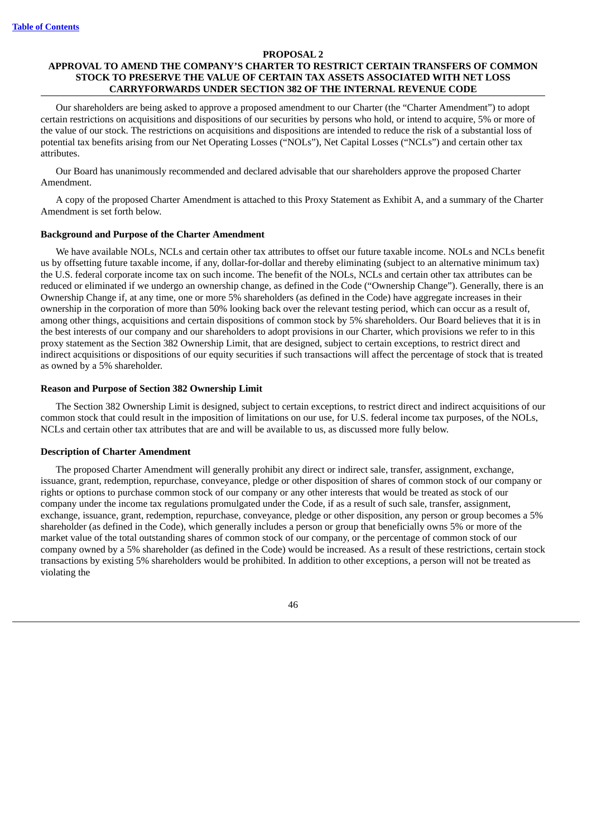#### **PROPOSAL 2**

## **APPROVAL TO AMEND THE COMPANY'S CHARTER TO RESTRICT CERTAIN TRANSFERS OF COMMON STOCK TO PRESERVE THE VALUE OF CERTAIN TAX ASSETS ASSOCIATED WITH NET LOSS CARRYFORWARDS UNDER SECTION 382 OF THE INTERNAL REVENUE CODE**

Our shareholders are being asked to approve a proposed amendment to our Charter (the "Charter Amendment") to adopt certain restrictions on acquisitions and dispositions of our securities by persons who hold, or intend to acquire, 5% or more of the value of our stock. The restrictions on acquisitions and dispositions are intended to reduce the risk of a substantial loss of potential tax benefits arising from our Net Operating Losses ("NOLs"), Net Capital Losses ("NCLs") and certain other tax attributes.

Our Board has unanimously recommended and declared advisable that our shareholders approve the proposed Charter Amendment.

A copy of the proposed Charter Amendment is attached to this Proxy Statement as Exhibit A, and a summary of the Charter Amendment is set forth below.

### **Background and Purpose of the Charter Amendment**

We have available NOLs, NCLs and certain other tax attributes to offset our future taxable income. NOLs and NCLs benefit us by offsetting future taxable income, if any, dollar-for-dollar and thereby eliminating (subject to an alternative minimum tax) the U.S. federal corporate income tax on such income. The benefit of the NOLs, NCLs and certain other tax attributes can be reduced or eliminated if we undergo an ownership change, as defined in the Code ("Ownership Change"). Generally, there is an Ownership Change if, at any time, one or more 5% shareholders (as defined in the Code) have aggregate increases in their ownership in the corporation of more than 50% looking back over the relevant testing period, which can occur as a result of, among other things, acquisitions and certain dispositions of common stock by 5% shareholders. Our Board believes that it is in the best interests of our company and our shareholders to adopt provisions in our Charter, which provisions we refer to in this proxy statement as the Section 382 Ownership Limit, that are designed, subject to certain exceptions, to restrict direct and indirect acquisitions or dispositions of our equity securities if such transactions will affect the percentage of stock that is treated as owned by a 5% shareholder.

## **Reason and Purpose of Section 382 Ownership Limit**

The Section 382 Ownership Limit is designed, subject to certain exceptions, to restrict direct and indirect acquisitions of our common stock that could result in the imposition of limitations on our use, for U.S. federal income tax purposes, of the NOLs, NCLs and certain other tax attributes that are and will be available to us, as discussed more fully below.

#### **Description of Charter Amendment**

The proposed Charter Amendment will generally prohibit any direct or indirect sale, transfer, assignment, exchange, issuance, grant, redemption, repurchase, conveyance, pledge or other disposition of shares of common stock of our company or rights or options to purchase common stock of our company or any other interests that would be treated as stock of our company under the income tax regulations promulgated under the Code, if as a result of such sale, transfer, assignment, exchange, issuance, grant, redemption, repurchase, conveyance, pledge or other disposition, any person or group becomes a 5% shareholder (as defined in the Code), which generally includes a person or group that beneficially owns 5% or more of the market value of the total outstanding shares of common stock of our company, or the percentage of common stock of our company owned by a 5% shareholder (as defined in the Code) would be increased. As a result of these restrictions, certain stock transactions by existing 5% shareholders would be prohibited. In addition to other exceptions, a person will not be treated as violating the

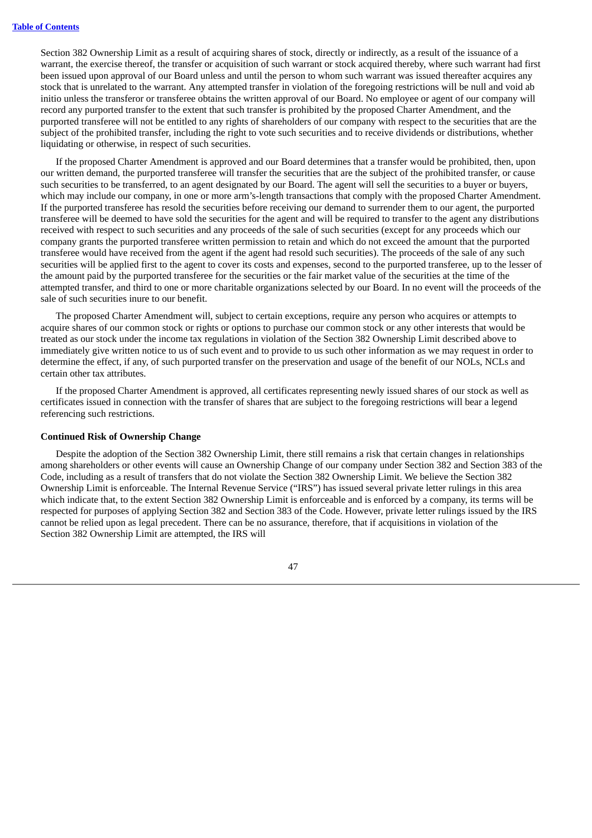Section 382 Ownership Limit as a result of acquiring shares of stock, directly or indirectly, as a result of the issuance of a warrant, the exercise thereof, the transfer or acquisition of such warrant or stock acquired thereby, where such warrant had first been issued upon approval of our Board unless and until the person to whom such warrant was issued thereafter acquires any stock that is unrelated to the warrant. Any attempted transfer in violation of the foregoing restrictions will be null and void ab initio unless the transferor or transferee obtains the written approval of our Board. No employee or agent of our company will record any purported transfer to the extent that such transfer is prohibited by the proposed Charter Amendment, and the purported transferee will not be entitled to any rights of shareholders of our company with respect to the securities that are the subject of the prohibited transfer, including the right to vote such securities and to receive dividends or distributions, whether liquidating or otherwise, in respect of such securities.

If the proposed Charter Amendment is approved and our Board determines that a transfer would be prohibited, then, upon our written demand, the purported transferee will transfer the securities that are the subject of the prohibited transfer, or cause such securities to be transferred, to an agent designated by our Board. The agent will sell the securities to a buyer or buyers, which may include our company, in one or more arm's-length transactions that comply with the proposed Charter Amendment. If the purported transferee has resold the securities before receiving our demand to surrender them to our agent, the purported transferee will be deemed to have sold the securities for the agent and will be required to transfer to the agent any distributions received with respect to such securities and any proceeds of the sale of such securities (except for any proceeds which our company grants the purported transferee written permission to retain and which do not exceed the amount that the purported transferee would have received from the agent if the agent had resold such securities). The proceeds of the sale of any such securities will be applied first to the agent to cover its costs and expenses, second to the purported transferee, up to the lesser of the amount paid by the purported transferee for the securities or the fair market value of the securities at the time of the attempted transfer, and third to one or more charitable organizations selected by our Board. In no event will the proceeds of the sale of such securities inure to our benefit.

The proposed Charter Amendment will, subject to certain exceptions, require any person who acquires or attempts to acquire shares of our common stock or rights or options to purchase our common stock or any other interests that would be treated as our stock under the income tax regulations in violation of the Section 382 Ownership Limit described above to immediately give written notice to us of such event and to provide to us such other information as we may request in order to determine the effect, if any, of such purported transfer on the preservation and usage of the benefit of our NOLs, NCLs and certain other tax attributes.

If the proposed Charter Amendment is approved, all certificates representing newly issued shares of our stock as well as certificates issued in connection with the transfer of shares that are subject to the foregoing restrictions will bear a legend referencing such restrictions.

## **Continued Risk of Ownership Change**

Despite the adoption of the Section 382 Ownership Limit, there still remains a risk that certain changes in relationships among shareholders or other events will cause an Ownership Change of our company under Section 382 and Section 383 of the Code, including as a result of transfers that do not violate the Section 382 Ownership Limit. We believe the Section 382 Ownership Limit is enforceable. The Internal Revenue Service ("IRS") has issued several private letter rulings in this area which indicate that, to the extent Section 382 Ownership Limit is enforceable and is enforced by a company, its terms will be respected for purposes of applying Section 382 and Section 383 of the Code. However, private letter rulings issued by the IRS cannot be relied upon as legal precedent. There can be no assurance, therefore, that if acquisitions in violation of the Section 382 Ownership Limit are attempted, the IRS will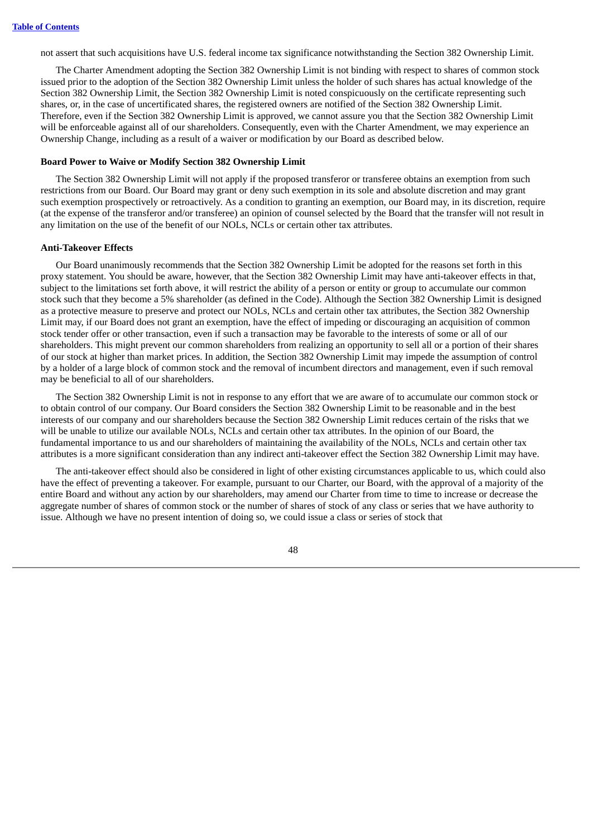not assert that such acquisitions have U.S. federal income tax significance notwithstanding the Section 382 Ownership Limit.

The Charter Amendment adopting the Section 382 Ownership Limit is not binding with respect to shares of common stock issued prior to the adoption of the Section 382 Ownership Limit unless the holder of such shares has actual knowledge of the Section 382 Ownership Limit, the Section 382 Ownership Limit is noted conspicuously on the certificate representing such shares, or, in the case of uncertificated shares, the registered owners are notified of the Section 382 Ownership Limit. Therefore, even if the Section 382 Ownership Limit is approved, we cannot assure you that the Section 382 Ownership Limit will be enforceable against all of our shareholders. Consequently, even with the Charter Amendment, we may experience an Ownership Change, including as a result of a waiver or modification by our Board as described below.

#### **Board Power to Waive or Modify Section 382 Ownership Limit**

The Section 382 Ownership Limit will not apply if the proposed transferor or transferee obtains an exemption from such restrictions from our Board. Our Board may grant or deny such exemption in its sole and absolute discretion and may grant such exemption prospectively or retroactively. As a condition to granting an exemption, our Board may, in its discretion, require (at the expense of the transferor and/or transferee) an opinion of counsel selected by the Board that the transfer will not result in any limitation on the use of the benefit of our NOLs, NCLs or certain other tax attributes.

### **Anti-Takeover Effects**

Our Board unanimously recommends that the Section 382 Ownership Limit be adopted for the reasons set forth in this proxy statement. You should be aware, however, that the Section 382 Ownership Limit may have anti-takeover effects in that, subject to the limitations set forth above, it will restrict the ability of a person or entity or group to accumulate our common stock such that they become a 5% shareholder (as defined in the Code). Although the Section 382 Ownership Limit is designed as a protective measure to preserve and protect our NOLs, NCLs and certain other tax attributes, the Section 382 Ownership Limit may, if our Board does not grant an exemption, have the effect of impeding or discouraging an acquisition of common stock tender offer or other transaction, even if such a transaction may be favorable to the interests of some or all of our shareholders. This might prevent our common shareholders from realizing an opportunity to sell all or a portion of their shares of our stock at higher than market prices. In addition, the Section 382 Ownership Limit may impede the assumption of control by a holder of a large block of common stock and the removal of incumbent directors and management, even if such removal may be beneficial to all of our shareholders.

The Section 382 Ownership Limit is not in response to any effort that we are aware of to accumulate our common stock or to obtain control of our company. Our Board considers the Section 382 Ownership Limit to be reasonable and in the best interests of our company and our shareholders because the Section 382 Ownership Limit reduces certain of the risks that we will be unable to utilize our available NOLs, NCLs and certain other tax attributes. In the opinion of our Board, the fundamental importance to us and our shareholders of maintaining the availability of the NOLs, NCLs and certain other tax attributes is a more significant consideration than any indirect anti-takeover effect the Section 382 Ownership Limit may have.

The anti-takeover effect should also be considered in light of other existing circumstances applicable to us, which could also have the effect of preventing a takeover. For example, pursuant to our Charter, our Board, with the approval of a majority of the entire Board and without any action by our shareholders, may amend our Charter from time to time to increase or decrease the aggregate number of shares of common stock or the number of shares of stock of any class or series that we have authority to issue. Although we have no present intention of doing so, we could issue a class or series of stock that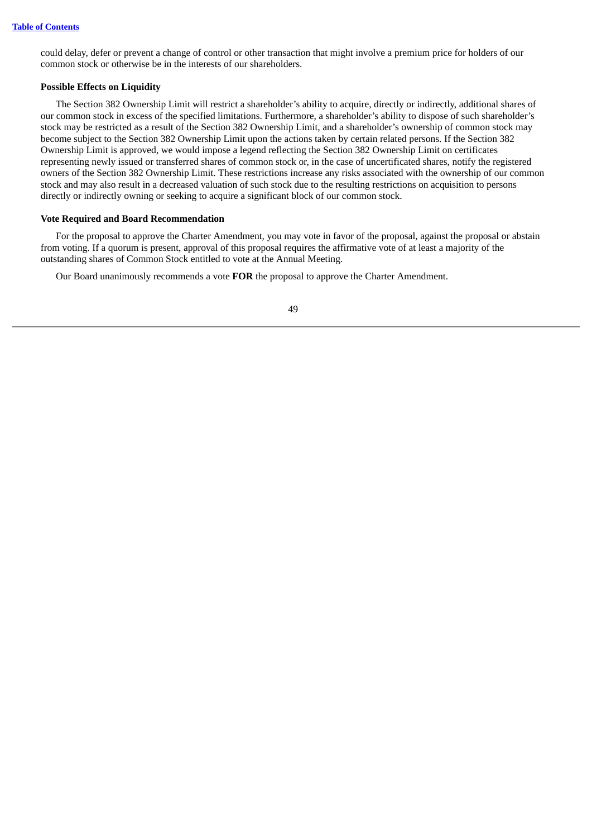could delay, defer or prevent a change of control or other transaction that might involve a premium price for holders of our common stock or otherwise be in the interests of our shareholders.

## **Possible Effects on Liquidity**

The Section 382 Ownership Limit will restrict a shareholder's ability to acquire, directly or indirectly, additional shares of our common stock in excess of the specified limitations. Furthermore, a shareholder's ability to dispose of such shareholder's stock may be restricted as a result of the Section 382 Ownership Limit, and a shareholder's ownership of common stock may become subject to the Section 382 Ownership Limit upon the actions taken by certain related persons. If the Section 382 Ownership Limit is approved, we would impose a legend reflecting the Section 382 Ownership Limit on certificates representing newly issued or transferred shares of common stock or, in the case of uncertificated shares, notify the registered owners of the Section 382 Ownership Limit. These restrictions increase any risks associated with the ownership of our common stock and may also result in a decreased valuation of such stock due to the resulting restrictions on acquisition to persons directly or indirectly owning or seeking to acquire a significant block of our common stock.

## **Vote Required and Board Recommendation**

For the proposal to approve the Charter Amendment, you may vote in favor of the proposal, against the proposal or abstain from voting. If a quorum is present, approval of this proposal requires the affirmative vote of at least a majority of the outstanding shares of Common Stock entitled to vote at the Annual Meeting.

Our Board unanimously recommends a vote **FOR** the proposal to approve the Charter Amendment.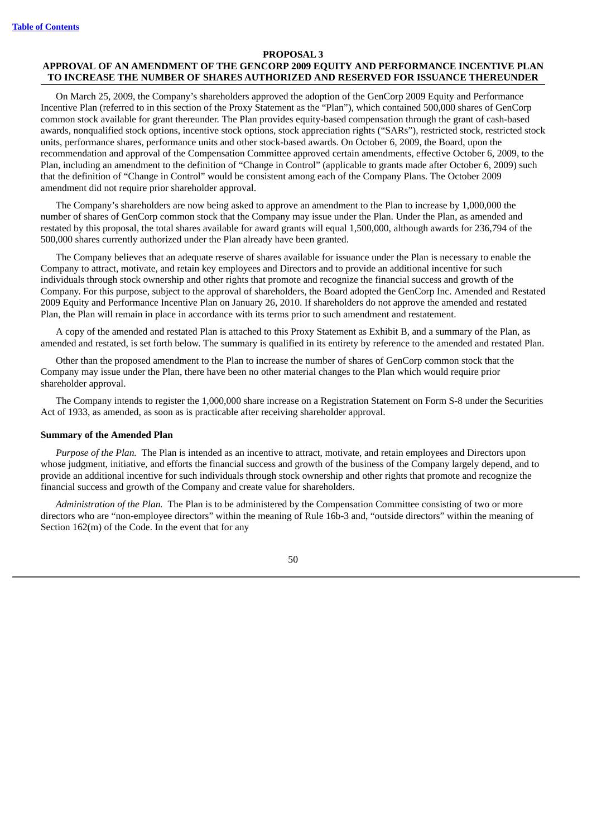## **PROPOSAL 3 APPROVAL OF AN AMENDMENT OF THE GENCORP 2009 EQUITY AND PERFORMANCE INCENTIVE PLAN TO INCREASE THE NUMBER OF SHARES AUTHORIZED AND RESERVED FOR ISSUANCE THEREUNDER**

On March 25, 2009, the Company's shareholders approved the adoption of the GenCorp 2009 Equity and Performance Incentive Plan (referred to in this section of the Proxy Statement as the "Plan"), which contained 500,000 shares of GenCorp common stock available for grant thereunder. The Plan provides equity-based compensation through the grant of cash-based awards, nonqualified stock options, incentive stock options, stock appreciation rights ("SARs"), restricted stock, restricted stock units, performance shares, performance units and other stock-based awards. On October 6, 2009, the Board, upon the recommendation and approval of the Compensation Committee approved certain amendments, effective October 6, 2009, to the Plan, including an amendment to the definition of "Change in Control" (applicable to grants made after October 6, 2009) such that the definition of "Change in Control" would be consistent among each of the Company Plans. The October 2009 amendment did not require prior shareholder approval.

The Company's shareholders are now being asked to approve an amendment to the Plan to increase by 1,000,000 the number of shares of GenCorp common stock that the Company may issue under the Plan. Under the Plan, as amended and restated by this proposal, the total shares available for award grants will equal 1,500,000, although awards for 236,794 of the 500,000 shares currently authorized under the Plan already have been granted.

The Company believes that an adequate reserve of shares available for issuance under the Plan is necessary to enable the Company to attract, motivate, and retain key employees and Directors and to provide an additional incentive for such individuals through stock ownership and other rights that promote and recognize the financial success and growth of the Company. For this purpose, subject to the approval of shareholders, the Board adopted the GenCorp Inc. Amended and Restated 2009 Equity and Performance Incentive Plan on January 26, 2010. If shareholders do not approve the amended and restated Plan, the Plan will remain in place in accordance with its terms prior to such amendment and restatement.

A copy of the amended and restated Plan is attached to this Proxy Statement as Exhibit B, and a summary of the Plan, as amended and restated, is set forth below. The summary is qualified in its entirety by reference to the amended and restated Plan.

Other than the proposed amendment to the Plan to increase the number of shares of GenCorp common stock that the Company may issue under the Plan, there have been no other material changes to the Plan which would require prior shareholder approval.

The Company intends to register the 1,000,000 share increase on a Registration Statement on Form S-8 under the Securities Act of 1933, as amended, as soon as is practicable after receiving shareholder approval.

#### **Summary of the Amended Plan**

*Purpose of the Plan.* The Plan is intended as an incentive to attract, motivate, and retain employees and Directors upon whose judgment, initiative, and efforts the financial success and growth of the business of the Company largely depend, and to provide an additional incentive for such individuals through stock ownership and other rights that promote and recognize the financial success and growth of the Company and create value for shareholders.

*Administration of the Plan.* The Plan is to be administered by the Compensation Committee consisting of two or more directors who are "non-employee directors" within the meaning of Rule 16b-3 and, "outside directors" within the meaning of Section 162(m) of the Code. In the event that for any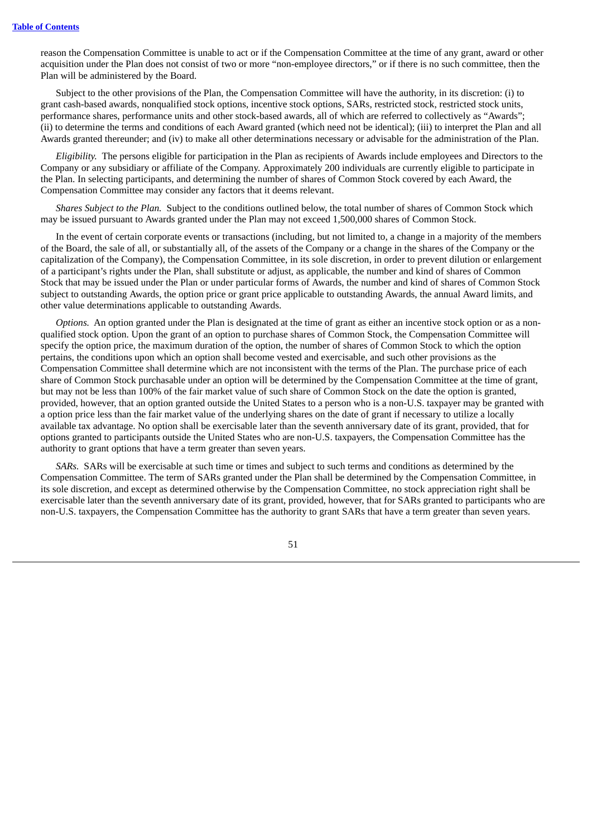reason the Compensation Committee is unable to act or if the Compensation Committee at the time of any grant, award or other acquisition under the Plan does not consist of two or more "non-employee directors," or if there is no such committee, then the Plan will be administered by the Board.

Subject to the other provisions of the Plan, the Compensation Committee will have the authority, in its discretion: (i) to grant cash-based awards, nonqualified stock options, incentive stock options, SARs, restricted stock, restricted stock units, performance shares, performance units and other stock-based awards, all of which are referred to collectively as "Awards"; (ii) to determine the terms and conditions of each Award granted (which need not be identical); (iii) to interpret the Plan and all Awards granted thereunder; and (iv) to make all other determinations necessary or advisable for the administration of the Plan.

*Eligibility.* The persons eligible for participation in the Plan as recipients of Awards include employees and Directors to the Company or any subsidiary or affiliate of the Company. Approximately 200 individuals are currently eligible to participate in the Plan. In selecting participants, and determining the number of shares of Common Stock covered by each Award, the Compensation Committee may consider any factors that it deems relevant.

*Shares Subject to the Plan.* Subject to the conditions outlined below, the total number of shares of Common Stock which may be issued pursuant to Awards granted under the Plan may not exceed 1,500,000 shares of Common Stock.

In the event of certain corporate events or transactions (including, but not limited to, a change in a majority of the members of the Board, the sale of all, or substantially all, of the assets of the Company or a change in the shares of the Company or the capitalization of the Company), the Compensation Committee, in its sole discretion, in order to prevent dilution or enlargement of a participant's rights under the Plan, shall substitute or adjust, as applicable, the number and kind of shares of Common Stock that may be issued under the Plan or under particular forms of Awards, the number and kind of shares of Common Stock subject to outstanding Awards, the option price or grant price applicable to outstanding Awards, the annual Award limits, and other value determinations applicable to outstanding Awards.

*Options.* An option granted under the Plan is designated at the time of grant as either an incentive stock option or as a nonqualified stock option. Upon the grant of an option to purchase shares of Common Stock, the Compensation Committee will specify the option price, the maximum duration of the option, the number of shares of Common Stock to which the option pertains, the conditions upon which an option shall become vested and exercisable, and such other provisions as the Compensation Committee shall determine which are not inconsistent with the terms of the Plan. The purchase price of each share of Common Stock purchasable under an option will be determined by the Compensation Committee at the time of grant, but may not be less than 100% of the fair market value of such share of Common Stock on the date the option is granted, provided, however, that an option granted outside the United States to a person who is a non-U.S. taxpayer may be granted with a option price less than the fair market value of the underlying shares on the date of grant if necessary to utilize a locally available tax advantage. No option shall be exercisable later than the seventh anniversary date of its grant, provided, that for options granted to participants outside the United States who are non-U.S. taxpayers, the Compensation Committee has the authority to grant options that have a term greater than seven years.

*SARs.* SARs will be exercisable at such time or times and subject to such terms and conditions as determined by the Compensation Committee. The term of SARs granted under the Plan shall be determined by the Compensation Committee, in its sole discretion, and except as determined otherwise by the Compensation Committee, no stock appreciation right shall be exercisable later than the seventh anniversary date of its grant, provided, however, that for SARs granted to participants who are non-U.S. taxpayers, the Compensation Committee has the authority to grant SARs that have a term greater than seven years.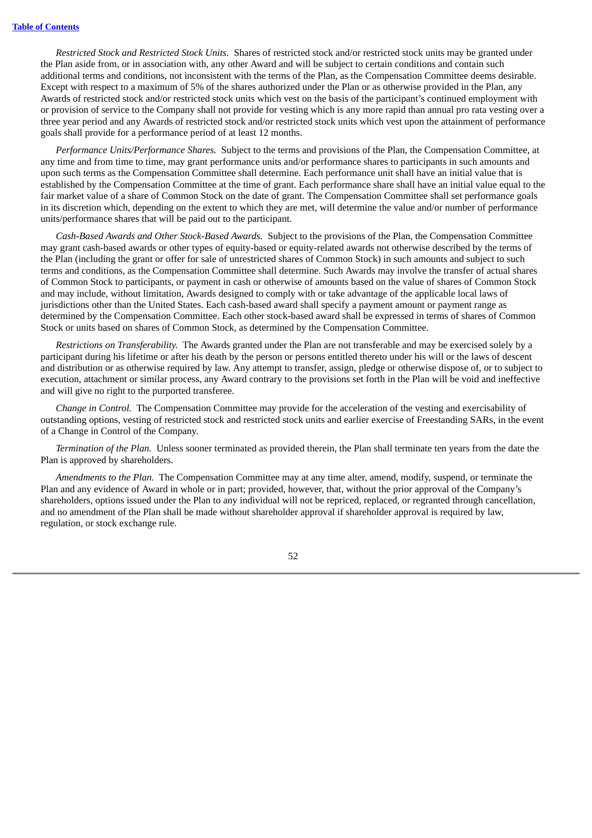*Restricted Stock and Restricted Stock Units.* Shares of restricted stock and/or restricted stock units may be granted under the Plan aside from, or in association with, any other Award and will be subject to certain conditions and contain such additional terms and conditions, not inconsistent with the terms of the Plan, as the Compensation Committee deems desirable. Except with respect to a maximum of 5% of the shares authorized under the Plan or as otherwise provided in the Plan, any Awards of restricted stock and/or restricted stock units which vest on the basis of the participant's continued employment with or provision of service to the Company shall not provide for vesting which is any more rapid than annual pro rata vesting over a three year period and any Awards of restricted stock and/or restricted stock units which vest upon the attainment of performance goals shall provide for a performance period of at least 12 months.

*Performance Units/Performance Shares.* Subject to the terms and provisions of the Plan, the Compensation Committee, at any time and from time to time, may grant performance units and/or performance shares to participants in such amounts and upon such terms as the Compensation Committee shall determine. Each performance unit shall have an initial value that is established by the Compensation Committee at the time of grant. Each performance share shall have an initial value equal to the fair market value of a share of Common Stock on the date of grant. The Compensation Committee shall set performance goals in its discretion which, depending on the extent to which they are met, will determine the value and/or number of performance units/performance shares that will be paid out to the participant.

*Cash-Based Awards and Other Stock-Based Awards.* Subject to the provisions of the Plan, the Compensation Committee may grant cash-based awards or other types of equity-based or equity-related awards not otherwise described by the terms of the Plan (including the grant or offer for sale of unrestricted shares of Common Stock) in such amounts and subject to such terms and conditions, as the Compensation Committee shall determine. Such Awards may involve the transfer of actual shares of Common Stock to participants, or payment in cash or otherwise of amounts based on the value of shares of Common Stock and may include, without limitation, Awards designed to comply with or take advantage of the applicable local laws of jurisdictions other than the United States. Each cash-based award shall specify a payment amount or payment range as determined by the Compensation Committee. Each other stock-based award shall be expressed in terms of shares of Common Stock or units based on shares of Common Stock, as determined by the Compensation Committee.

*Restrictions on Transferability.* The Awards granted under the Plan are not transferable and may be exercised solely by a participant during his lifetime or after his death by the person or persons entitled thereto under his will or the laws of descent and distribution or as otherwise required by law. Any attempt to transfer, assign, pledge or otherwise dispose of, or to subject to execution, attachment or similar process, any Award contrary to the provisions set forth in the Plan will be void and ineffective and will give no right to the purported transferee.

*Change in Control.* The Compensation Committee may provide for the acceleration of the vesting and exercisability of outstanding options, vesting of restricted stock and restricted stock units and earlier exercise of Freestanding SARs, in the event of a Change in Control of the Company.

*Termination of the Plan.* Unless sooner terminated as provided therein, the Plan shall terminate ten years from the date the Plan is approved by shareholders.

*Amendments to the Plan.* The Compensation Committee may at any time alter, amend, modify, suspend, or terminate the Plan and any evidence of Award in whole or in part; provided, however, that, without the prior approval of the Company's shareholders, options issued under the Plan to any individual will not be repriced, replaced, or regranted through cancellation, and no amendment of the Plan shall be made without shareholder approval if shareholder approval is required by law, regulation, or stock exchange rule.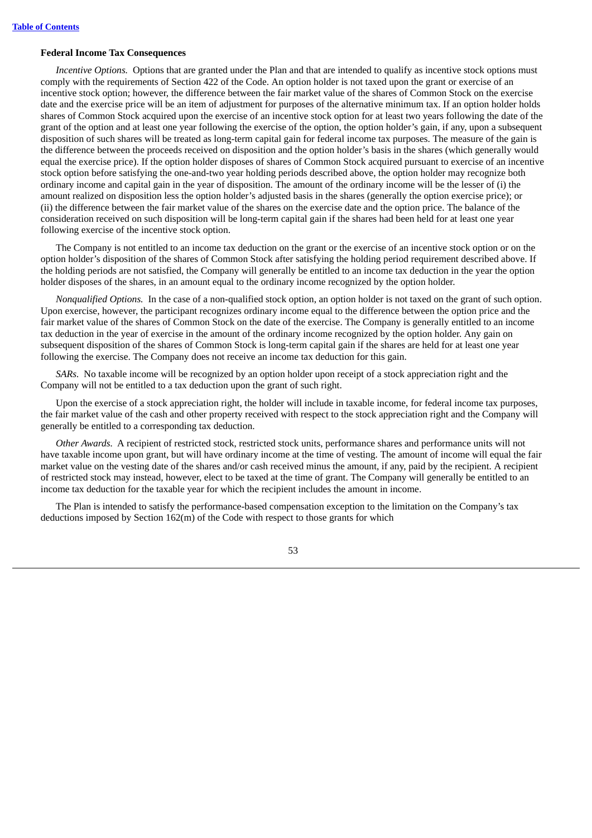### **Federal Income Tax Consequences**

*Incentive Options.* Options that are granted under the Plan and that are intended to qualify as incentive stock options must comply with the requirements of Section 422 of the Code. An option holder is not taxed upon the grant or exercise of an incentive stock option; however, the difference between the fair market value of the shares of Common Stock on the exercise date and the exercise price will be an item of adjustment for purposes of the alternative minimum tax. If an option holder holds shares of Common Stock acquired upon the exercise of an incentive stock option for at least two years following the date of the grant of the option and at least one year following the exercise of the option, the option holder's gain, if any, upon a subsequent disposition of such shares will be treated as long-term capital gain for federal income tax purposes. The measure of the gain is the difference between the proceeds received on disposition and the option holder's basis in the shares (which generally would equal the exercise price). If the option holder disposes of shares of Common Stock acquired pursuant to exercise of an incentive stock option before satisfying the one-and-two year holding periods described above, the option holder may recognize both ordinary income and capital gain in the year of disposition. The amount of the ordinary income will be the lesser of (i) the amount realized on disposition less the option holder's adjusted basis in the shares (generally the option exercise price); or (ii) the difference between the fair market value of the shares on the exercise date and the option price. The balance of the consideration received on such disposition will be long-term capital gain if the shares had been held for at least one year following exercise of the incentive stock option.

The Company is not entitled to an income tax deduction on the grant or the exercise of an incentive stock option or on the option holder's disposition of the shares of Common Stock after satisfying the holding period requirement described above. If the holding periods are not satisfied, the Company will generally be entitled to an income tax deduction in the year the option holder disposes of the shares, in an amount equal to the ordinary income recognized by the option holder.

*Nonqualified Options.* In the case of a non-qualified stock option, an option holder is not taxed on the grant of such option. Upon exercise, however, the participant recognizes ordinary income equal to the difference between the option price and the fair market value of the shares of Common Stock on the date of the exercise. The Company is generally entitled to an income tax deduction in the year of exercise in the amount of the ordinary income recognized by the option holder. Any gain on subsequent disposition of the shares of Common Stock is long-term capital gain if the shares are held for at least one year following the exercise. The Company does not receive an income tax deduction for this gain.

*SARs.* No taxable income will be recognized by an option holder upon receipt of a stock appreciation right and the Company will not be entitled to a tax deduction upon the grant of such right.

Upon the exercise of a stock appreciation right, the holder will include in taxable income, for federal income tax purposes, the fair market value of the cash and other property received with respect to the stock appreciation right and the Company will generally be entitled to a corresponding tax deduction.

*Other Awards.* A recipient of restricted stock, restricted stock units, performance shares and performance units will not have taxable income upon grant, but will have ordinary income at the time of vesting. The amount of income will equal the fair market value on the vesting date of the shares and/or cash received minus the amount, if any, paid by the recipient. A recipient of restricted stock may instead, however, elect to be taxed at the time of grant. The Company will generally be entitled to an income tax deduction for the taxable year for which the recipient includes the amount in income.

The Plan is intended to satisfy the performance-based compensation exception to the limitation on the Company's tax deductions imposed by Section 162(m) of the Code with respect to those grants for which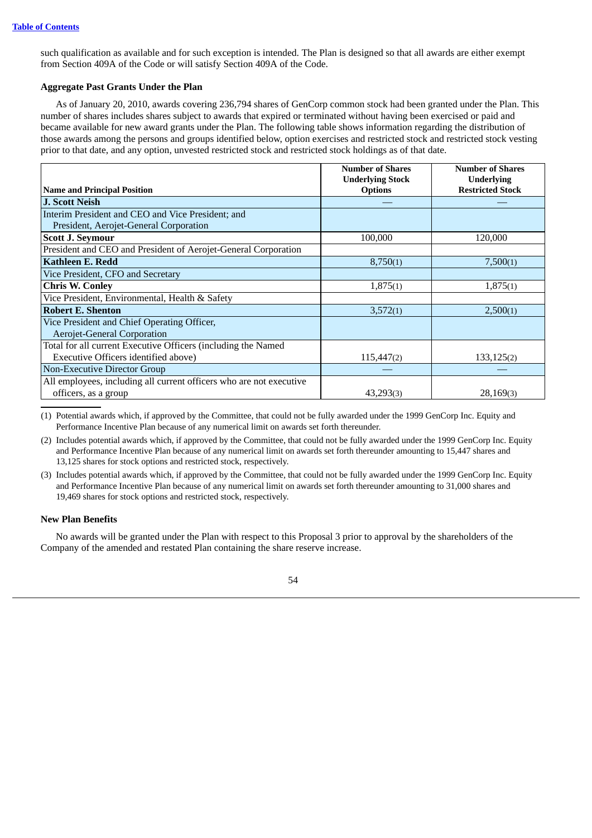such qualification as available and for such exception is intended. The Plan is designed so that all awards are either exempt from Section 409A of the Code or will satisfy Section 409A of the Code.

## **Aggregate Past Grants Under the Plan**

As of January 20, 2010, awards covering 236,794 shares of GenCorp common stock had been granted under the Plan. This number of shares includes shares subject to awards that expired or terminated without having been exercised or paid and became available for new award grants under the Plan. The following table shows information regarding the distribution of those awards among the persons and groups identified below, option exercises and restricted stock and restricted stock vesting prior to that date, and any option, unvested restricted stock and restricted stock holdings as of that date.

|                                                                     | <b>Number of Shares</b> | <b>Number of Shares</b> |
|---------------------------------------------------------------------|-------------------------|-------------------------|
|                                                                     | <b>Underlying Stock</b> | <b>Underlying</b>       |
| <b>Name and Principal Position</b>                                  | <b>Options</b>          | <b>Restricted Stock</b> |
| <b>J. Scott Neish</b>                                               |                         |                         |
| Interim President and CEO and Vice President; and                   |                         |                         |
| President, Aerojet-General Corporation                              |                         |                         |
| <b>Scott J. Seymour</b>                                             | 100,000                 | 120,000                 |
| President and CEO and President of Aerojet-General Corporation      |                         |                         |
| <b>Kathleen E. Redd</b>                                             | 8,750(1)                | 7,500(1)                |
| Vice President, CFO and Secretary                                   |                         |                         |
| <b>Chris W. Conley</b>                                              | 1,875(1)                | 1,875(1)                |
| Vice President, Environmental, Health & Safety                      |                         |                         |
| <b>Robert E. Shenton</b>                                            | 3,572(1)                | 2,500(1)                |
| Vice President and Chief Operating Officer,                         |                         |                         |
| <b>Aerojet-General Corporation</b>                                  |                         |                         |
| Total for all current Executive Officers (including the Named       |                         |                         |
| Executive Officers identified above)                                | 115,447(2)              | 133,125(2)              |
| Non-Executive Director Group                                        |                         |                         |
| All employees, including all current officers who are not executive |                         |                         |
| officers, as a group                                                | 43,293(3)               | 28,169(3)               |

(1) Potential awards which, if approved by the Committee, that could not be fully awarded under the 1999 GenCorp Inc. Equity and Performance Incentive Plan because of any numerical limit on awards set forth thereunder.

(2) Includes potential awards which, if approved by the Committee, that could not be fully awarded under the 1999 GenCorp Inc. Equity and Performance Incentive Plan because of any numerical limit on awards set forth thereunder amounting to 15,447 shares and 13,125 shares for stock options and restricted stock, respectively.

(3) Includes potential awards which, if approved by the Committee, that could not be fully awarded under the 1999 GenCorp Inc. Equity and Performance Incentive Plan because of any numerical limit on awards set forth thereunder amounting to 31,000 shares and 19,469 shares for stock options and restricted stock, respectively.

## **New Plan Benefits**

No awards will be granted under the Plan with respect to this Proposal 3 prior to approval by the shareholders of the Company of the amended and restated Plan containing the share reserve increase.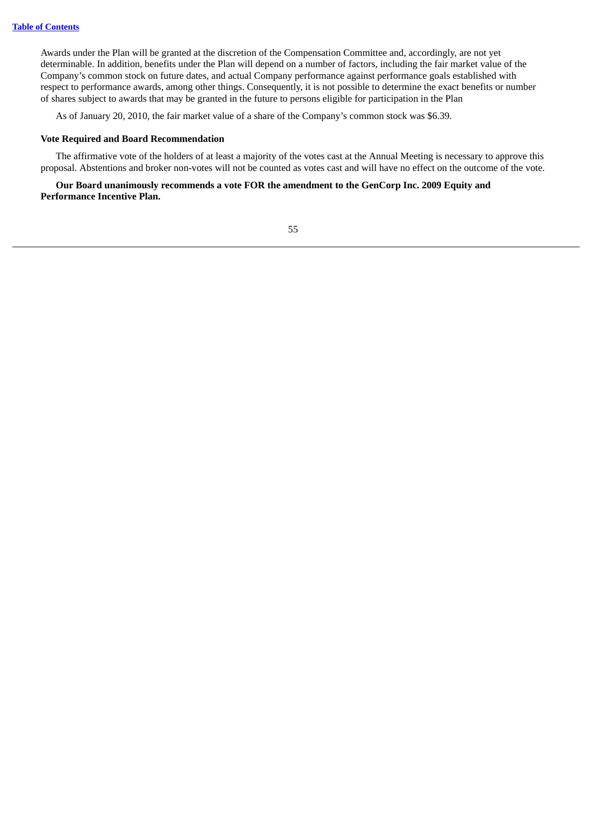Awards under the Plan will be granted at the discretion of the Compensation Committee and, accordingly, are not yet determinable. In addition, benefits under the Plan will depend on a number of factors, including the fair market value of the Company's common stock on future dates, and actual Company performance against performance goals established with respect to performance awards, among other things. Consequently, it is not possible to determine the exact benefits or number of shares subject to awards that may be granted in the future to persons eligible for participation in the Plan

As of January 20, 2010, the fair market value of a share of the Company's common stock was \$6.39.

## **Vote Required and Board Recommendation**

The affirmative vote of the holders of at least a majority of the votes cast at the Annual Meeting is necessary to approve this proposal. Abstentions and broker non-votes will not be counted as votes cast and will have no effect on the outcome of the vote.

## **Our Board unanimously recommends a vote FOR the amendment to the GenCorp Inc. 2009 Equity and Performance Incentive Plan.**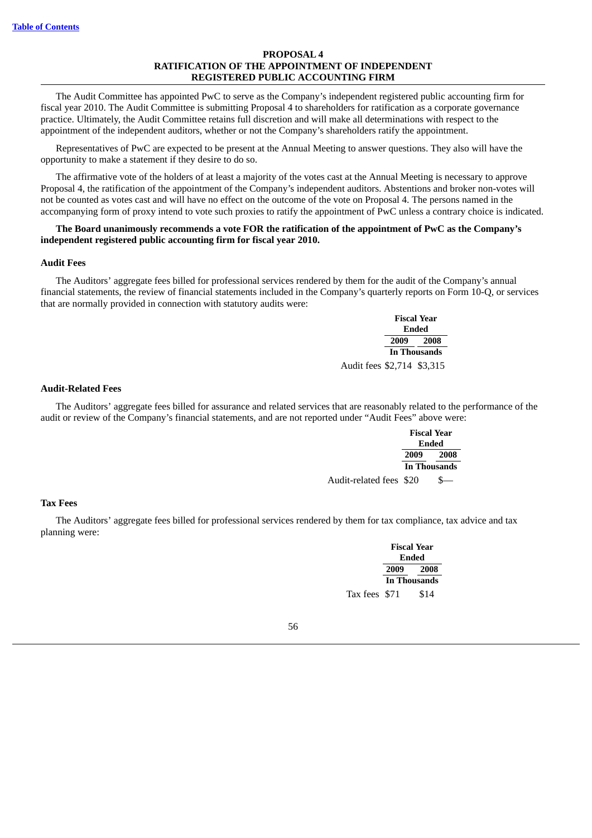## **PROPOSAL 4 RATIFICATION OF THE APPOINTMENT OF INDEPENDENT REGISTERED PUBLIC ACCOUNTING FIRM**

The Audit Committee has appointed PwC to serve as the Company's independent registered public accounting firm for fiscal year 2010. The Audit Committee is submitting Proposal 4 to shareholders for ratification as a corporate governance practice. Ultimately, the Audit Committee retains full discretion and will make all determinations with respect to the appointment of the independent auditors, whether or not the Company's shareholders ratify the appointment.

Representatives of PwC are expected to be present at the Annual Meeting to answer questions. They also will have the opportunity to make a statement if they desire to do so.

The affirmative vote of the holders of at least a majority of the votes cast at the Annual Meeting is necessary to approve Proposal 4, the ratification of the appointment of the Company's independent auditors. Abstentions and broker non-votes will not be counted as votes cast and will have no effect on the outcome of the vote on Proposal 4. The persons named in the accompanying form of proxy intend to vote such proxies to ratify the appointment of PwC unless a contrary choice is indicated.

## **The Board unanimously recommends a vote FOR the ratification of the appointment of PwC as the Company's independent registered public accounting firm for fiscal year 2010.**

#### **Audit Fees**

The Auditors' aggregate fees billed for professional services rendered by them for the audit of the Company's annual financial statements, the review of financial statements included in the Company's quarterly reports on Form 10-Q, or services that are normally provided in connection with statutory audits were:

|                            | <b>Fiscal Year</b> |                     |  |  |
|----------------------------|--------------------|---------------------|--|--|
|                            | Ended              |                     |  |  |
|                            |                    | 2009 2008           |  |  |
|                            |                    | <b>In Thousands</b> |  |  |
| Audit fees \$2,714 \$3,315 |                    |                     |  |  |

## **Audit-Related Fees**

The Auditors' aggregate fees billed for assurance and related services that are reasonably related to the performance of the audit or review of the Company's financial statements, and are not reported under "Audit Fees" above were:

|                         | <b>Fiscal Year</b> |              |  |
|-------------------------|--------------------|--------------|--|
|                         | Ended              |              |  |
|                         | 2009               | 2008         |  |
|                         |                    | In Thousands |  |
| Audit-related fees \$20 |                    |              |  |

#### **Tax Fees**

The Auditors' aggregate fees billed for professional services rendered by them for tax compliance, tax advice and tax planning were:

> **Fiscal Year Ended 2009 2008 In Thousands** Tax fees \$71 \$14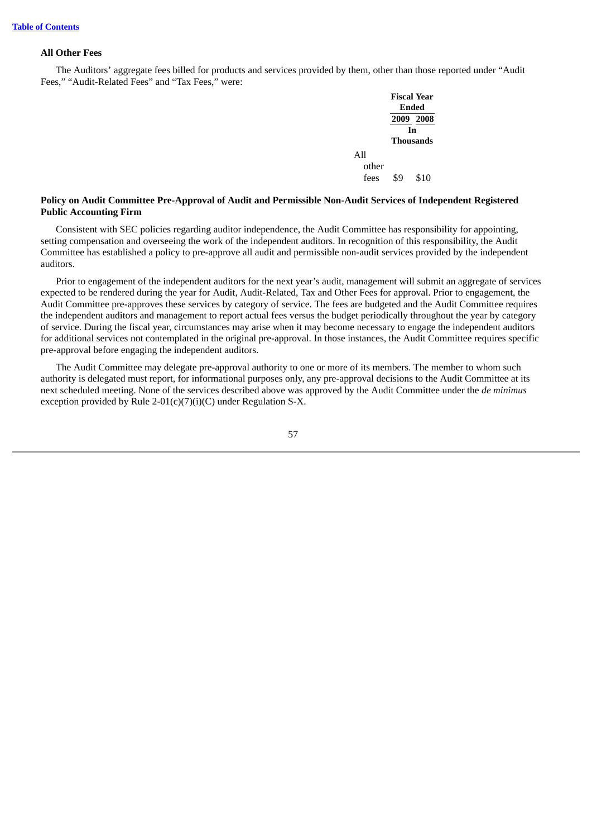### **All Other Fees**

The Auditors' aggregate fees billed for products and services provided by them, other than those reported under "Audit Fees," "Audit-Related Fees" and "Tax Fees," were:

|       | <b>Fiscal Year</b><br><b>Ended</b> |           |  |
|-------|------------------------------------|-----------|--|
|       |                                    | 2009 2008 |  |
|       | In                                 |           |  |
|       | <b>Thousands</b>                   |           |  |
| All   |                                    |           |  |
| other |                                    |           |  |
| fees  | \$۹                                | \$10      |  |

## **Policy on Audit Committee Pre-Approval of Audit and Permissible Non-Audit Services of Independent Registered Public Accounting Firm**

Consistent with SEC policies regarding auditor independence, the Audit Committee has responsibility for appointing, setting compensation and overseeing the work of the independent auditors. In recognition of this responsibility, the Audit Committee has established a policy to pre-approve all audit and permissible non-audit services provided by the independent auditors.

Prior to engagement of the independent auditors for the next year's audit, management will submit an aggregate of services expected to be rendered during the year for Audit, Audit-Related, Tax and Other Fees for approval. Prior to engagement, the Audit Committee pre-approves these services by category of service. The fees are budgeted and the Audit Committee requires the independent auditors and management to report actual fees versus the budget periodically throughout the year by category of service. During the fiscal year, circumstances may arise when it may become necessary to engage the independent auditors for additional services not contemplated in the original pre-approval. In those instances, the Audit Committee requires specific pre-approval before engaging the independent auditors.

The Audit Committee may delegate pre-approval authority to one or more of its members. The member to whom such authority is delegated must report, for informational purposes only, any pre-approval decisions to the Audit Committee at its next scheduled meeting. None of the services described above was approved by the Audit Committee under the *de minimus* exception provided by Rule 2-01(c)(7)(i)(C) under Regulation S-X.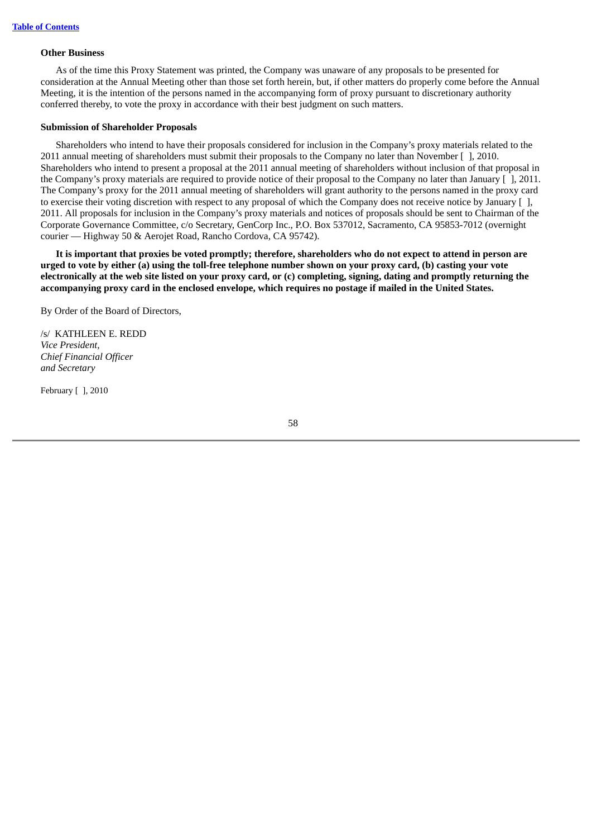#### **Other Business**

As of the time this Proxy Statement was printed, the Company was unaware of any proposals to be presented for consideration at the Annual Meeting other than those set forth herein, but, if other matters do properly come before the Annual Meeting, it is the intention of the persons named in the accompanying form of proxy pursuant to discretionary authority conferred thereby, to vote the proxy in accordance with their best judgment on such matters.

## **Submission of Shareholder Proposals**

Shareholders who intend to have their proposals considered for inclusion in the Company's proxy materials related to the 2011 annual meeting of shareholders must submit their proposals to the Company no later than November [ ], 2010. Shareholders who intend to present a proposal at the 2011 annual meeting of shareholders without inclusion of that proposal in the Company's proxy materials are required to provide notice of their proposal to the Company no later than January [ ], 2011. The Company's proxy for the 2011 annual meeting of shareholders will grant authority to the persons named in the proxy card to exercise their voting discretion with respect to any proposal of which the Company does not receive notice by January [ ], 2011. All proposals for inclusion in the Company's proxy materials and notices of proposals should be sent to Chairman of the Corporate Governance Committee, c/o Secretary, GenCorp Inc., P.O. Box 537012, Sacramento, CA 95853-7012 (overnight courier — Highway 50 & Aerojet Road, Rancho Cordova, CA 95742).

It is important that proxies be voted promptly; therefore, shareholders who do not expect to attend in person are urged to vote by either (a) using the toll-free telephone number shown on your proxy card, (b) casting your vote electronically at the web site listed on your proxy card, or (c) completing, signing, dating and promptly returning the accompanying proxy card in the enclosed envelope, which requires no postage if mailed in the United States.

By Order of the Board of Directors,

/s/ KATHLEEN E. REDD *Vice President, Chief Financial Officer and Secretary*

February [ ], 2010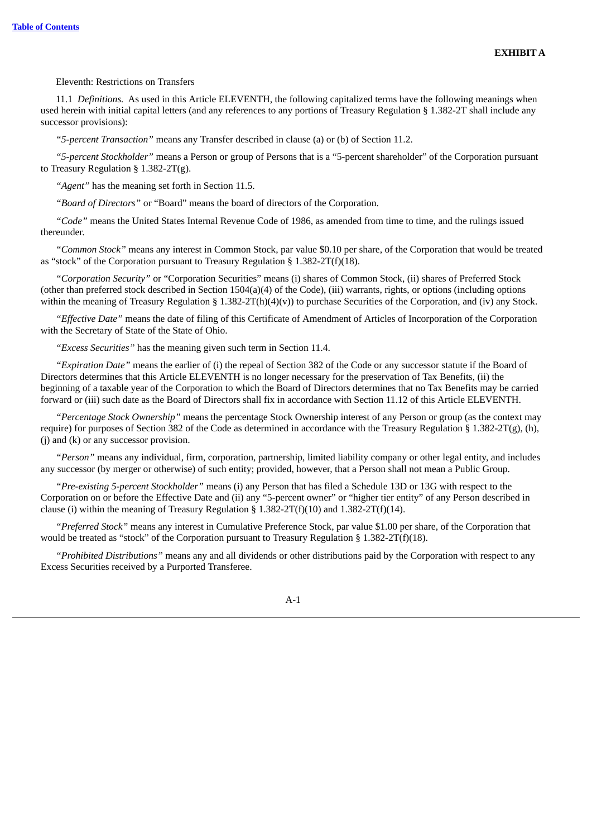## Eleventh: Restrictions on Transfers

11.1 *Definitions.* As used in this Article ELEVENTH, the following capitalized terms have the following meanings when used herein with initial capital letters (and any references to any portions of Treasury Regulation § 1.382-2T shall include any successor provisions):

*"5-percent Transaction"* means any Transfer described in clause (a) or (b) of Section 11.2.

*"5-percent Stockholder"* means a Person or group of Persons that is a "5-percent shareholder" of the Corporation pursuant to Treasury Regulation § 1.382-2T(g).

*"Agent"* has the meaning set forth in Section 11.5.

*"Board of Directors"* or "Board" means the board of directors of the Corporation.

*"Code"* means the United States Internal Revenue Code of 1986, as amended from time to time, and the rulings issued thereunder.

*"Common Stock"* means any interest in Common Stock, par value \$0.10 per share, of the Corporation that would be treated as "stock" of the Corporation pursuant to Treasury Regulation § 1.382-2T(f)(18).

*"Corporation Security"* or "Corporation Securities" means (i) shares of Common Stock, (ii) shares of Preferred Stock (other than preferred stock described in Section 1504(a)(4) of the Code), (iii) warrants, rights, or options (including options within the meaning of Treasury Regulation § 1.382-2T(h)(4)(y)) to purchase Securities of the Corporation, and (iv) any Stock.

*"Effective Date"* means the date of filing of this Certificate of Amendment of Articles of Incorporation of the Corporation with the Secretary of State of the State of Ohio.

*"Excess Securities"* has the meaning given such term in Section 11.4.

*"Expiration Date"* means the earlier of (i) the repeal of Section 382 of the Code or any successor statute if the Board of Directors determines that this Article ELEVENTH is no longer necessary for the preservation of Tax Benefits, (ii) the beginning of a taxable year of the Corporation to which the Board of Directors determines that no Tax Benefits may be carried forward or (iii) such date as the Board of Directors shall fix in accordance with Section 11.12 of this Article ELEVENTH.

*"Percentage Stock Ownership"* means the percentage Stock Ownership interest of any Person or group (as the context may require) for purposes of Section 382 of the Code as determined in accordance with the Treasury Regulation § 1.382-2T(g), (h), (j) and (k) or any successor provision.

*"Person"* means any individual, firm, corporation, partnership, limited liability company or other legal entity, and includes any successor (by merger or otherwise) of such entity; provided, however, that a Person shall not mean a Public Group.

*"Pre-existing 5-percent Stockholder"* means (i) any Person that has filed a Schedule 13D or 13G with respect to the Corporation on or before the Effective Date and (ii) any "5-percent owner" or "higher tier entity" of any Person described in clause (i) within the meaning of Treasury Regulation § 1.382-2T(f)(10) and 1.382-2T(f)(14).

*"Preferred Stock"* means any interest in Cumulative Preference Stock, par value \$1.00 per share, of the Corporation that would be treated as "stock" of the Corporation pursuant to Treasury Regulation § 1.382-2T(f)(18).

*"Prohibited Distributions"* means any and all dividends or other distributions paid by the Corporation with respect to any Excess Securities received by a Purported Transferee.

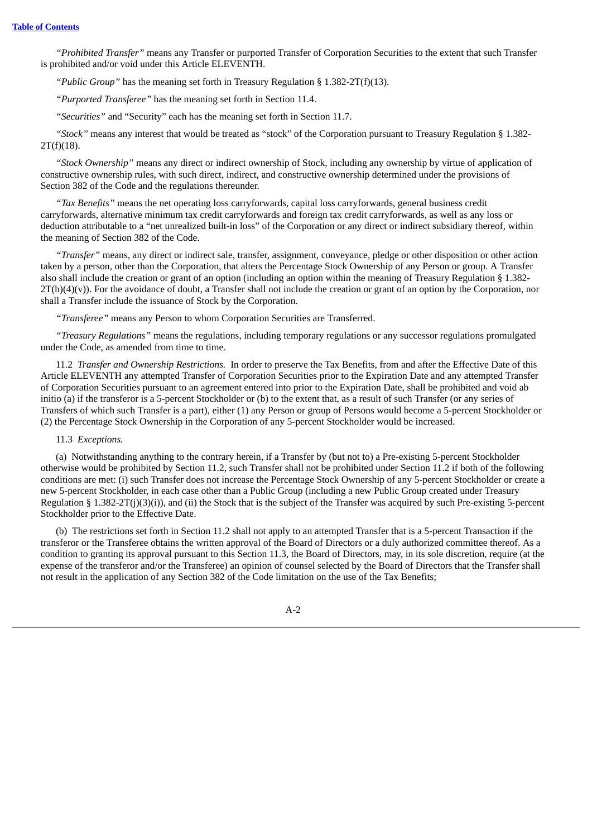*"Prohibited Transfer"* means any Transfer or purported Transfer of Corporation Securities to the extent that such Transfer is prohibited and/or void under this Article ELEVENTH.

*"Public Group"* has the meaning set forth in Treasury Regulation § 1.382-2T(f)(13).

*"Purported Transferee"* has the meaning set forth in Section 11.4.

*"Securities"* and "Security" each has the meaning set forth in Section 11.7.

*"Stock"* means any interest that would be treated as "stock" of the Corporation pursuant to Treasury Regulation § 1.382- 2T(f)(18).

*"Stock Ownership"* means any direct or indirect ownership of Stock, including any ownership by virtue of application of constructive ownership rules, with such direct, indirect, and constructive ownership determined under the provisions of Section 382 of the Code and the regulations thereunder.

*"Tax Benefits"* means the net operating loss carryforwards, capital loss carryforwards, general business credit carryforwards, alternative minimum tax credit carryforwards and foreign tax credit carryforwards, as well as any loss or deduction attributable to a "net unrealized built-in loss" of the Corporation or any direct or indirect subsidiary thereof, within the meaning of Section 382 of the Code.

*"Transfer"* means, any direct or indirect sale, transfer, assignment, conveyance, pledge or other disposition or other action taken by a person, other than the Corporation, that alters the Percentage Stock Ownership of any Person or group. A Transfer also shall include the creation or grant of an option (including an option within the meaning of Treasury Regulation § 1.382-  $2T(h)(4)(v)$ ). For the avoidance of doubt, a Transfer shall not include the creation or grant of an option by the Corporation, nor shall a Transfer include the issuance of Stock by the Corporation.

*"Transferee"* means any Person to whom Corporation Securities are Transferred.

*"Treasury Regulations"* means the regulations, including temporary regulations or any successor regulations promulgated under the Code, as amended from time to time.

11.2 *Transfer and Ownership Restrictions.* In order to preserve the Tax Benefits, from and after the Effective Date of this Article ELEVENTH any attempted Transfer of Corporation Securities prior to the Expiration Date and any attempted Transfer of Corporation Securities pursuant to an agreement entered into prior to the Expiration Date, shall be prohibited and void ab initio (a) if the transferor is a 5-percent Stockholder or (b) to the extent that, as a result of such Transfer (or any series of Transfers of which such Transfer is a part), either (1) any Person or group of Persons would become a 5-percent Stockholder or (2) the Percentage Stock Ownership in the Corporation of any 5-percent Stockholder would be increased.

## 11.3 *Exceptions.*

(a) Notwithstanding anything to the contrary herein, if a Transfer by (but not to) a Pre-existing 5-percent Stockholder otherwise would be prohibited by Section 11.2, such Transfer shall not be prohibited under Section 11.2 if both of the following conditions are met: (i) such Transfer does not increase the Percentage Stock Ownership of any 5-percent Stockholder or create a new 5-percent Stockholder, in each case other than a Public Group (including a new Public Group created under Treasury Regulation § 1.382-2T(j)(3)(i)), and (ii) the Stock that is the subject of the Transfer was acquired by such Pre-existing 5-percent Stockholder prior to the Effective Date.

(b) The restrictions set forth in Section 11.2 shall not apply to an attempted Transfer that is a 5-percent Transaction if the transferor or the Transferee obtains the written approval of the Board of Directors or a duly authorized committee thereof. As a condition to granting its approval pursuant to this Section 11.3, the Board of Directors, may, in its sole discretion, require (at the expense of the transferor and/or the Transferee) an opinion of counsel selected by the Board of Directors that the Transfer shall not result in the application of any Section 382 of the Code limitation on the use of the Tax Benefits;

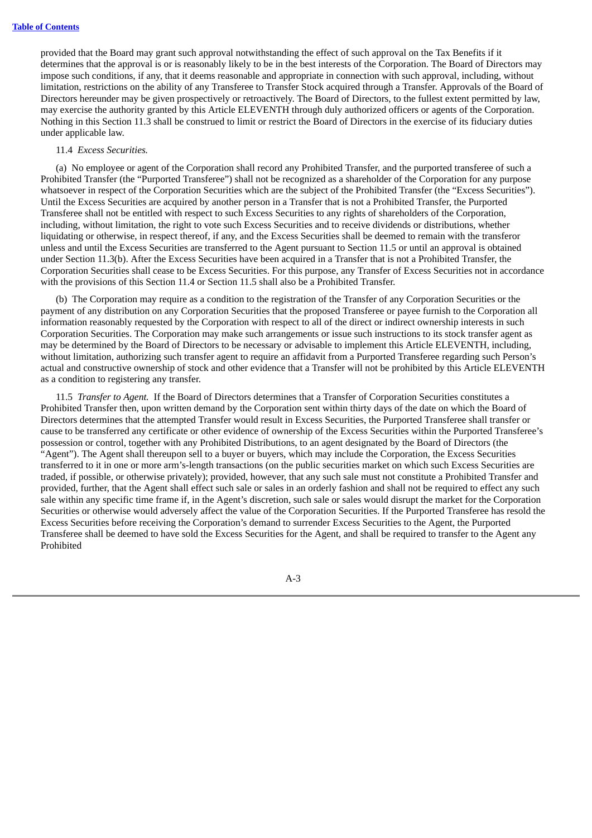provided that the Board may grant such approval notwithstanding the effect of such approval on the Tax Benefits if it determines that the approval is or is reasonably likely to be in the best interests of the Corporation. The Board of Directors may impose such conditions, if any, that it deems reasonable and appropriate in connection with such approval, including, without limitation, restrictions on the ability of any Transferee to Transfer Stock acquired through a Transfer. Approvals of the Board of Directors hereunder may be given prospectively or retroactively. The Board of Directors, to the fullest extent permitted by law, may exercise the authority granted by this Article ELEVENTH through duly authorized officers or agents of the Corporation. Nothing in this Section 11.3 shall be construed to limit or restrict the Board of Directors in the exercise of its fiduciary duties under applicable law.

### 11.4 *Excess Securities.*

(a) No employee or agent of the Corporation shall record any Prohibited Transfer, and the purported transferee of such a Prohibited Transfer (the "Purported Transferee") shall not be recognized as a shareholder of the Corporation for any purpose whatsoever in respect of the Corporation Securities which are the subject of the Prohibited Transfer (the "Excess Securities"). Until the Excess Securities are acquired by another person in a Transfer that is not a Prohibited Transfer, the Purported Transferee shall not be entitled with respect to such Excess Securities to any rights of shareholders of the Corporation, including, without limitation, the right to vote such Excess Securities and to receive dividends or distributions, whether liquidating or otherwise, in respect thereof, if any, and the Excess Securities shall be deemed to remain with the transferor unless and until the Excess Securities are transferred to the Agent pursuant to Section 11.5 or until an approval is obtained under Section 11.3(b). After the Excess Securities have been acquired in a Transfer that is not a Prohibited Transfer, the Corporation Securities shall cease to be Excess Securities. For this purpose, any Transfer of Excess Securities not in accordance with the provisions of this Section 11.4 or Section 11.5 shall also be a Prohibited Transfer.

(b) The Corporation may require as a condition to the registration of the Transfer of any Corporation Securities or the payment of any distribution on any Corporation Securities that the proposed Transferee or payee furnish to the Corporation all information reasonably requested by the Corporation with respect to all of the direct or indirect ownership interests in such Corporation Securities. The Corporation may make such arrangements or issue such instructions to its stock transfer agent as may be determined by the Board of Directors to be necessary or advisable to implement this Article ELEVENTH, including, without limitation, authorizing such transfer agent to require an affidavit from a Purported Transferee regarding such Person's actual and constructive ownership of stock and other evidence that a Transfer will not be prohibited by this Article ELEVENTH as a condition to registering any transfer.

11.5 *Transfer to Agent.* If the Board of Directors determines that a Transfer of Corporation Securities constitutes a Prohibited Transfer then, upon written demand by the Corporation sent within thirty days of the date on which the Board of Directors determines that the attempted Transfer would result in Excess Securities, the Purported Transferee shall transfer or cause to be transferred any certificate or other evidence of ownership of the Excess Securities within the Purported Transferee's possession or control, together with any Prohibited Distributions, to an agent designated by the Board of Directors (the "Agent"). The Agent shall thereupon sell to a buyer or buyers, which may include the Corporation, the Excess Securities transferred to it in one or more arm's-length transactions (on the public securities market on which such Excess Securities are traded, if possible, or otherwise privately); provided, however, that any such sale must not constitute a Prohibited Transfer and provided, further, that the Agent shall effect such sale or sales in an orderly fashion and shall not be required to effect any such sale within any specific time frame if, in the Agent's discretion, such sale or sales would disrupt the market for the Corporation Securities or otherwise would adversely affect the value of the Corporation Securities. If the Purported Transferee has resold the Excess Securities before receiving the Corporation's demand to surrender Excess Securities to the Agent, the Purported Transferee shall be deemed to have sold the Excess Securities for the Agent, and shall be required to transfer to the Agent any Prohibited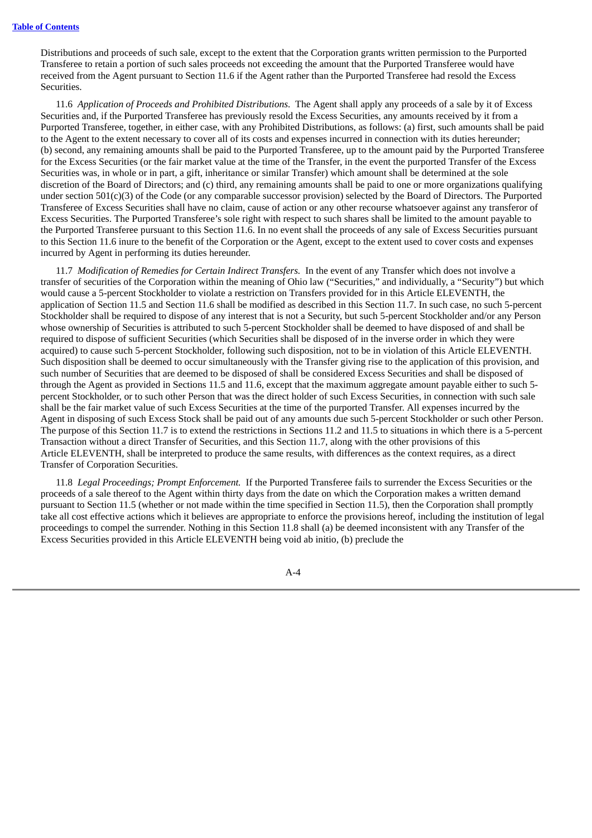Distributions and proceeds of such sale, except to the extent that the Corporation grants written permission to the Purported Transferee to retain a portion of such sales proceeds not exceeding the amount that the Purported Transferee would have received from the Agent pursuant to Section 11.6 if the Agent rather than the Purported Transferee had resold the Excess Securities.

11.6 *Application of Proceeds and Prohibited Distributions.* The Agent shall apply any proceeds of a sale by it of Excess Securities and, if the Purported Transferee has previously resold the Excess Securities, any amounts received by it from a Purported Transferee, together, in either case, with any Prohibited Distributions, as follows: (a) first, such amounts shall be paid to the Agent to the extent necessary to cover all of its costs and expenses incurred in connection with its duties hereunder; (b) second, any remaining amounts shall be paid to the Purported Transferee, up to the amount paid by the Purported Transferee for the Excess Securities (or the fair market value at the time of the Transfer, in the event the purported Transfer of the Excess Securities was, in whole or in part, a gift, inheritance or similar Transfer) which amount shall be determined at the sole discretion of the Board of Directors; and (c) third, any remaining amounts shall be paid to one or more organizations qualifying under section 501(c)(3) of the Code (or any comparable successor provision) selected by the Board of Directors. The Purported Transferee of Excess Securities shall have no claim, cause of action or any other recourse whatsoever against any transferor of Excess Securities. The Purported Transferee's sole right with respect to such shares shall be limited to the amount payable to the Purported Transferee pursuant to this Section 11.6. In no event shall the proceeds of any sale of Excess Securities pursuant to this Section 11.6 inure to the benefit of the Corporation or the Agent, except to the extent used to cover costs and expenses incurred by Agent in performing its duties hereunder.

11.7 *Modification of Remedies for Certain Indirect Transfers.* In the event of any Transfer which does not involve a transfer of securities of the Corporation within the meaning of Ohio law ("Securities," and individually, a "Security") but which would cause a 5-percent Stockholder to violate a restriction on Transfers provided for in this Article ELEVENTH, the application of Section 11.5 and Section 11.6 shall be modified as described in this Section 11.7. In such case, no such 5-percent Stockholder shall be required to dispose of any interest that is not a Security, but such 5-percent Stockholder and/or any Person whose ownership of Securities is attributed to such 5-percent Stockholder shall be deemed to have disposed of and shall be required to dispose of sufficient Securities (which Securities shall be disposed of in the inverse order in which they were acquired) to cause such 5-percent Stockholder, following such disposition, not to be in violation of this Article ELEVENTH. Such disposition shall be deemed to occur simultaneously with the Transfer giving rise to the application of this provision, and such number of Securities that are deemed to be disposed of shall be considered Excess Securities and shall be disposed of through the Agent as provided in Sections 11.5 and 11.6, except that the maximum aggregate amount payable either to such 5 percent Stockholder, or to such other Person that was the direct holder of such Excess Securities, in connection with such sale shall be the fair market value of such Excess Securities at the time of the purported Transfer. All expenses incurred by the Agent in disposing of such Excess Stock shall be paid out of any amounts due such 5-percent Stockholder or such other Person. The purpose of this Section 11.7 is to extend the restrictions in Sections 11.2 and 11.5 to situations in which there is a 5-percent Transaction without a direct Transfer of Securities, and this Section 11.7, along with the other provisions of this Article ELEVENTH, shall be interpreted to produce the same results, with differences as the context requires, as a direct Transfer of Corporation Securities.

11.8 *Legal Proceedings; Prompt Enforcement.* If the Purported Transferee fails to surrender the Excess Securities or the proceeds of a sale thereof to the Agent within thirty days from the date on which the Corporation makes a written demand pursuant to Section 11.5 (whether or not made within the time specified in Section 11.5), then the Corporation shall promptly take all cost effective actions which it believes are appropriate to enforce the provisions hereof, including the institution of legal proceedings to compel the surrender. Nothing in this Section 11.8 shall (a) be deemed inconsistent with any Transfer of the Excess Securities provided in this Article ELEVENTH being void ab initio, (b) preclude the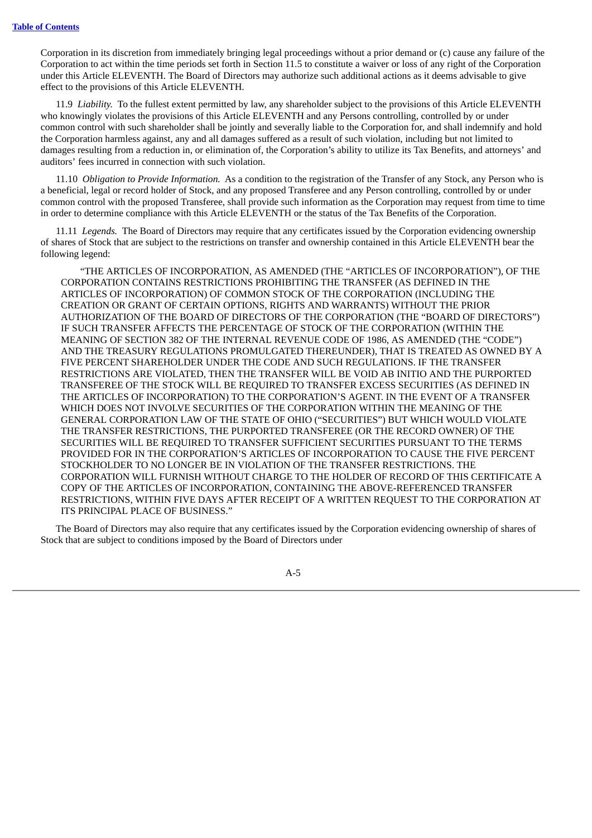Corporation in its discretion from immediately bringing legal proceedings without a prior demand or (c) cause any failure of the Corporation to act within the time periods set forth in Section 11.5 to constitute a waiver or loss of any right of the Corporation under this Article ELEVENTH. The Board of Directors may authorize such additional actions as it deems advisable to give effect to the provisions of this Article ELEVENTH.

11.9 *Liability.* To the fullest extent permitted by law, any shareholder subject to the provisions of this Article ELEVENTH who knowingly violates the provisions of this Article ELEVENTH and any Persons controlling, controlled by or under common control with such shareholder shall be jointly and severally liable to the Corporation for, and shall indemnify and hold the Corporation harmless against, any and all damages suffered as a result of such violation, including but not limited to damages resulting from a reduction in, or elimination of, the Corporation's ability to utilize its Tax Benefits, and attorneys' and auditors' fees incurred in connection with such violation.

11.10 *Obligation to Provide Information.* As a condition to the registration of the Transfer of any Stock, any Person who is a beneficial, legal or record holder of Stock, and any proposed Transferee and any Person controlling, controlled by or under common control with the proposed Transferee, shall provide such information as the Corporation may request from time to time in order to determine compliance with this Article ELEVENTH or the status of the Tax Benefits of the Corporation.

11.11 *Legends.* The Board of Directors may require that any certificates issued by the Corporation evidencing ownership of shares of Stock that are subject to the restrictions on transfer and ownership contained in this Article ELEVENTH bear the following legend:

"THE ARTICLES OF INCORPORATION, AS AMENDED (THE "ARTICLES OF INCORPORATION"), OF THE CORPORATION CONTAINS RESTRICTIONS PROHIBITING THE TRANSFER (AS DEFINED IN THE ARTICLES OF INCORPORATION) OF COMMON STOCK OF THE CORPORATION (INCLUDING THE CREATION OR GRANT OF CERTAIN OPTIONS, RIGHTS AND WARRANTS) WITHOUT THE PRIOR AUTHORIZATION OF THE BOARD OF DIRECTORS OF THE CORPORATION (THE "BOARD OF DIRECTORS") IF SUCH TRANSFER AFFECTS THE PERCENTAGE OF STOCK OF THE CORPORATION (WITHIN THE MEANING OF SECTION 382 OF THE INTERNAL REVENUE CODE OF 1986, AS AMENDED (THE "CODE") AND THE TREASURY REGULATIONS PROMULGATED THEREUNDER), THAT IS TREATED AS OWNED BY A FIVE PERCENT SHAREHOLDER UNDER THE CODE AND SUCH REGULATIONS. IF THE TRANSFER RESTRICTIONS ARE VIOLATED, THEN THE TRANSFER WILL BE VOID AB INITIO AND THE PURPORTED TRANSFEREE OF THE STOCK WILL BE REQUIRED TO TRANSFER EXCESS SECURITIES (AS DEFINED IN THE ARTICLES OF INCORPORATION) TO THE CORPORATION'S AGENT. IN THE EVENT OF A TRANSFER WHICH DOES NOT INVOLVE SECURITIES OF THE CORPORATION WITHIN THE MEANING OF THE GENERAL CORPORATION LAW OF THE STATE OF OHIO ("SECURITIES") BUT WHICH WOULD VIOLATE THE TRANSFER RESTRICTIONS, THE PURPORTED TRANSFEREE (OR THE RECORD OWNER) OF THE SECURITIES WILL BE REQUIRED TO TRANSFER SUFFICIENT SECURITIES PURSUANT TO THE TERMS PROVIDED FOR IN THE CORPORATION'S ARTICLES OF INCORPORATION TO CAUSE THE FIVE PERCENT STOCKHOLDER TO NO LONGER BE IN VIOLATION OF THE TRANSFER RESTRICTIONS. THE CORPORATION WILL FURNISH WITHOUT CHARGE TO THE HOLDER OF RECORD OF THIS CERTIFICATE A COPY OF THE ARTICLES OF INCORPORATION, CONTAINING THE ABOVE-REFERENCED TRANSFER RESTRICTIONS, WITHIN FIVE DAYS AFTER RECEIPT OF A WRITTEN REQUEST TO THE CORPORATION AT ITS PRINCIPAL PLACE OF BUSINESS."

The Board of Directors may also require that any certificates issued by the Corporation evidencing ownership of shares of Stock that are subject to conditions imposed by the Board of Directors under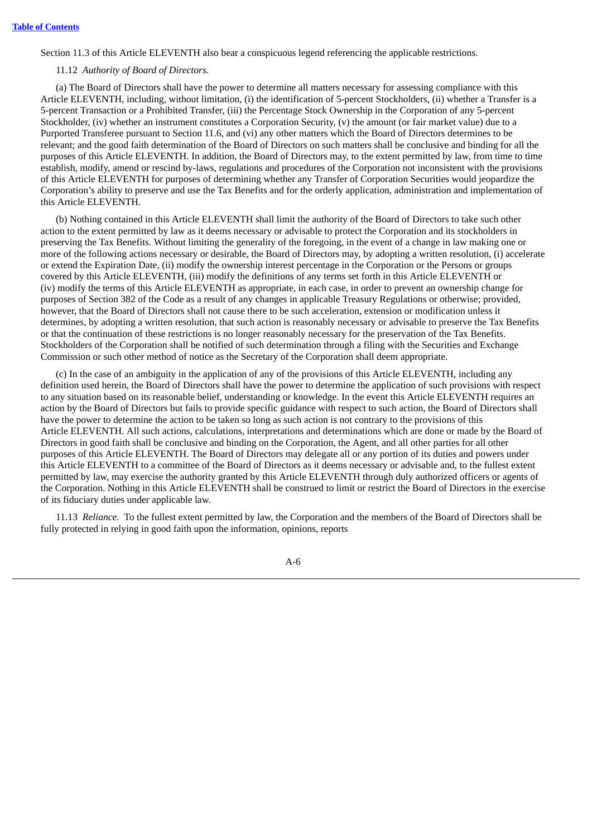Section 11.3 of this Article ELEVENTH also bear a conspicuous legend referencing the applicable restrictions.

## 11.12 *Authority of Board of Directors.*

(a) The Board of Directors shall have the power to determine all matters necessary for assessing compliance with this Article ELEVENTH, including, without limitation, (i) the identification of 5-percent Stockholders, (ii) whether a Transfer is a 5-percent Transaction or a Prohibited Transfer, (iii) the Percentage Stock Ownership in the Corporation of any 5-percent Stockholder, (iv) whether an instrument constitutes a Corporation Security, (v) the amount (or fair market value) due to a Purported Transferee pursuant to Section 11.6, and (vi) any other matters which the Board of Directors determines to be relevant; and the good faith determination of the Board of Directors on such matters shall be conclusive and binding for all the purposes of this Article ELEVENTH. In addition, the Board of Directors may, to the extent permitted by law, from time to time establish, modify, amend or rescind by-laws, regulations and procedures of the Corporation not inconsistent with the provisions of this Article ELEVENTH for purposes of determining whether any Transfer of Corporation Securities would jeopardize the Corporation's ability to preserve and use the Tax Benefits and for the orderly application, administration and implementation of this Article ELEVENTH.

(b) Nothing contained in this Article ELEVENTH shall limit the authority of the Board of Directors to take such other action to the extent permitted by law as it deems necessary or advisable to protect the Corporation and its stockholders in preserving the Tax Benefits. Without limiting the generality of the foregoing, in the event of a change in law making one or more of the following actions necessary or desirable, the Board of Directors may, by adopting a written resolution, (i) accelerate or extend the Expiration Date, (ii) modify the ownership interest percentage in the Corporation or the Persons or groups covered by this Article ELEVENTH, (iii) modify the definitions of any terms set forth in this Article ELEVENTH or (iv) modify the terms of this Article ELEVENTH as appropriate, in each case, in order to prevent an ownership change for purposes of Section 382 of the Code as a result of any changes in applicable Treasury Regulations or otherwise; provided, however, that the Board of Directors shall not cause there to be such acceleration, extension or modification unless it determines, by adopting a written resolution, that such action is reasonably necessary or advisable to preserve the Tax Benefits or that the continuation of these restrictions is no longer reasonably necessary for the preservation of the Tax Benefits. Stockholders of the Corporation shall be notified of such determination through a filing with the Securities and Exchange Commission or such other method of notice as the Secretary of the Corporation shall deem appropriate.

(c) In the case of an ambiguity in the application of any of the provisions of this Article ELEVENTH, including any definition used herein, the Board of Directors shall have the power to determine the application of such provisions with respect to any situation based on its reasonable belief, understanding or knowledge. In the event this Article ELEVENTH requires an action by the Board of Directors but fails to provide specific guidance with respect to such action, the Board of Directors shall have the power to determine the action to be taken so long as such action is not contrary to the provisions of this Article ELEVENTH. All such actions, calculations, interpretations and determinations which are done or made by the Board of Directors in good faith shall be conclusive and binding on the Corporation, the Agent, and all other parties for all other purposes of this Article ELEVENTH. The Board of Directors may delegate all or any portion of its duties and powers under this Article ELEVENTH to a committee of the Board of Directors as it deems necessary or advisable and, to the fullest extent permitted by law, may exercise the authority granted by this Article ELEVENTH through duly authorized officers or agents of the Corporation. Nothing in this Article ELEVENTH shall be construed to limit or restrict the Board of Directors in the exercise of its fiduciary duties under applicable law.

11.13 *Reliance.* To the fullest extent permitted by law, the Corporation and the members of the Board of Directors shall be fully protected in relying in good faith upon the information, opinions, reports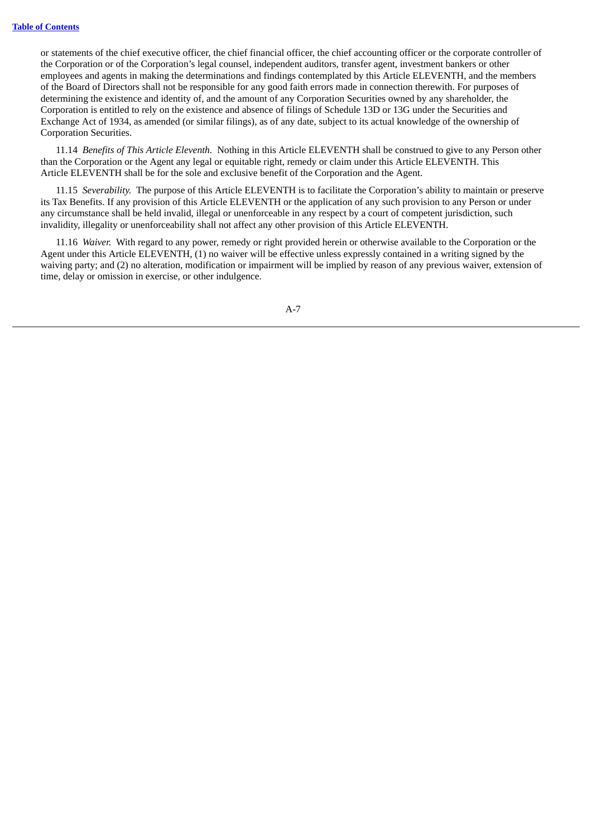or statements of the chief executive officer, the chief financial officer, the chief accounting officer or the corporate controller of the Corporation or of the Corporation's legal counsel, independent auditors, transfer agent, investment bankers or other employees and agents in making the determinations and findings contemplated by this Article ELEVENTH, and the members of the Board of Directors shall not be responsible for any good faith errors made in connection therewith. For purposes of determining the existence and identity of, and the amount of any Corporation Securities owned by any shareholder, the Corporation is entitled to rely on the existence and absence of filings of Schedule 13D or 13G under the Securities and Exchange Act of 1934, as amended (or similar filings), as of any date, subject to its actual knowledge of the ownership of Corporation Securities.

11.14 *Benefits of This Article Eleventh.* Nothing in this Article ELEVENTH shall be construed to give to any Person other than the Corporation or the Agent any legal or equitable right, remedy or claim under this Article ELEVENTH. This Article ELEVENTH shall be for the sole and exclusive benefit of the Corporation and the Agent.

11.15 *Severability.* The purpose of this Article ELEVENTH is to facilitate the Corporation's ability to maintain or preserve its Tax Benefits. If any provision of this Article ELEVENTH or the application of any such provision to any Person or under any circumstance shall be held invalid, illegal or unenforceable in any respect by a court of competent jurisdiction, such invalidity, illegality or unenforceability shall not affect any other provision of this Article ELEVENTH.

11.16 *Waiver.* With regard to any power, remedy or right provided herein or otherwise available to the Corporation or the Agent under this Article ELEVENTH, (1) no waiver will be effective unless expressly contained in a writing signed by the waiving party; and (2) no alteration, modification or impairment will be implied by reason of any previous waiver, extension of time, delay or omission in exercise, or other indulgence.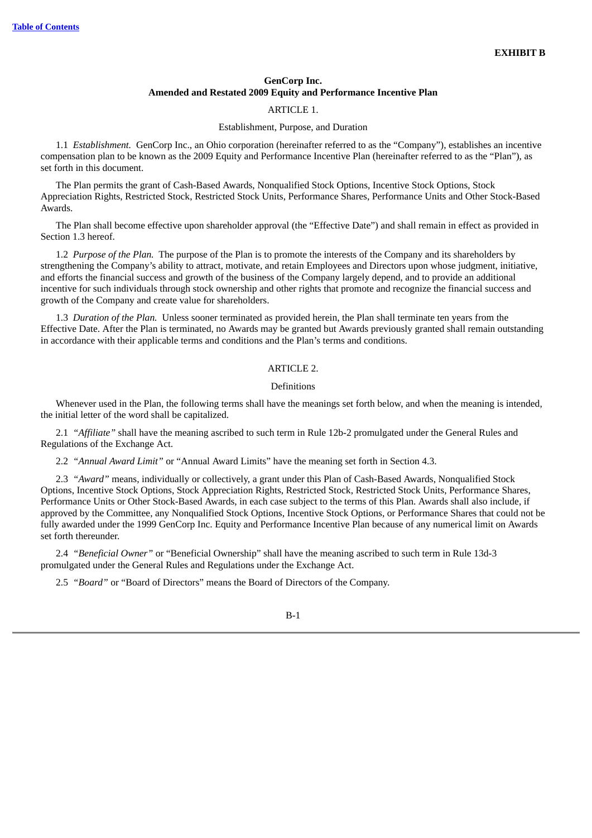## **GenCorp Inc. Amended and Restated 2009 Equity and Performance Incentive Plan**

## ARTICLE 1.

#### Establishment, Purpose, and Duration

1.1 *Establishment.* GenCorp Inc., an Ohio corporation (hereinafter referred to as the "Company"), establishes an incentive compensation plan to be known as the 2009 Equity and Performance Incentive Plan (hereinafter referred to as the "Plan"), as set forth in this document.

The Plan permits the grant of Cash-Based Awards, Nonqualified Stock Options, Incentive Stock Options, Stock Appreciation Rights, Restricted Stock, Restricted Stock Units, Performance Shares, Performance Units and Other Stock-Based Awards.

The Plan shall become effective upon shareholder approval (the "Effective Date") and shall remain in effect as provided in Section 1.3 hereof.

1.2 *Purpose of the Plan.* The purpose of the Plan is to promote the interests of the Company and its shareholders by strengthening the Company's ability to attract, motivate, and retain Employees and Directors upon whose judgment, initiative, and efforts the financial success and growth of the business of the Company largely depend, and to provide an additional incentive for such individuals through stock ownership and other rights that promote and recognize the financial success and growth of the Company and create value for shareholders.

1.3 *Duration of the Plan.* Unless sooner terminated as provided herein, the Plan shall terminate ten years from the Effective Date. After the Plan is terminated, no Awards may be granted but Awards previously granted shall remain outstanding in accordance with their applicable terms and conditions and the Plan's terms and conditions.

## ARTICLE 2.

### Definitions

Whenever used in the Plan, the following terms shall have the meanings set forth below, and when the meaning is intended, the initial letter of the word shall be capitalized.

2.1 *"Affiliate"* shall have the meaning ascribed to such term in Rule 12b-2 promulgated under the General Rules and Regulations of the Exchange Act.

2.2 *"Annual Award Limit"* or "Annual Award Limits" have the meaning set forth in Section 4.3.

2.3 *"Award"* means, individually or collectively, a grant under this Plan of Cash-Based Awards, Nonqualified Stock Options, Incentive Stock Options, Stock Appreciation Rights, Restricted Stock, Restricted Stock Units, Performance Shares, Performance Units or Other Stock-Based Awards, in each case subject to the terms of this Plan. Awards shall also include, if approved by the Committee, any Nonqualified Stock Options, Incentive Stock Options, or Performance Shares that could not be fully awarded under the 1999 GenCorp Inc. Equity and Performance Incentive Plan because of any numerical limit on Awards set forth thereunder.

2.4 *"Beneficial Owner"* or "Beneficial Ownership" shall have the meaning ascribed to such term in Rule 13d-3 promulgated under the General Rules and Regulations under the Exchange Act.

2.5 *"Board"* or "Board of Directors" means the Board of Directors of the Company.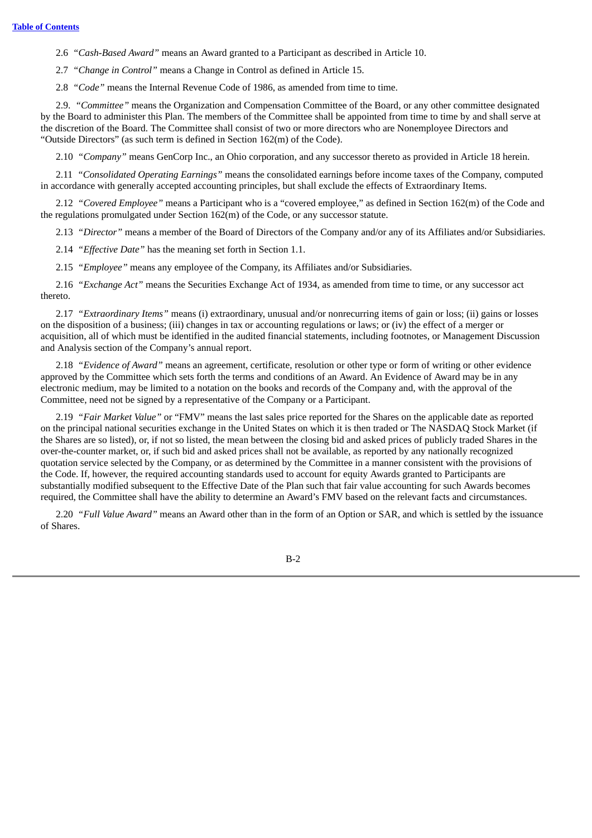2.6 *"Cash-Based Award"* means an Award granted to a Participant as described in Article 10.

2.7 *"Change in Control"* means a Change in Control as defined in Article 15.

2.8 *"Code"* means the Internal Revenue Code of 1986, as amended from time to time.

2.9. *"Committee"* means the Organization and Compensation Committee of the Board, or any other committee designated by the Board to administer this Plan. The members of the Committee shall be appointed from time to time by and shall serve at the discretion of the Board. The Committee shall consist of two or more directors who are Nonemployee Directors and "Outside Directors" (as such term is defined in Section 162(m) of the Code).

2.10 *"Company"* means GenCorp Inc., an Ohio corporation, and any successor thereto as provided in Article 18 herein.

2.11 *"Consolidated Operating Earnings"* means the consolidated earnings before income taxes of the Company, computed in accordance with generally accepted accounting principles, but shall exclude the effects of Extraordinary Items.

2.12 *"Covered Employee"* means a Participant who is a "covered employee," as defined in Section 162(m) of the Code and the regulations promulgated under Section 162(m) of the Code, or any successor statute.

2.13 *"Director"* means a member of the Board of Directors of the Company and/or any of its Affiliates and/or Subsidiaries.

2.14 *"Effective Date"* has the meaning set forth in Section 1.1.

2.15 *"Employee"* means any employee of the Company, its Affiliates and/or Subsidiaries.

2.16 *"Exchange Act"* means the Securities Exchange Act of 1934, as amended from time to time, or any successor act thereto.

2.17 *"Extraordinary Items"* means (i) extraordinary, unusual and/or nonrecurring items of gain or loss; (ii) gains or losses on the disposition of a business; (iii) changes in tax or accounting regulations or laws; or (iv) the effect of a merger or acquisition, all of which must be identified in the audited financial statements, including footnotes, or Management Discussion and Analysis section of the Company's annual report.

2.18 *"Evidence of Award"* means an agreement, certificate, resolution or other type or form of writing or other evidence approved by the Committee which sets forth the terms and conditions of an Award. An Evidence of Award may be in any electronic medium, may be limited to a notation on the books and records of the Company and, with the approval of the Committee, need not be signed by a representative of the Company or a Participant.

2.19 *"Fair Market Value"* or "FMV" means the last sales price reported for the Shares on the applicable date as reported on the principal national securities exchange in the United States on which it is then traded or The NASDAQ Stock Market (if the Shares are so listed), or, if not so listed, the mean between the closing bid and asked prices of publicly traded Shares in the over-the-counter market, or, if such bid and asked prices shall not be available, as reported by any nationally recognized quotation service selected by the Company, or as determined by the Committee in a manner consistent with the provisions of the Code. If, however, the required accounting standards used to account for equity Awards granted to Participants are substantially modified subsequent to the Effective Date of the Plan such that fair value accounting for such Awards becomes required, the Committee shall have the ability to determine an Award's FMV based on the relevant facts and circumstances.

2.20 *"Full Value Award"* means an Award other than in the form of an Option or SAR, and which is settled by the issuance of Shares.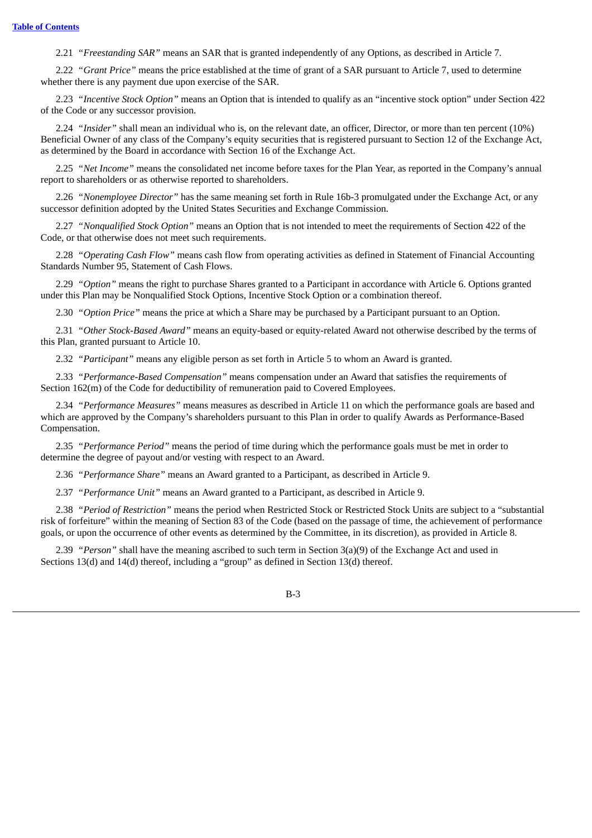2.21 *"Freestanding SAR"* means an SAR that is granted independently of any Options, as described in Article 7.

2.22 *"Grant Price"* means the price established at the time of grant of a SAR pursuant to Article 7, used to determine whether there is any payment due upon exercise of the SAR.

2.23 *"Incentive Stock Option"* means an Option that is intended to qualify as an "incentive stock option" under Section 422 of the Code or any successor provision.

2.24 *"Insider"* shall mean an individual who is, on the relevant date, an officer, Director, or more than ten percent (10%) Beneficial Owner of any class of the Company's equity securities that is registered pursuant to Section 12 of the Exchange Act, as determined by the Board in accordance with Section 16 of the Exchange Act.

2.25 *"Net Income"* means the consolidated net income before taxes for the Plan Year, as reported in the Company's annual report to shareholders or as otherwise reported to shareholders.

2.26 *"Nonemployee Director"* has the same meaning set forth in Rule 16b-3 promulgated under the Exchange Act, or any successor definition adopted by the United States Securities and Exchange Commission.

2.27 *"Nonqualified Stock Option"* means an Option that is not intended to meet the requirements of Section 422 of the Code, or that otherwise does not meet such requirements.

2.28 *"Operating Cash Flow"* means cash flow from operating activities as defined in Statement of Financial Accounting Standards Number 95, Statement of Cash Flows.

2.29 *"Option"* means the right to purchase Shares granted to a Participant in accordance with Article 6. Options granted under this Plan may be Nonqualified Stock Options, Incentive Stock Option or a combination thereof.

2.30 *"Option Price"* means the price at which a Share may be purchased by a Participant pursuant to an Option.

2.31 *"Other Stock-Based Award"* means an equity-based or equity-related Award not otherwise described by the terms of this Plan, granted pursuant to Article 10.

2.32 *"Participant"* means any eligible person as set forth in Article 5 to whom an Award is granted.

2.33 *"Performance-Based Compensation"* means compensation under an Award that satisfies the requirements of Section 162(m) of the Code for deductibility of remuneration paid to Covered Employees.

2.34 *"Performance Measures"* means measures as described in Article 11 on which the performance goals are based and which are approved by the Company's shareholders pursuant to this Plan in order to qualify Awards as Performance-Based Compensation.

2.35 *"Performance Period"* means the period of time during which the performance goals must be met in order to determine the degree of payout and/or vesting with respect to an Award.

2.36 *"Performance Share"* means an Award granted to a Participant, as described in Article 9.

2.37 *"Performance Unit"* means an Award granted to a Participant, as described in Article 9.

2.38 *"Period of Restriction"* means the period when Restricted Stock or Restricted Stock Units are subject to a "substantial risk of forfeiture" within the meaning of Section 83 of the Code (based on the passage of time, the achievement of performance goals, or upon the occurrence of other events as determined by the Committee, in its discretion), as provided in Article 8.

2.39 *"Person"* shall have the meaning ascribed to such term in Section 3(a)(9) of the Exchange Act and used in Sections 13(d) and 14(d) thereof, including a "group" as defined in Section 13(d) thereof.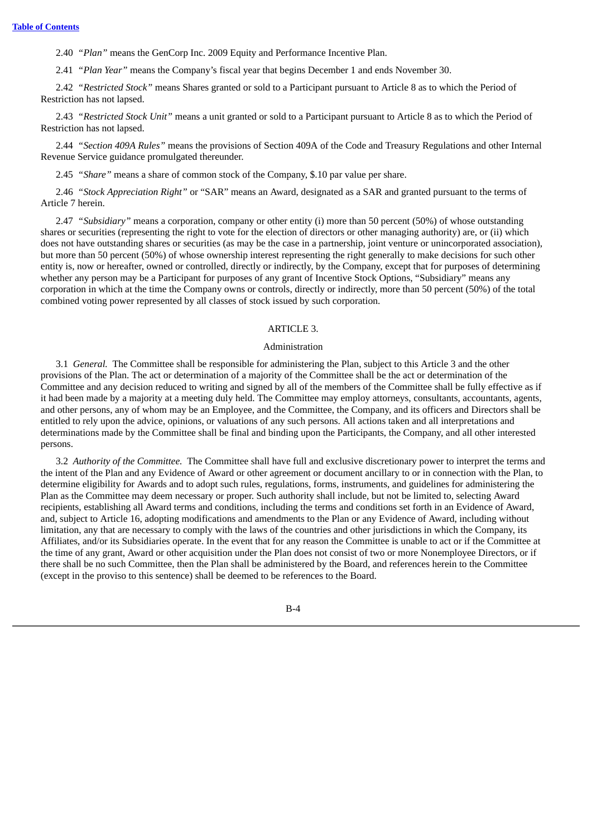2.40 *"Plan"* means the GenCorp Inc. 2009 Equity and Performance Incentive Plan.

2.41 *"Plan Year"* means the Company's fiscal year that begins December 1 and ends November 30.

2.42 *"Restricted Stock"* means Shares granted or sold to a Participant pursuant to Article 8 as to which the Period of Restriction has not lapsed.

2.43 *"Restricted Stock Unit"* means a unit granted or sold to a Participant pursuant to Article 8 as to which the Period of Restriction has not lapsed.

2.44 *"Section 409A Rules"* means the provisions of Section 409A of the Code and Treasury Regulations and other Internal Revenue Service guidance promulgated thereunder.

2.45 *"Share"* means a share of common stock of the Company, \$.10 par value per share.

2.46 *"Stock Appreciation Right"* or "SAR" means an Award, designated as a SAR and granted pursuant to the terms of Article 7 herein.

2.47 *"Subsidiary"* means a corporation, company or other entity (i) more than 50 percent (50%) of whose outstanding shares or securities (representing the right to vote for the election of directors or other managing authority) are, or (ii) which does not have outstanding shares or securities (as may be the case in a partnership, joint venture or unincorporated association), but more than 50 percent (50%) of whose ownership interest representing the right generally to make decisions for such other entity is, now or hereafter, owned or controlled, directly or indirectly, by the Company, except that for purposes of determining whether any person may be a Participant for purposes of any grant of Incentive Stock Options, "Subsidiary" means any corporation in which at the time the Company owns or controls, directly or indirectly, more than 50 percent (50%) of the total combined voting power represented by all classes of stock issued by such corporation.

### ARTICLE 3.

### Administration

3.1 *General.* The Committee shall be responsible for administering the Plan, subject to this Article 3 and the other provisions of the Plan. The act or determination of a majority of the Committee shall be the act or determination of the Committee and any decision reduced to writing and signed by all of the members of the Committee shall be fully effective as if it had been made by a majority at a meeting duly held. The Committee may employ attorneys, consultants, accountants, agents, and other persons, any of whom may be an Employee, and the Committee, the Company, and its officers and Directors shall be entitled to rely upon the advice, opinions, or valuations of any such persons. All actions taken and all interpretations and determinations made by the Committee shall be final and binding upon the Participants, the Company, and all other interested persons.

3.2 *Authority of the Committee.* The Committee shall have full and exclusive discretionary power to interpret the terms and the intent of the Plan and any Evidence of Award or other agreement or document ancillary to or in connection with the Plan, to determine eligibility for Awards and to adopt such rules, regulations, forms, instruments, and guidelines for administering the Plan as the Committee may deem necessary or proper. Such authority shall include, but not be limited to, selecting Award recipients, establishing all Award terms and conditions, including the terms and conditions set forth in an Evidence of Award, and, subject to Article 16, adopting modifications and amendments to the Plan or any Evidence of Award, including without limitation, any that are necessary to comply with the laws of the countries and other jurisdictions in which the Company, its Affiliates, and/or its Subsidiaries operate. In the event that for any reason the Committee is unable to act or if the Committee at the time of any grant, Award or other acquisition under the Plan does not consist of two or more Nonemployee Directors, or if there shall be no such Committee, then the Plan shall be administered by the Board, and references herein to the Committee (except in the proviso to this sentence) shall be deemed to be references to the Board.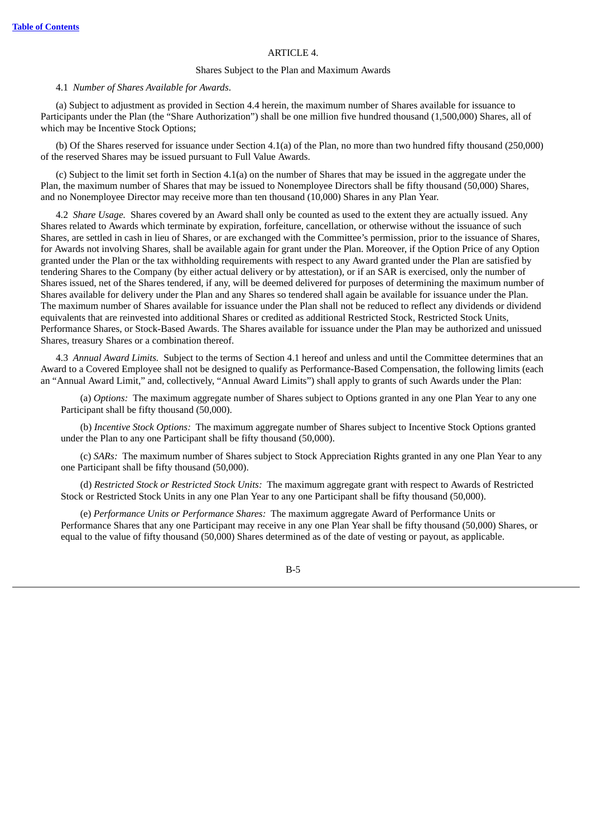### ARTICLE 4.

### Shares Subject to the Plan and Maximum Awards

#### 4.1 *Number of Shares Available for Awards*.

(a) Subject to adjustment as provided in Section 4.4 herein, the maximum number of Shares available for issuance to Participants under the Plan (the "Share Authorization") shall be one million five hundred thousand (1,500,000) Shares, all of which may be Incentive Stock Options;

(b) Of the Shares reserved for issuance under Section 4.1(a) of the Plan, no more than two hundred fifty thousand (250,000) of the reserved Shares may be issued pursuant to Full Value Awards.

(c) Subject to the limit set forth in Section 4.1(a) on the number of Shares that may be issued in the aggregate under the Plan, the maximum number of Shares that may be issued to Nonemployee Directors shall be fifty thousand (50,000) Shares, and no Nonemployee Director may receive more than ten thousand (10,000) Shares in any Plan Year.

4.2 *Share Usage.* Shares covered by an Award shall only be counted as used to the extent they are actually issued. Any Shares related to Awards which terminate by expiration, forfeiture, cancellation, or otherwise without the issuance of such Shares, are settled in cash in lieu of Shares, or are exchanged with the Committee's permission, prior to the issuance of Shares, for Awards not involving Shares, shall be available again for grant under the Plan. Moreover, if the Option Price of any Option granted under the Plan or the tax withholding requirements with respect to any Award granted under the Plan are satisfied by tendering Shares to the Company (by either actual delivery or by attestation), or if an SAR is exercised, only the number of Shares issued, net of the Shares tendered, if any, will be deemed delivered for purposes of determining the maximum number of Shares available for delivery under the Plan and any Shares so tendered shall again be available for issuance under the Plan. The maximum number of Shares available for issuance under the Plan shall not be reduced to reflect any dividends or dividend equivalents that are reinvested into additional Shares or credited as additional Restricted Stock, Restricted Stock Units, Performance Shares, or Stock-Based Awards. The Shares available for issuance under the Plan may be authorized and unissued Shares, treasury Shares or a combination thereof.

4.3 *Annual Award Limits.* Subject to the terms of Section 4.1 hereof and unless and until the Committee determines that an Award to a Covered Employee shall not be designed to qualify as Performance-Based Compensation, the following limits (each an "Annual Award Limit," and, collectively, "Annual Award Limits") shall apply to grants of such Awards under the Plan:

(a) *Options:* The maximum aggregate number of Shares subject to Options granted in any one Plan Year to any one Participant shall be fifty thousand (50,000).

(b) *Incentive Stock Options:* The maximum aggregate number of Shares subject to Incentive Stock Options granted under the Plan to any one Participant shall be fifty thousand (50,000).

(c) *SARs:* The maximum number of Shares subject to Stock Appreciation Rights granted in any one Plan Year to any one Participant shall be fifty thousand (50,000).

(d) *Restricted Stock or Restricted Stock Units:* The maximum aggregate grant with respect to Awards of Restricted Stock or Restricted Stock Units in any one Plan Year to any one Participant shall be fifty thousand (50,000).

(e) *Performance Units or Performance Shares:* The maximum aggregate Award of Performance Units or Performance Shares that any one Participant may receive in any one Plan Year shall be fifty thousand (50,000) Shares, or equal to the value of fifty thousand (50,000) Shares determined as of the date of vesting or payout, as applicable.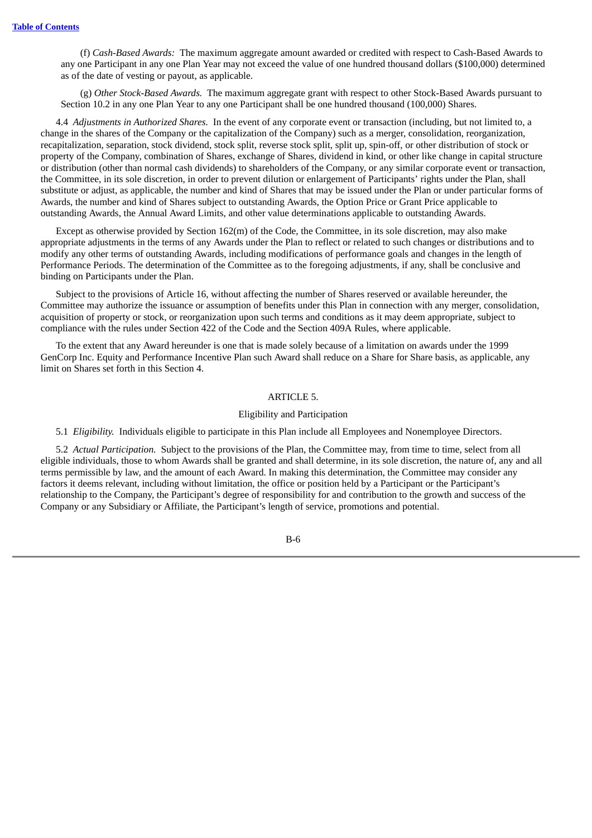(f) *Cash-Based Awards:* The maximum aggregate amount awarded or credited with respect to Cash-Based Awards to any one Participant in any one Plan Year may not exceed the value of one hundred thousand dollars (\$100,000) determined as of the date of vesting or payout, as applicable.

(g) *Other Stock-Based Awards.* The maximum aggregate grant with respect to other Stock-Based Awards pursuant to Section 10.2 in any one Plan Year to any one Participant shall be one hundred thousand (100,000) Shares.

4.4 *Adjustments in Authorized Shares.* In the event of any corporate event or transaction (including, but not limited to, a change in the shares of the Company or the capitalization of the Company) such as a merger, consolidation, reorganization, recapitalization, separation, stock dividend, stock split, reverse stock split, split up, spin-off, or other distribution of stock or property of the Company, combination of Shares, exchange of Shares, dividend in kind, or other like change in capital structure or distribution (other than normal cash dividends) to shareholders of the Company, or any similar corporate event or transaction, the Committee, in its sole discretion, in order to prevent dilution or enlargement of Participants' rights under the Plan, shall substitute or adjust, as applicable, the number and kind of Shares that may be issued under the Plan or under particular forms of Awards, the number and kind of Shares subject to outstanding Awards, the Option Price or Grant Price applicable to outstanding Awards, the Annual Award Limits, and other value determinations applicable to outstanding Awards.

Except as otherwise provided by Section 162(m) of the Code, the Committee, in its sole discretion, may also make appropriate adjustments in the terms of any Awards under the Plan to reflect or related to such changes or distributions and to modify any other terms of outstanding Awards, including modifications of performance goals and changes in the length of Performance Periods. The determination of the Committee as to the foregoing adjustments, if any, shall be conclusive and binding on Participants under the Plan.

Subject to the provisions of Article 16, without affecting the number of Shares reserved or available hereunder, the Committee may authorize the issuance or assumption of benefits under this Plan in connection with any merger, consolidation, acquisition of property or stock, or reorganization upon such terms and conditions as it may deem appropriate, subject to compliance with the rules under Section 422 of the Code and the Section 409A Rules, where applicable.

To the extent that any Award hereunder is one that is made solely because of a limitation on awards under the 1999 GenCorp Inc. Equity and Performance Incentive Plan such Award shall reduce on a Share for Share basis, as applicable, any limit on Shares set forth in this Section 4.

# ARTICLE 5.

## Eligibility and Participation

5.1 *Eligibility.* Individuals eligible to participate in this Plan include all Employees and Nonemployee Directors.

5.2 *Actual Participation.* Subject to the provisions of the Plan, the Committee may, from time to time, select from all eligible individuals, those to whom Awards shall be granted and shall determine, in its sole discretion, the nature of, any and all terms permissible by law, and the amount of each Award. In making this determination, the Committee may consider any factors it deems relevant, including without limitation, the office or position held by a Participant or the Participant's relationship to the Company, the Participant's degree of responsibility for and contribution to the growth and success of the Company or any Subsidiary or Affiliate, the Participant's length of service, promotions and potential.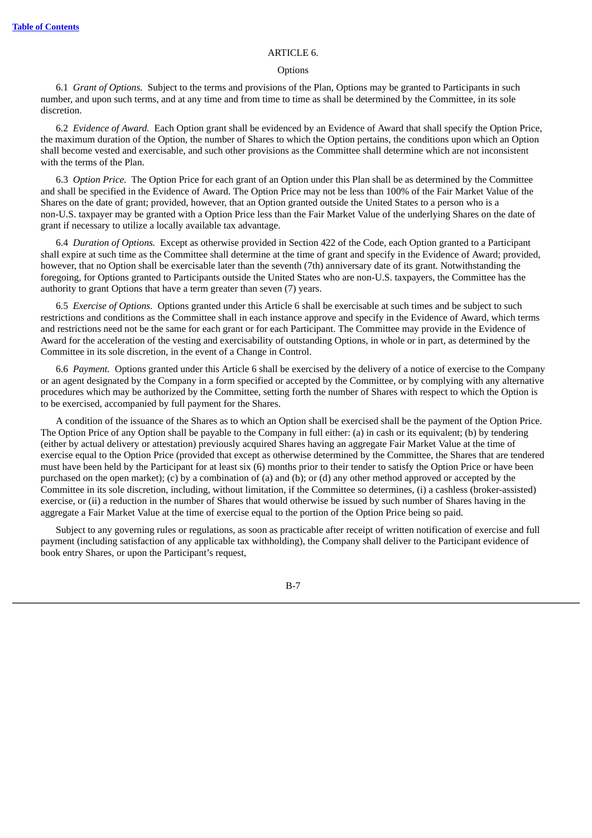### ARTICLE 6.

#### **Options**

6.1 *Grant of Options.* Subject to the terms and provisions of the Plan, Options may be granted to Participants in such number, and upon such terms, and at any time and from time to time as shall be determined by the Committee, in its sole discretion.

6.2 *Evidence of Award.* Each Option grant shall be evidenced by an Evidence of Award that shall specify the Option Price, the maximum duration of the Option, the number of Shares to which the Option pertains, the conditions upon which an Option shall become vested and exercisable, and such other provisions as the Committee shall determine which are not inconsistent with the terms of the Plan.

6.3 *Option Price.* The Option Price for each grant of an Option under this Plan shall be as determined by the Committee and shall be specified in the Evidence of Award. The Option Price may not be less than 100% of the Fair Market Value of the Shares on the date of grant; provided, however, that an Option granted outside the United States to a person who is a non-U.S. taxpayer may be granted with a Option Price less than the Fair Market Value of the underlying Shares on the date of grant if necessary to utilize a locally available tax advantage.

6.4 *Duration of Options.* Except as otherwise provided in Section 422 of the Code, each Option granted to a Participant shall expire at such time as the Committee shall determine at the time of grant and specify in the Evidence of Award; provided, however, that no Option shall be exercisable later than the seventh (7th) anniversary date of its grant. Notwithstanding the foregoing, for Options granted to Participants outside the United States who are non-U.S. taxpayers, the Committee has the authority to grant Options that have a term greater than seven (7) years.

6.5 *Exercise of Options.* Options granted under this Article 6 shall be exercisable at such times and be subject to such restrictions and conditions as the Committee shall in each instance approve and specify in the Evidence of Award, which terms and restrictions need not be the same for each grant or for each Participant. The Committee may provide in the Evidence of Award for the acceleration of the vesting and exercisability of outstanding Options, in whole or in part, as determined by the Committee in its sole discretion, in the event of a Change in Control.

6.6 *Payment.* Options granted under this Article 6 shall be exercised by the delivery of a notice of exercise to the Company or an agent designated by the Company in a form specified or accepted by the Committee, or by complying with any alternative procedures which may be authorized by the Committee, setting forth the number of Shares with respect to which the Option is to be exercised, accompanied by full payment for the Shares.

A condition of the issuance of the Shares as to which an Option shall be exercised shall be the payment of the Option Price. The Option Price of any Option shall be payable to the Company in full either: (a) in cash or its equivalent; (b) by tendering (either by actual delivery or attestation) previously acquired Shares having an aggregate Fair Market Value at the time of exercise equal to the Option Price (provided that except as otherwise determined by the Committee, the Shares that are tendered must have been held by the Participant for at least six (6) months prior to their tender to satisfy the Option Price or have been purchased on the open market); (c) by a combination of (a) and (b); or (d) any other method approved or accepted by the Committee in its sole discretion, including, without limitation, if the Committee so determines, (i) a cashless (broker-assisted) exercise, or (ii) a reduction in the number of Shares that would otherwise be issued by such number of Shares having in the aggregate a Fair Market Value at the time of exercise equal to the portion of the Option Price being so paid.

Subject to any governing rules or regulations, as soon as practicable after receipt of written notification of exercise and full payment (including satisfaction of any applicable tax withholding), the Company shall deliver to the Participant evidence of book entry Shares, or upon the Participant's request,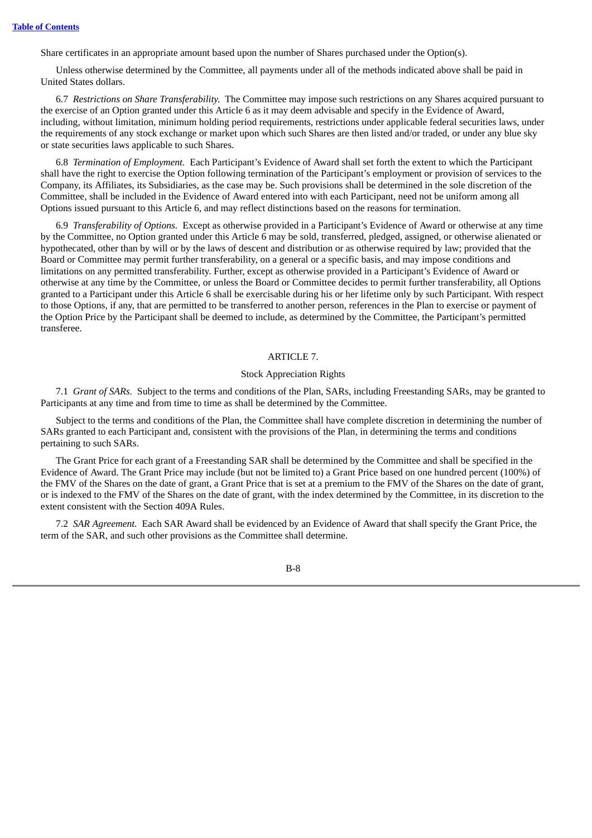Share certificates in an appropriate amount based upon the number of Shares purchased under the Option(s).

Unless otherwise determined by the Committee, all payments under all of the methods indicated above shall be paid in United States dollars.

6.7 *Restrictions on Share Transferability.* The Committee may impose such restrictions on any Shares acquired pursuant to the exercise of an Option granted under this Article 6 as it may deem advisable and specify in the Evidence of Award, including, without limitation, minimum holding period requirements, restrictions under applicable federal securities laws, under the requirements of any stock exchange or market upon which such Shares are then listed and/or traded, or under any blue sky or state securities laws applicable to such Shares.

6.8 *Termination of Employment.* Each Participant's Evidence of Award shall set forth the extent to which the Participant shall have the right to exercise the Option following termination of the Participant's employment or provision of services to the Company, its Affiliates, its Subsidiaries, as the case may be. Such provisions shall be determined in the sole discretion of the Committee, shall be included in the Evidence of Award entered into with each Participant, need not be uniform among all Options issued pursuant to this Article 6, and may reflect distinctions based on the reasons for termination.

6.9 *Transferability of Options.* Except as otherwise provided in a Participant's Evidence of Award or otherwise at any time by the Committee, no Option granted under this Article 6 may be sold, transferred, pledged, assigned, or otherwise alienated or hypothecated, other than by will or by the laws of descent and distribution or as otherwise required by law; provided that the Board or Committee may permit further transferability, on a general or a specific basis, and may impose conditions and limitations on any permitted transferability. Further, except as otherwise provided in a Participant's Evidence of Award or otherwise at any time by the Committee, or unless the Board or Committee decides to permit further transferability, all Options granted to a Participant under this Article 6 shall be exercisable during his or her lifetime only by such Participant. With respect to those Options, if any, that are permitted to be transferred to another person, references in the Plan to exercise or payment of the Option Price by the Participant shall be deemed to include, as determined by the Committee, the Participant's permitted transferee.

# ARTICLE 7.

# Stock Appreciation Rights

7.1 *Grant of SARs.* Subject to the terms and conditions of the Plan, SARs, including Freestanding SARs, may be granted to Participants at any time and from time to time as shall be determined by the Committee.

Subject to the terms and conditions of the Plan, the Committee shall have complete discretion in determining the number of SARs granted to each Participant and, consistent with the provisions of the Plan, in determining the terms and conditions pertaining to such SARs.

The Grant Price for each grant of a Freestanding SAR shall be determined by the Committee and shall be specified in the Evidence of Award. The Grant Price may include (but not be limited to) a Grant Price based on one hundred percent (100%) of the FMV of the Shares on the date of grant, a Grant Price that is set at a premium to the FMV of the Shares on the date of grant, or is indexed to the FMV of the Shares on the date of grant, with the index determined by the Committee, in its discretion to the extent consistent with the Section 409A Rules.

7.2 *SAR Agreement.* Each SAR Award shall be evidenced by an Evidence of Award that shall specify the Grant Price, the term of the SAR, and such other provisions as the Committee shall determine.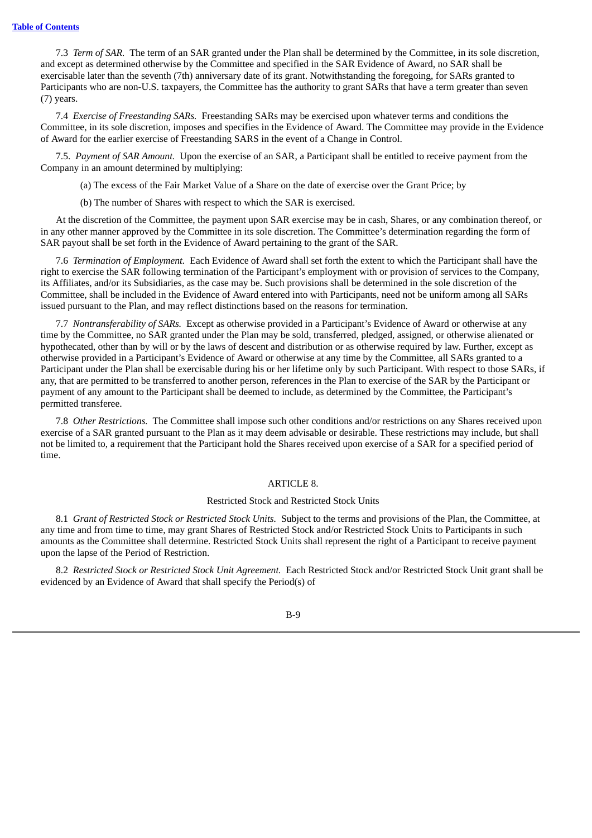7.3 *Term of SAR.* The term of an SAR granted under the Plan shall be determined by the Committee, in its sole discretion, and except as determined otherwise by the Committee and specified in the SAR Evidence of Award, no SAR shall be exercisable later than the seventh (7th) anniversary date of its grant. Notwithstanding the foregoing, for SARs granted to Participants who are non-U.S. taxpayers, the Committee has the authority to grant SARs that have a term greater than seven (7) years.

7.4 *Exercise of Freestanding SARs.* Freestanding SARs may be exercised upon whatever terms and conditions the Committee, in its sole discretion, imposes and specifies in the Evidence of Award. The Committee may provide in the Evidence of Award for the earlier exercise of Freestanding SARS in the event of a Change in Control.

7.5. *Payment of SAR Amount.* Upon the exercise of an SAR, a Participant shall be entitled to receive payment from the Company in an amount determined by multiplying:

(a) The excess of the Fair Market Value of a Share on the date of exercise over the Grant Price; by

(b) The number of Shares with respect to which the SAR is exercised.

At the discretion of the Committee, the payment upon SAR exercise may be in cash, Shares, or any combination thereof, or in any other manner approved by the Committee in its sole discretion. The Committee's determination regarding the form of SAR payout shall be set forth in the Evidence of Award pertaining to the grant of the SAR.

7.6 *Termination of Employment.* Each Evidence of Award shall set forth the extent to which the Participant shall have the right to exercise the SAR following termination of the Participant's employment with or provision of services to the Company, its Affiliates, and/or its Subsidiaries, as the case may be. Such provisions shall be determined in the sole discretion of the Committee, shall be included in the Evidence of Award entered into with Participants, need not be uniform among all SARs issued pursuant to the Plan, and may reflect distinctions based on the reasons for termination.

7.7 *Nontransferability of SARs.* Except as otherwise provided in a Participant's Evidence of Award or otherwise at any time by the Committee, no SAR granted under the Plan may be sold, transferred, pledged, assigned, or otherwise alienated or hypothecated, other than by will or by the laws of descent and distribution or as otherwise required by law. Further, except as otherwise provided in a Participant's Evidence of Award or otherwise at any time by the Committee, all SARs granted to a Participant under the Plan shall be exercisable during his or her lifetime only by such Participant. With respect to those SARs, if any, that are permitted to be transferred to another person, references in the Plan to exercise of the SAR by the Participant or payment of any amount to the Participant shall be deemed to include, as determined by the Committee, the Participant's permitted transferee.

7.8 *Other Restrictions.* The Committee shall impose such other conditions and/or restrictions on any Shares received upon exercise of a SAR granted pursuant to the Plan as it may deem advisable or desirable. These restrictions may include, but shall not be limited to, a requirement that the Participant hold the Shares received upon exercise of a SAR for a specified period of time.

# ARTICLE 8.

### Restricted Stock and Restricted Stock Units

8.1 *Grant of Restricted Stock or Restricted Stock Units.* Subject to the terms and provisions of the Plan, the Committee, at any time and from time to time, may grant Shares of Restricted Stock and/or Restricted Stock Units to Participants in such amounts as the Committee shall determine. Restricted Stock Units shall represent the right of a Participant to receive payment upon the lapse of the Period of Restriction.

8.2 *Restricted Stock or Restricted Stock Unit Agreement.* Each Restricted Stock and/or Restricted Stock Unit grant shall be evidenced by an Evidence of Award that shall specify the Period(s) of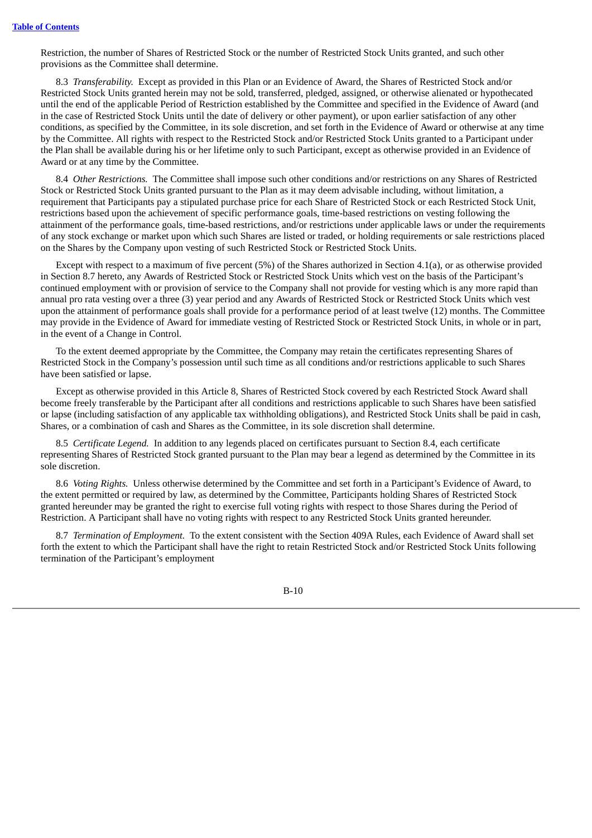Restriction, the number of Shares of Restricted Stock or the number of Restricted Stock Units granted, and such other provisions as the Committee shall determine.

8.3 *Transferability.* Except as provided in this Plan or an Evidence of Award, the Shares of Restricted Stock and/or Restricted Stock Units granted herein may not be sold, transferred, pledged, assigned, or otherwise alienated or hypothecated until the end of the applicable Period of Restriction established by the Committee and specified in the Evidence of Award (and in the case of Restricted Stock Units until the date of delivery or other payment), or upon earlier satisfaction of any other conditions, as specified by the Committee, in its sole discretion, and set forth in the Evidence of Award or otherwise at any time by the Committee. All rights with respect to the Restricted Stock and/or Restricted Stock Units granted to a Participant under the Plan shall be available during his or her lifetime only to such Participant, except as otherwise provided in an Evidence of Award or at any time by the Committee.

8.4 *Other Restrictions.* The Committee shall impose such other conditions and/or restrictions on any Shares of Restricted Stock or Restricted Stock Units granted pursuant to the Plan as it may deem advisable including, without limitation, a requirement that Participants pay a stipulated purchase price for each Share of Restricted Stock or each Restricted Stock Unit, restrictions based upon the achievement of specific performance goals, time-based restrictions on vesting following the attainment of the performance goals, time-based restrictions, and/or restrictions under applicable laws or under the requirements of any stock exchange or market upon which such Shares are listed or traded, or holding requirements or sale restrictions placed on the Shares by the Company upon vesting of such Restricted Stock or Restricted Stock Units.

Except with respect to a maximum of five percent (5%) of the Shares authorized in Section 4.1(a), or as otherwise provided in Section 8.7 hereto, any Awards of Restricted Stock or Restricted Stock Units which vest on the basis of the Participant's continued employment with or provision of service to the Company shall not provide for vesting which is any more rapid than annual pro rata vesting over a three (3) year period and any Awards of Restricted Stock or Restricted Stock Units which vest upon the attainment of performance goals shall provide for a performance period of at least twelve (12) months. The Committee may provide in the Evidence of Award for immediate vesting of Restricted Stock or Restricted Stock Units, in whole or in part, in the event of a Change in Control.

To the extent deemed appropriate by the Committee, the Company may retain the certificates representing Shares of Restricted Stock in the Company's possession until such time as all conditions and/or restrictions applicable to such Shares have been satisfied or lapse.

Except as otherwise provided in this Article 8, Shares of Restricted Stock covered by each Restricted Stock Award shall become freely transferable by the Participant after all conditions and restrictions applicable to such Shares have been satisfied or lapse (including satisfaction of any applicable tax withholding obligations), and Restricted Stock Units shall be paid in cash, Shares, or a combination of cash and Shares as the Committee, in its sole discretion shall determine.

8.5 *Certificate Legend.* In addition to any legends placed on certificates pursuant to Section 8.4, each certificate representing Shares of Restricted Stock granted pursuant to the Plan may bear a legend as determined by the Committee in its sole discretion.

8.6 *Voting Rights.* Unless otherwise determined by the Committee and set forth in a Participant's Evidence of Award, to the extent permitted or required by law, as determined by the Committee, Participants holding Shares of Restricted Stock granted hereunder may be granted the right to exercise full voting rights with respect to those Shares during the Period of Restriction. A Participant shall have no voting rights with respect to any Restricted Stock Units granted hereunder.

8.7 *Termination of Employment.* To the extent consistent with the Section 409A Rules, each Evidence of Award shall set forth the extent to which the Participant shall have the right to retain Restricted Stock and/or Restricted Stock Units following termination of the Participant's employment

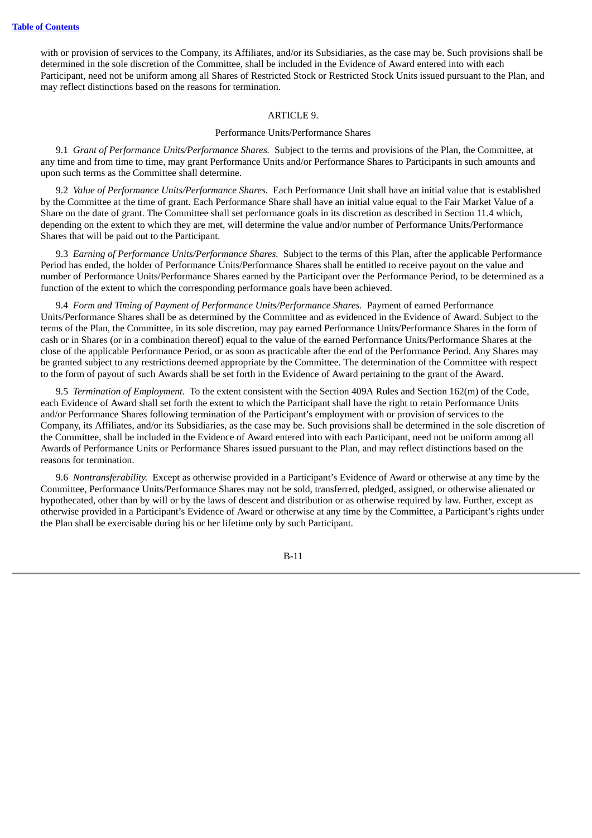with or provision of services to the Company, its Affiliates, and/or its Subsidiaries, as the case may be. Such provisions shall be determined in the sole discretion of the Committee, shall be included in the Evidence of Award entered into with each Participant, need not be uniform among all Shares of Restricted Stock or Restricted Stock Units issued pursuant to the Plan, and may reflect distinctions based on the reasons for termination.

# ARTICLE 9.

#### Performance Units/Performance Shares

9.1 *Grant of Performance Units/Performance Shares.* Subject to the terms and provisions of the Plan, the Committee, at any time and from time to time, may grant Performance Units and/or Performance Shares to Participants in such amounts and upon such terms as the Committee shall determine.

9.2 *Value of Performance Units/Performance Shares.* Each Performance Unit shall have an initial value that is established by the Committee at the time of grant. Each Performance Share shall have an initial value equal to the Fair Market Value of a Share on the date of grant. The Committee shall set performance goals in its discretion as described in Section 11.4 which, depending on the extent to which they are met, will determine the value and/or number of Performance Units/Performance Shares that will be paid out to the Participant.

9.3 *Earning of Performance Units/Performance Shares.* Subject to the terms of this Plan, after the applicable Performance Period has ended, the holder of Performance Units/Performance Shares shall be entitled to receive payout on the value and number of Performance Units/Performance Shares earned by the Participant over the Performance Period, to be determined as a function of the extent to which the corresponding performance goals have been achieved.

9.4 *Form and Timing of Payment of Performance Units/Performance Shares.* Payment of earned Performance Units/Performance Shares shall be as determined by the Committee and as evidenced in the Evidence of Award. Subject to the terms of the Plan, the Committee, in its sole discretion, may pay earned Performance Units/Performance Shares in the form of cash or in Shares (or in a combination thereof) equal to the value of the earned Performance Units/Performance Shares at the close of the applicable Performance Period, or as soon as practicable after the end of the Performance Period. Any Shares may be granted subject to any restrictions deemed appropriate by the Committee. The determination of the Committee with respect to the form of payout of such Awards shall be set forth in the Evidence of Award pertaining to the grant of the Award.

9.5 *Termination of Employment.* To the extent consistent with the Section 409A Rules and Section 162(m) of the Code, each Evidence of Award shall set forth the extent to which the Participant shall have the right to retain Performance Units and/or Performance Shares following termination of the Participant's employment with or provision of services to the Company, its Affiliates, and/or its Subsidiaries, as the case may be. Such provisions shall be determined in the sole discretion of the Committee, shall be included in the Evidence of Award entered into with each Participant, need not be uniform among all Awards of Performance Units or Performance Shares issued pursuant to the Plan, and may reflect distinctions based on the reasons for termination.

9.6 *Nontransferability.* Except as otherwise provided in a Participant's Evidence of Award or otherwise at any time by the Committee, Performance Units/Performance Shares may not be sold, transferred, pledged, assigned, or otherwise alienated or hypothecated, other than by will or by the laws of descent and distribution or as otherwise required by law. Further, except as otherwise provided in a Participant's Evidence of Award or otherwise at any time by the Committee, a Participant's rights under the Plan shall be exercisable during his or her lifetime only by such Participant.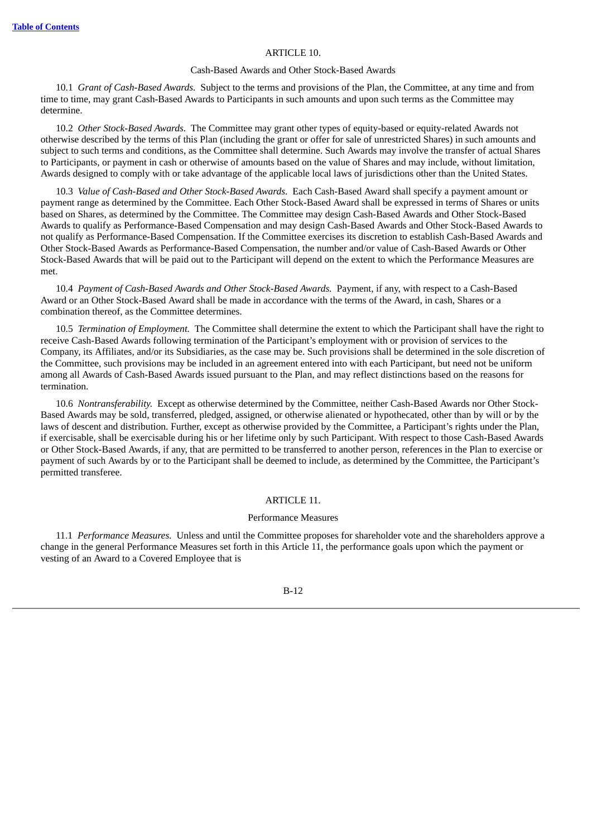### ARTICLE 10.

### Cash-Based Awards and Other Stock-Based Awards

10.1 *Grant of Cash-Based Awards.* Subject to the terms and provisions of the Plan, the Committee, at any time and from time to time, may grant Cash-Based Awards to Participants in such amounts and upon such terms as the Committee may determine.

10.2 *Other Stock-Based Awards.* The Committee may grant other types of equity-based or equity-related Awards not otherwise described by the terms of this Plan (including the grant or offer for sale of unrestricted Shares) in such amounts and subject to such terms and conditions, as the Committee shall determine. Such Awards may involve the transfer of actual Shares to Participants, or payment in cash or otherwise of amounts based on the value of Shares and may include, without limitation, Awards designed to comply with or take advantage of the applicable local laws of jurisdictions other than the United States.

10.3 *Value of Cash-Based and Other Stock-Based Awards.* Each Cash-Based Award shall specify a payment amount or payment range as determined by the Committee. Each Other Stock-Based Award shall be expressed in terms of Shares or units based on Shares, as determined by the Committee. The Committee may design Cash-Based Awards and Other Stock-Based Awards to qualify as Performance-Based Compensation and may design Cash-Based Awards and Other Stock-Based Awards to not qualify as Performance-Based Compensation. If the Committee exercises its discretion to establish Cash-Based Awards and Other Stock-Based Awards as Performance-Based Compensation, the number and/or value of Cash-Based Awards or Other Stock-Based Awards that will be paid out to the Participant will depend on the extent to which the Performance Measures are met.

10.4 *Payment of Cash-Based Awards and Other Stock-Based Awards.* Payment, if any, with respect to a Cash-Based Award or an Other Stock-Based Award shall be made in accordance with the terms of the Award, in cash, Shares or a combination thereof, as the Committee determines.

10.5 *Termination of Employment.* The Committee shall determine the extent to which the Participant shall have the right to receive Cash-Based Awards following termination of the Participant's employment with or provision of services to the Company, its Affiliates, and/or its Subsidiaries, as the case may be. Such provisions shall be determined in the sole discretion of the Committee, such provisions may be included in an agreement entered into with each Participant, but need not be uniform among all Awards of Cash-Based Awards issued pursuant to the Plan, and may reflect distinctions based on the reasons for termination.

10.6 *Nontransferability.* Except as otherwise determined by the Committee, neither Cash-Based Awards nor Other Stock-Based Awards may be sold, transferred, pledged, assigned, or otherwise alienated or hypothecated, other than by will or by the laws of descent and distribution. Further, except as otherwise provided by the Committee, a Participant's rights under the Plan, if exercisable, shall be exercisable during his or her lifetime only by such Participant. With respect to those Cash-Based Awards or Other Stock-Based Awards, if any, that are permitted to be transferred to another person, references in the Plan to exercise or payment of such Awards by or to the Participant shall be deemed to include, as determined by the Committee, the Participant's permitted transferee.

# ARTICLE 11.

# Performance Measures

11.1 *Performance Measures.* Unless and until the Committee proposes for shareholder vote and the shareholders approve a change in the general Performance Measures set forth in this Article 11, the performance goals upon which the payment or vesting of an Award to a Covered Employee that is

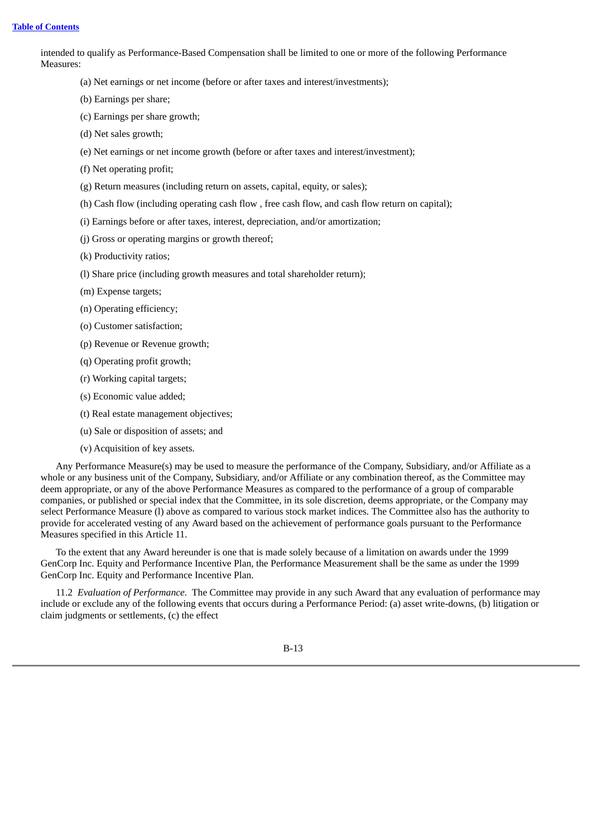intended to qualify as Performance-Based Compensation shall be limited to one or more of the following Performance Measures:

- (a) Net earnings or net income (before or after taxes and interest/investments);
- (b) Earnings per share;
- (c) Earnings per share growth;
- (d) Net sales growth;
- (e) Net earnings or net income growth (before or after taxes and interest/investment);
- (f) Net operating profit;
- (g) Return measures (including return on assets, capital, equity, or sales);
- (h) Cash flow (including operating cash flow , free cash flow, and cash flow return on capital);
- (i) Earnings before or after taxes, interest, depreciation, and/or amortization;
- (j) Gross or operating margins or growth thereof;
- (k) Productivity ratios;
- (l) Share price (including growth measures and total shareholder return);
- (m) Expense targets;
- (n) Operating efficiency;
- (o) Customer satisfaction;
- (p) Revenue or Revenue growth;
- (q) Operating profit growth;
- (r) Working capital targets;
- (s) Economic value added;
- (t) Real estate management objectives;
- (u) Sale or disposition of assets; and
- (v) Acquisition of key assets.

Any Performance Measure(s) may be used to measure the performance of the Company, Subsidiary, and/or Affiliate as a whole or any business unit of the Company, Subsidiary, and/or Affiliate or any combination thereof, as the Committee may deem appropriate, or any of the above Performance Measures as compared to the performance of a group of comparable companies, or published or special index that the Committee, in its sole discretion, deems appropriate, or the Company may select Performance Measure (l) above as compared to various stock market indices. The Committee also has the authority to provide for accelerated vesting of any Award based on the achievement of performance goals pursuant to the Performance Measures specified in this Article 11.

To the extent that any Award hereunder is one that is made solely because of a limitation on awards under the 1999 GenCorp Inc. Equity and Performance Incentive Plan, the Performance Measurement shall be the same as under the 1999 GenCorp Inc. Equity and Performance Incentive Plan.

11.2 *Evaluation of Performance.* The Committee may provide in any such Award that any evaluation of performance may include or exclude any of the following events that occurs during a Performance Period: (a) asset write-downs, (b) litigation or claim judgments or settlements, (c) the effect

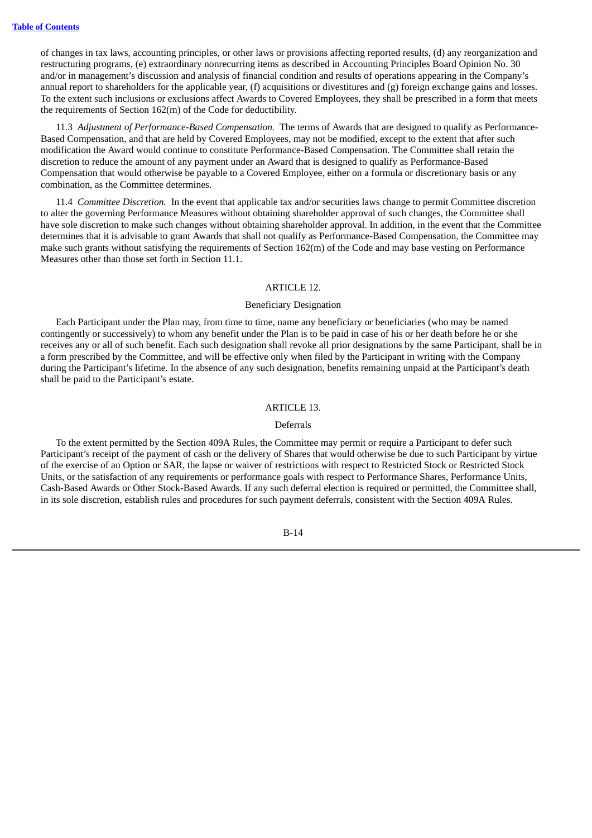of changes in tax laws, accounting principles, or other laws or provisions affecting reported results, (d) any reorganization and restructuring programs, (e) extraordinary nonrecurring items as described in Accounting Principles Board Opinion No. 30 and/or in management's discussion and analysis of financial condition and results of operations appearing in the Company's annual report to shareholders for the applicable year, (f) acquisitions or divestitures and (g) foreign exchange gains and losses. To the extent such inclusions or exclusions affect Awards to Covered Employees, they shall be prescribed in a form that meets the requirements of Section 162(m) of the Code for deductibility.

11.3 *Adjustment of Performance-Based Compensation.* The terms of Awards that are designed to qualify as Performance-Based Compensation, and that are held by Covered Employees, may not be modified, except to the extent that after such modification the Award would continue to constitute Performance-Based Compensation. The Committee shall retain the discretion to reduce the amount of any payment under an Award that is designed to qualify as Performance-Based Compensation that would otherwise be payable to a Covered Employee, either on a formula or discretionary basis or any combination, as the Committee determines.

11.4 *Committee Discretion.* In the event that applicable tax and/or securities laws change to permit Committee discretion to alter the governing Performance Measures without obtaining shareholder approval of such changes, the Committee shall have sole discretion to make such changes without obtaining shareholder approval. In addition, in the event that the Committee determines that it is advisable to grant Awards that shall not qualify as Performance-Based Compensation, the Committee may make such grants without satisfying the requirements of Section 162(m) of the Code and may base vesting on Performance Measures other than those set forth in Section 11.1.

### ARTICLE 12.

#### Beneficiary Designation

Each Participant under the Plan may, from time to time, name any beneficiary or beneficiaries (who may be named contingently or successively) to whom any benefit under the Plan is to be paid in case of his or her death before he or she receives any or all of such benefit. Each such designation shall revoke all prior designations by the same Participant, shall be in a form prescribed by the Committee, and will be effective only when filed by the Participant in writing with the Company during the Participant's lifetime. In the absence of any such designation, benefits remaining unpaid at the Participant's death shall be paid to the Participant's estate.

# ARTICLE 13.

### Deferrals

To the extent permitted by the Section 409A Rules, the Committee may permit or require a Participant to defer such Participant's receipt of the payment of cash or the delivery of Shares that would otherwise be due to such Participant by virtue of the exercise of an Option or SAR, the lapse or waiver of restrictions with respect to Restricted Stock or Restricted Stock Units, or the satisfaction of any requirements or performance goals with respect to Performance Shares, Performance Units, Cash-Based Awards or Other Stock-Based Awards. If any such deferral election is required or permitted, the Committee shall, in its sole discretion, establish rules and procedures for such payment deferrals, consistent with the Section 409A Rules.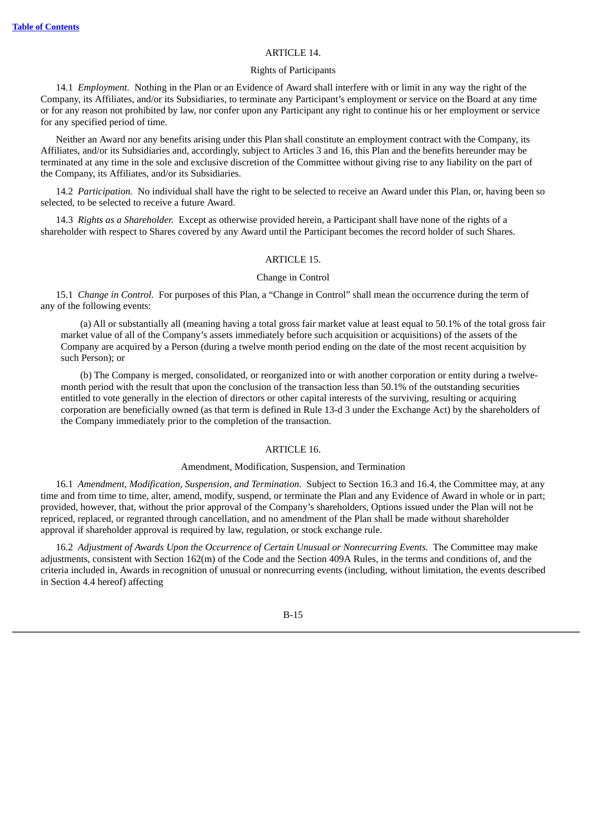### ARTICLE 14.

### Rights of Participants

14.1 *Employment.* Nothing in the Plan or an Evidence of Award shall interfere with or limit in any way the right of the Company, its Affiliates, and/or its Subsidiaries, to terminate any Participant's employment or service on the Board at any time or for any reason not prohibited by law, nor confer upon any Participant any right to continue his or her employment or service for any specified period of time.

Neither an Award nor any benefits arising under this Plan shall constitute an employment contract with the Company, its Affiliates, and/or its Subsidiaries and, accordingly, subject to Articles 3 and 16, this Plan and the benefits hereunder may be terminated at any time in the sole and exclusive discretion of the Committee without giving rise to any liability on the part of the Company, its Affiliates, and/or its Subsidiaries.

14.2 *Participation.* No individual shall have the right to be selected to receive an Award under this Plan, or, having been so selected, to be selected to receive a future Award.

14.3 *Rights as a Shareholder.* Except as otherwise provided herein, a Participant shall have none of the rights of a shareholder with respect to Shares covered by any Award until the Participant becomes the record holder of such Shares.

## ARTICLE 15.

### Change in Control

15.1 *Change in Control.* For purposes of this Plan, a "Change in Control" shall mean the occurrence during the term of any of the following events:

(a) All or substantially all (meaning having a total gross fair market value at least equal to 50.1% of the total gross fair market value of all of the Company's assets immediately before such acquisition or acquisitions) of the assets of the Company are acquired by a Person (during a twelve month period ending on the date of the most recent acquisition by such Person); or

(b) The Company is merged, consolidated, or reorganized into or with another corporation or entity during a twelvemonth period with the result that upon the conclusion of the transaction less than 50.1% of the outstanding securities entitled to vote generally in the election of directors or other capital interests of the surviving, resulting or acquiring corporation are beneficially owned (as that term is defined in Rule 13-d 3 under the Exchange Act) by the shareholders of the Company immediately prior to the completion of the transaction.

### ARTICLE 16.

### Amendment, Modification, Suspension, and Termination

16.1 *Amendment, Modification, Suspension, and Termination.* Subject to Section 16.3 and 16.4, the Committee may, at any time and from time to time, alter, amend, modify, suspend, or terminate the Plan and any Evidence of Award in whole or in part; provided, however, that, without the prior approval of the Company's shareholders, Options issued under the Plan will not be repriced, replaced, or regranted through cancellation, and no amendment of the Plan shall be made without shareholder approval if shareholder approval is required by law, regulation, or stock exchange rule.

16.2 *Adjustment of Awards Upon the Occurrence of Certain Unusual or Nonrecurring Events.* The Committee may make adjustments, consistent with Section 162(m) of the Code and the Section 409A Rules, in the terms and conditions of, and the criteria included in, Awards in recognition of unusual or nonrecurring events (including, without limitation, the events described in Section 4.4 hereof) affecting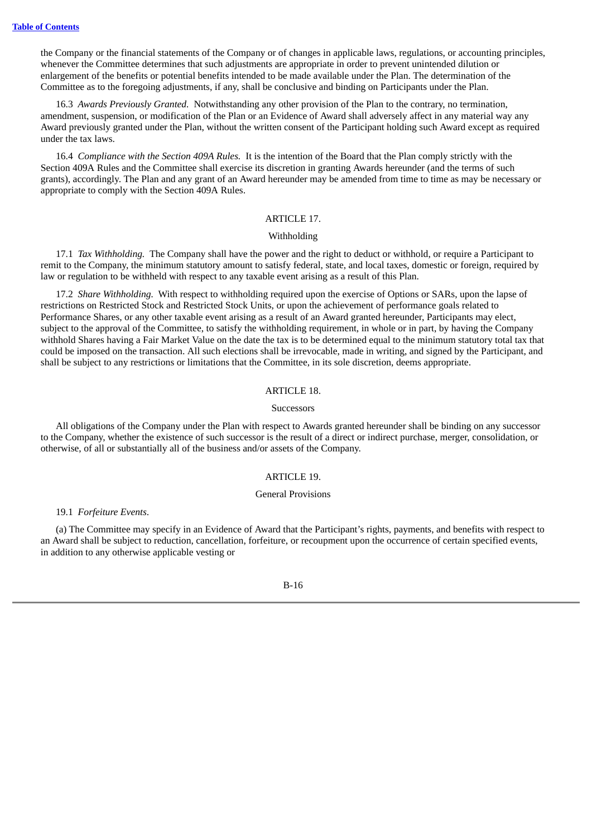the Company or the financial statements of the Company or of changes in applicable laws, regulations, or accounting principles, whenever the Committee determines that such adjustments are appropriate in order to prevent unintended dilution or enlargement of the benefits or potential benefits intended to be made available under the Plan. The determination of the Committee as to the foregoing adjustments, if any, shall be conclusive and binding on Participants under the Plan.

16.3 *Awards Previously Granted.* Notwithstanding any other provision of the Plan to the contrary, no termination, amendment, suspension, or modification of the Plan or an Evidence of Award shall adversely affect in any material way any Award previously granted under the Plan, without the written consent of the Participant holding such Award except as required under the tax laws.

16.4 *Compliance with the Section 409A Rules.* It is the intention of the Board that the Plan comply strictly with the Section 409A Rules and the Committee shall exercise its discretion in granting Awards hereunder (and the terms of such grants), accordingly. The Plan and any grant of an Award hereunder may be amended from time to time as may be necessary or appropriate to comply with the Section 409A Rules.

# ARTICLE 17.

#### Withholding

17.1 *Tax Withholding.* The Company shall have the power and the right to deduct or withhold, or require a Participant to remit to the Company, the minimum statutory amount to satisfy federal, state, and local taxes, domestic or foreign, required by law or regulation to be withheld with respect to any taxable event arising as a result of this Plan.

17.2 *Share Withholding.* With respect to withholding required upon the exercise of Options or SARs, upon the lapse of restrictions on Restricted Stock and Restricted Stock Units, or upon the achievement of performance goals related to Performance Shares, or any other taxable event arising as a result of an Award granted hereunder, Participants may elect, subject to the approval of the Committee, to satisfy the withholding requirement, in whole or in part, by having the Company withhold Shares having a Fair Market Value on the date the tax is to be determined equal to the minimum statutory total tax that could be imposed on the transaction. All such elections shall be irrevocable, made in writing, and signed by the Participant, and shall be subject to any restrictions or limitations that the Committee, in its sole discretion, deems appropriate.

#### ARTICLE 18.

#### **Successors**

All obligations of the Company under the Plan with respect to Awards granted hereunder shall be binding on any successor to the Company, whether the existence of such successor is the result of a direct or indirect purchase, merger, consolidation, or otherwise, of all or substantially all of the business and/or assets of the Company.

### ARTICLE 19.

### General Provisions

19.1 *Forfeiture Events*.

(a) The Committee may specify in an Evidence of Award that the Participant's rights, payments, and benefits with respect to an Award shall be subject to reduction, cancellation, forfeiture, or recoupment upon the occurrence of certain specified events, in addition to any otherwise applicable vesting or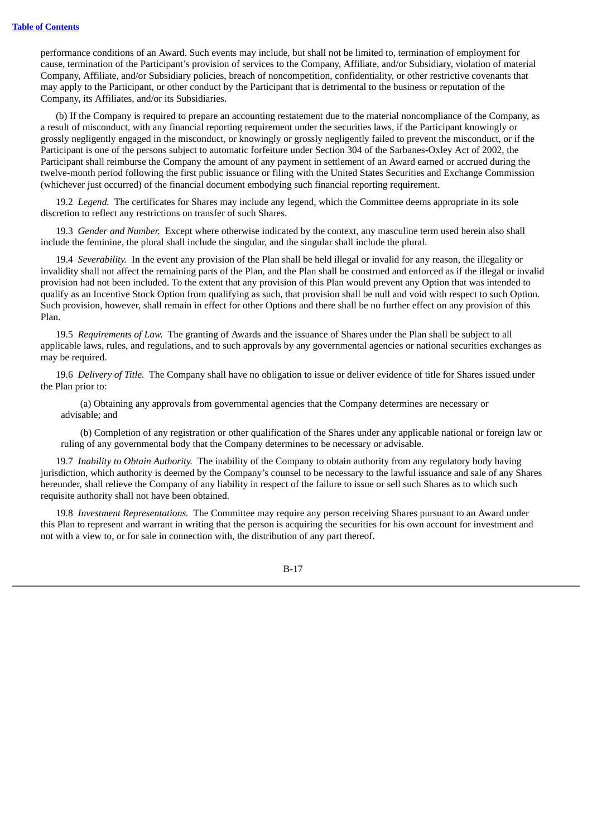performance conditions of an Award. Such events may include, but shall not be limited to, termination of employment for cause, termination of the Participant's provision of services to the Company, Affiliate, and/or Subsidiary, violation of material Company, Affiliate, and/or Subsidiary policies, breach of noncompetition, confidentiality, or other restrictive covenants that may apply to the Participant, or other conduct by the Participant that is detrimental to the business or reputation of the Company, its Affiliates, and/or its Subsidiaries.

(b) If the Company is required to prepare an accounting restatement due to the material noncompliance of the Company, as a result of misconduct, with any financial reporting requirement under the securities laws, if the Participant knowingly or grossly negligently engaged in the misconduct, or knowingly or grossly negligently failed to prevent the misconduct, or if the Participant is one of the persons subject to automatic forfeiture under Section 304 of the Sarbanes-Oxley Act of 2002, the Participant shall reimburse the Company the amount of any payment in settlement of an Award earned or accrued during the twelve-month period following the first public issuance or filing with the United States Securities and Exchange Commission (whichever just occurred) of the financial document embodying such financial reporting requirement.

19.2 *Legend.* The certificates for Shares may include any legend, which the Committee deems appropriate in its sole discretion to reflect any restrictions on transfer of such Shares.

19.3 *Gender and Number.* Except where otherwise indicated by the context, any masculine term used herein also shall include the feminine, the plural shall include the singular, and the singular shall include the plural.

19.4 *Severability.* In the event any provision of the Plan shall be held illegal or invalid for any reason, the illegality or invalidity shall not affect the remaining parts of the Plan, and the Plan shall be construed and enforced as if the illegal or invalid provision had not been included. To the extent that any provision of this Plan would prevent any Option that was intended to qualify as an Incentive Stock Option from qualifying as such, that provision shall be null and void with respect to such Option. Such provision, however, shall remain in effect for other Options and there shall be no further effect on any provision of this Plan.

19.5 *Requirements of Law.* The granting of Awards and the issuance of Shares under the Plan shall be subject to all applicable laws, rules, and regulations, and to such approvals by any governmental agencies or national securities exchanges as may be required.

19.6 *Delivery of Title.* The Company shall have no obligation to issue or deliver evidence of title for Shares issued under the Plan prior to:

(a) Obtaining any approvals from governmental agencies that the Company determines are necessary or advisable; and

(b) Completion of any registration or other qualification of the Shares under any applicable national or foreign law or ruling of any governmental body that the Company determines to be necessary or advisable.

19.7 *Inability to Obtain Authority.* The inability of the Company to obtain authority from any regulatory body having jurisdiction, which authority is deemed by the Company's counsel to be necessary to the lawful issuance and sale of any Shares hereunder, shall relieve the Company of any liability in respect of the failure to issue or sell such Shares as to which such requisite authority shall not have been obtained.

19.8 *Investment Representations.* The Committee may require any person receiving Shares pursuant to an Award under this Plan to represent and warrant in writing that the person is acquiring the securities for his own account for investment and not with a view to, or for sale in connection with, the distribution of any part thereof.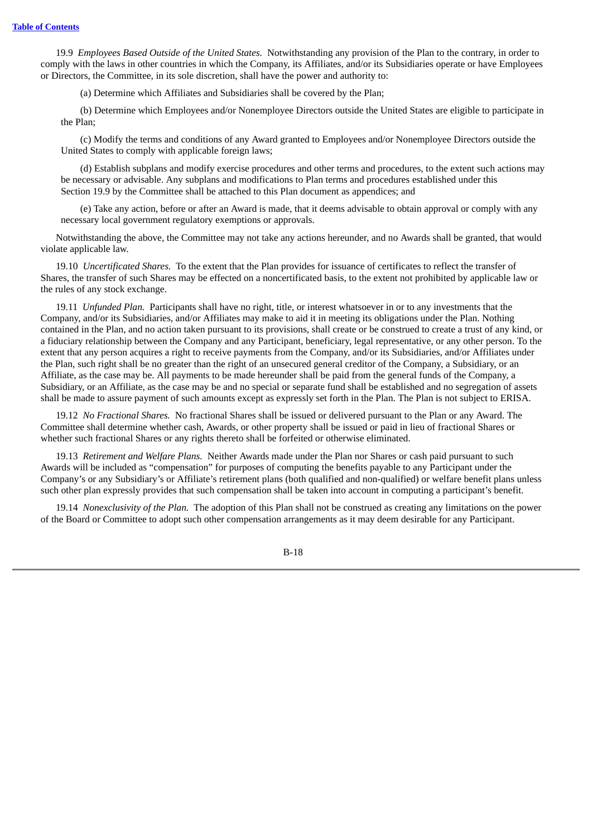19.9 *Employees Based Outside of the United States.* Notwithstanding any provision of the Plan to the contrary, in order to comply with the laws in other countries in which the Company, its Affiliates, and/or its Subsidiaries operate or have Employees or Directors, the Committee, in its sole discretion, shall have the power and authority to:

(a) Determine which Affiliates and Subsidiaries shall be covered by the Plan;

(b) Determine which Employees and/or Nonemployee Directors outside the United States are eligible to participate in the Plan;

(c) Modify the terms and conditions of any Award granted to Employees and/or Nonemployee Directors outside the United States to comply with applicable foreign laws;

(d) Establish subplans and modify exercise procedures and other terms and procedures, to the extent such actions may be necessary or advisable. Any subplans and modifications to Plan terms and procedures established under this Section 19.9 by the Committee shall be attached to this Plan document as appendices; and

(e) Take any action, before or after an Award is made, that it deems advisable to obtain approval or comply with any necessary local government regulatory exemptions or approvals.

Notwithstanding the above, the Committee may not take any actions hereunder, and no Awards shall be granted, that would violate applicable law.

19.10 *Uncertificated Shares.* To the extent that the Plan provides for issuance of certificates to reflect the transfer of Shares, the transfer of such Shares may be effected on a noncertificated basis, to the extent not prohibited by applicable law or the rules of any stock exchange.

19.11 *Unfunded Plan.* Participants shall have no right, title, or interest whatsoever in or to any investments that the Company, and/or its Subsidiaries, and/or Affiliates may make to aid it in meeting its obligations under the Plan. Nothing contained in the Plan, and no action taken pursuant to its provisions, shall create or be construed to create a trust of any kind, or a fiduciary relationship between the Company and any Participant, beneficiary, legal representative, or any other person. To the extent that any person acquires a right to receive payments from the Company, and/or its Subsidiaries, and/or Affiliates under the Plan, such right shall be no greater than the right of an unsecured general creditor of the Company, a Subsidiary, or an Affiliate, as the case may be. All payments to be made hereunder shall be paid from the general funds of the Company, a Subsidiary, or an Affiliate, as the case may be and no special or separate fund shall be established and no segregation of assets shall be made to assure payment of such amounts except as expressly set forth in the Plan. The Plan is not subject to ERISA.

19.12 *No Fractional Shares.* No fractional Shares shall be issued or delivered pursuant to the Plan or any Award. The Committee shall determine whether cash, Awards, or other property shall be issued or paid in lieu of fractional Shares or whether such fractional Shares or any rights thereto shall be forfeited or otherwise eliminated.

19.13 *Retirement and Welfare Plans.* Neither Awards made under the Plan nor Shares or cash paid pursuant to such Awards will be included as "compensation" for purposes of computing the benefits payable to any Participant under the Company's or any Subsidiary's or Affiliate's retirement plans (both qualified and non-qualified) or welfare benefit plans unless such other plan expressly provides that such compensation shall be taken into account in computing a participant's benefit.

19.14 *Nonexclusivity of the Plan.* The adoption of this Plan shall not be construed as creating any limitations on the power of the Board or Committee to adopt such other compensation arrangements as it may deem desirable for any Participant.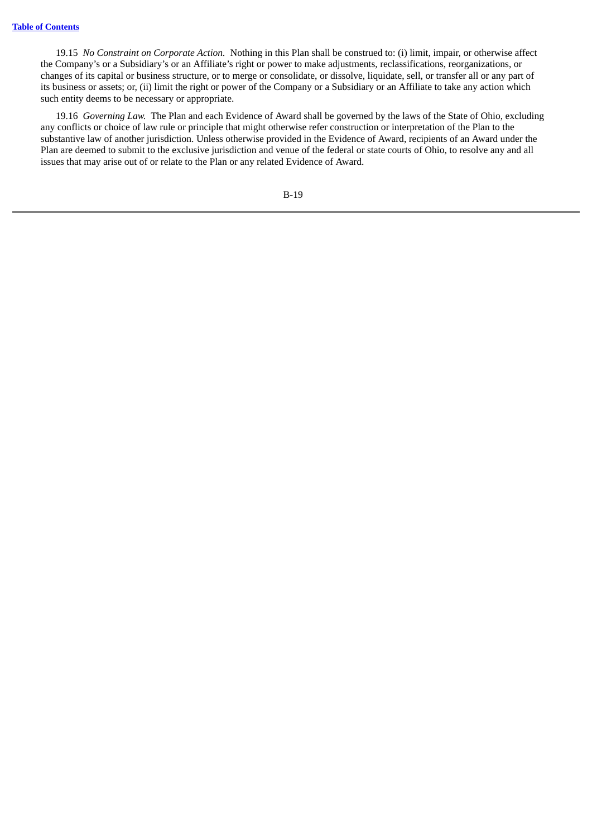19.15 *No Constraint on Corporate Action.* Nothing in this Plan shall be construed to: (i) limit, impair, or otherwise affect the Company's or a Subsidiary's or an Affiliate's right or power to make adjustments, reclassifications, reorganizations, or changes of its capital or business structure, or to merge or consolidate, or dissolve, liquidate, sell, or transfer all or any part of its business or assets; or, (ii) limit the right or power of the Company or a Subsidiary or an Affiliate to take any action which such entity deems to be necessary or appropriate.

19.16 *Governing Law.* The Plan and each Evidence of Award shall be governed by the laws of the State of Ohio, excluding any conflicts or choice of law rule or principle that might otherwise refer construction or interpretation of the Plan to the substantive law of another jurisdiction. Unless otherwise provided in the Evidence of Award, recipients of an Award under the Plan are deemed to submit to the exclusive jurisdiction and venue of the federal or state courts of Ohio, to resolve any and all issues that may arise out of or relate to the Plan or any related Evidence of Award.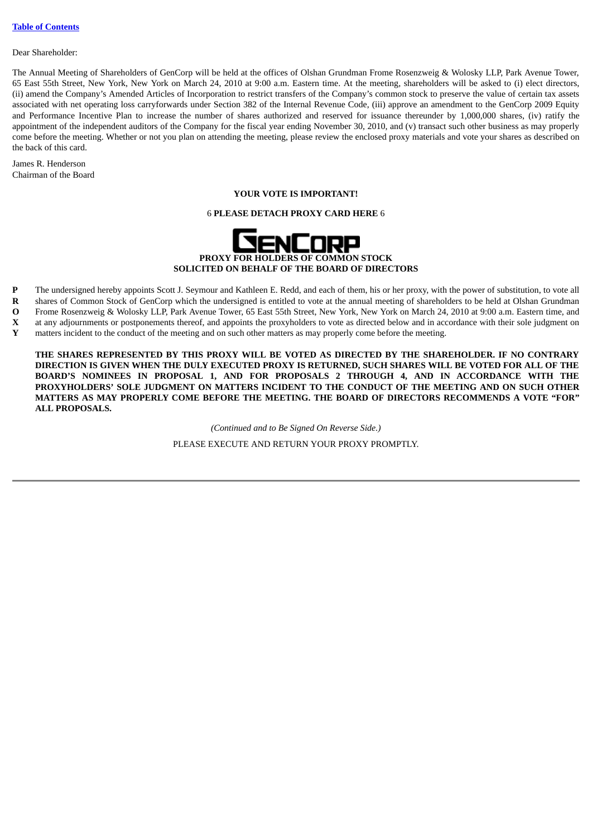#### Dear Shareholder:

The Annual Meeting of Shareholders of GenCorp will be held at the offices of Olshan Grundman Frome Rosenzweig & Wolosky LLP, Park Avenue Tower, 65 East 55th Street, New York, New York on March 24, 2010 at 9:00 a.m. Eastern time. At the meeting, shareholders will be asked to (i) elect directors, (ii) amend the Company's Amended Articles of Incorporation to restrict transfers of the Company's common stock to preserve the value of certain tax assets associated with net operating loss carryforwards under Section 382 of the Internal Revenue Code, (iii) approve an amendment to the GenCorp 2009 Equity and Performance Incentive Plan to increase the number of shares authorized and reserved for issuance thereunder by 1,000,000 shares, (iv) ratify the appointment of the independent auditors of the Company for the fiscal year ending November 30, 2010, and (v) transact such other business as may properly come before the meeting. Whether or not you plan on attending the meeting, please review the enclosed proxy materials and vote your shares as described on the back of this card.

James R. Henderson Chairman of the Board

# **YOUR VOTE IS IMPORTANT!**

# 6 **PLEASE DETACH PROXY CARD HERE** 6



- **P** The undersigned hereby appoints Scott J. Seymour and Kathleen E. Redd, and each of them, his or her proxy, with the power of substitution, to vote all
- **R** shares of Common Stock of GenCorp which the undersigned is entitled to vote at the annual meeting of shareholders to be held at Olshan Grundman
- **O X** Frome Rosenzweig & Wolosky LLP, Park Avenue Tower, 65 East 55th Street, New York, New York on March 24, 2010 at 9:00 a.m. Eastern time, and at any adjournments or postponements thereof, and appoints the proxyholders to vote as directed below and in accordance with their sole judgment on
- **Y** matters incident to the conduct of the meeting and on such other matters as may properly come before the meeting.

**THE SHARES REPRESENTED BY THIS PROXY WILL BE VOTED AS DIRECTED BY THE SHAREHOLDER. IF NO CONTRARY** DIRECTION IS GIVEN WHEN THE DULY EXECUTED PROXY IS RETURNED, SUCH SHARES WILL BE VOTED FOR ALL OF THE **BOARD'S NOMINEES IN PROPOSAL 1, AND FOR PROPOSALS 2 THROUGH 4, AND IN ACCORDANCE WITH THE PROXYHOLDERS' SOLE JUDGMENT ON MATTERS INCIDENT TO THE CONDUCT OF THE MEETING AND ON SUCH OTHER MATTERS AS MAY PROPERLY COME BEFORE THE MEETING. THE BOARD OF DIRECTORS RECOMMENDS A VOTE "FOR" ALL PROPOSALS.**

> *(Continued and to Be Signed On Reverse Side.)* PLEASE EXECUTE AND RETURN YOUR PROXY PROMPTLY.